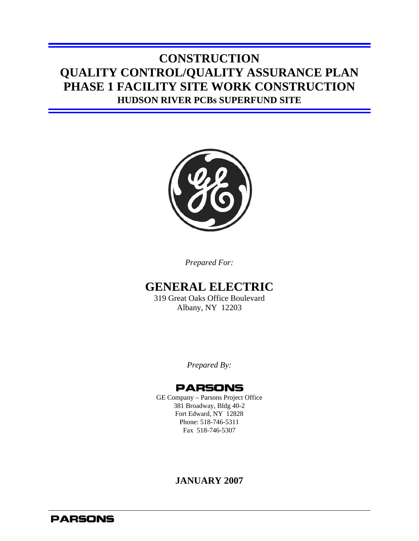# **CONSTRUCTION QUALITY CONTROL/QUALITY ASSURANCE PLAN PHASE 1 FACILITY SITE WORK CONSTRUCTION HUDSON RIVER PCBs SUPERFUND SITE**



*Prepared For:* 

### **GENERAL ELECTRIC**

319 Great Oaks Office Boulevard Albany, NY 12203

*Prepared By:*

### **PARSONS**

GE Company – Parsons Project Office 381 Broadway, Bldg 40-2 Fort Edward, NY 12828 Phone: 518-746-5311 Fax 518-746-5307

#### **JANUARY 2007**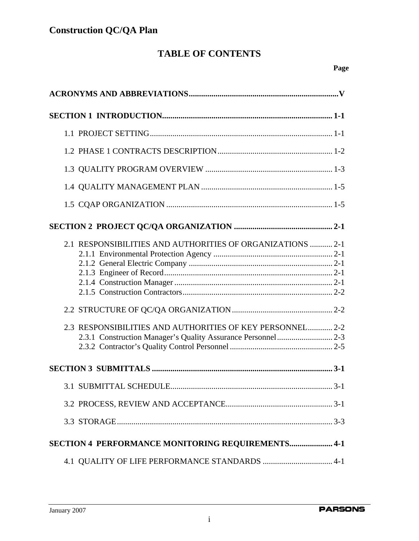# **TABLE OF CONTENTS**

| 2.1 RESPONSIBILITIES AND AUTHORITIES OF ORGANIZATIONS  2-1<br>2.3 RESPONSIBILITIES AND AUTHORITIES OF KEY PERSONNEL 2-2 |
|-------------------------------------------------------------------------------------------------------------------------|
|                                                                                                                         |
|                                                                                                                         |
|                                                                                                                         |
|                                                                                                                         |
|                                                                                                                         |
| SECTION 4 PERFORMANCE MONITORING REQUIREMENTS 4-1                                                                       |
|                                                                                                                         |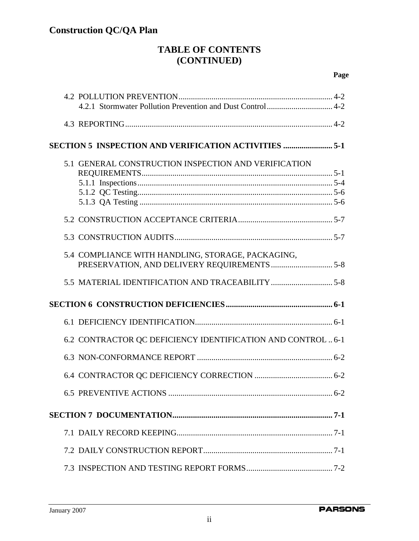### **TABLE OF CONTENTS (CONTINUED)**

| 5.1 GENERAL CONSTRUCTION INSPECTION AND VERIFICATION         |
|--------------------------------------------------------------|
|                                                              |
|                                                              |
|                                                              |
|                                                              |
|                                                              |
|                                                              |
| 5.4 COMPLIANCE WITH HANDLING, STORAGE, PACKAGING,            |
|                                                              |
|                                                              |
|                                                              |
|                                                              |
|                                                              |
| 6.2 CONTRACTOR QC DEFICIENCY IDENTIFICATION AND CONTROL  6-1 |
|                                                              |
|                                                              |
| <b>6.5 PREVENTIVE ACTIONS</b>                                |
|                                                              |
|                                                              |
|                                                              |
|                                                              |
|                                                              |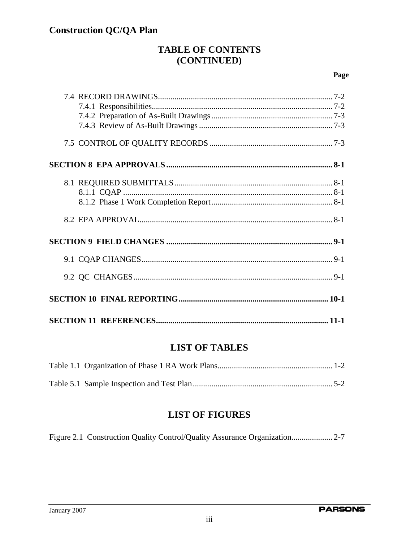### **TABLE OF CONTENTS** (CONTINUED)

#### Page

### **LIST OF TABLES**

### **LIST OF FIGURES**

Figure 2.1 Construction Quality Control/Quality Assurance Organization..................... 2-7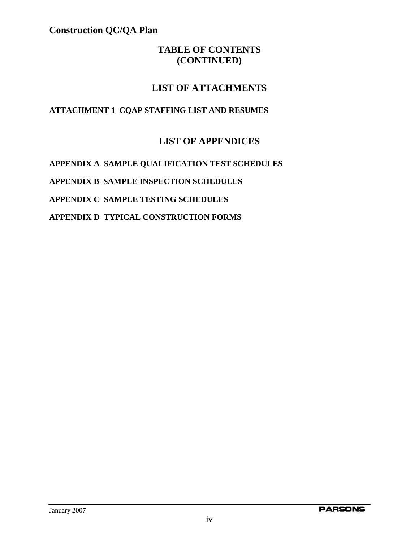### **TABLE OF CONTENTS (CONTINUED)**

### **LIST OF ATTACHMENTS**

#### **ATTACHMENT 1 CQAP STAFFING LIST AND RESUMES**

### **LIST OF APPENDICES**

**APPENDIX A SAMPLE QUALIFICATION TEST SCHEDULES APPENDIX B SAMPLE INSPECTION SCHEDULES APPENDIX C SAMPLE TESTING SCHEDULES APPENDIX D TYPICAL CONSTRUCTION FORMS**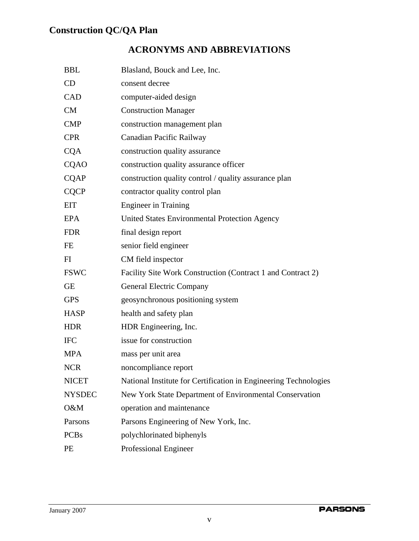# **ACRONYMS AND ABBREVIATIONS**

| <b>BBL</b>    | Blasland, Bouck and Lee, Inc.                                    |
|---------------|------------------------------------------------------------------|
| CD            | consent decree                                                   |
| CAD           | computer-aided design                                            |
| CM            | <b>Construction Manager</b>                                      |
| <b>CMP</b>    | construction management plan                                     |
| <b>CPR</b>    | Canadian Pacific Railway                                         |
| <b>CQA</b>    | construction quality assurance                                   |
| <b>CQAO</b>   | construction quality assurance officer                           |
| <b>CQAP</b>   | construction quality control / quality assurance plan            |
| <b>CQCP</b>   | contractor quality control plan                                  |
| <b>EIT</b>    | <b>Engineer</b> in Training                                      |
| <b>EPA</b>    | United States Environmental Protection Agency                    |
| <b>FDR</b>    | final design report                                              |
| FE            | senior field engineer                                            |
| FI            | CM field inspector                                               |
| <b>FSWC</b>   | Facility Site Work Construction (Contract 1 and Contract 2)      |
| <b>GE</b>     | <b>General Electric Company</b>                                  |
| <b>GPS</b>    | geosynchronous positioning system                                |
| <b>HASP</b>   | health and safety plan                                           |
| <b>HDR</b>    | HDR Engineering, Inc.                                            |
| <b>IFC</b>    | issue for construction                                           |
| <b>MPA</b>    | mass per unit area                                               |
| <b>NCR</b>    | noncompliance report                                             |
| <b>NICET</b>  | National Institute for Certification in Engineering Technologies |
| <b>NYSDEC</b> | New York State Department of Environmental Conservation          |
| O&M           | operation and maintenance                                        |
| Parsons       | Parsons Engineering of New York, Inc.                            |
| <b>PCBs</b>   | polychlorinated biphenyls                                        |
| PE            | Professional Engineer                                            |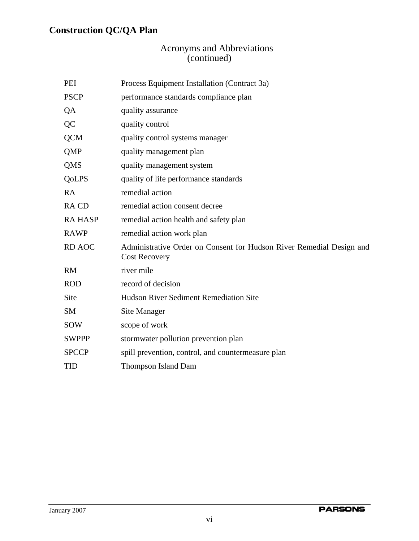#### Acronyms and Abbreviations (continued)

| PEI           | Process Equipment Installation (Contract 3a)                                                 |
|---------------|----------------------------------------------------------------------------------------------|
| <b>PSCP</b>   | performance standards compliance plan                                                        |
| QA            | quality assurance                                                                            |
| QC            | quality control                                                                              |
| <b>QCM</b>    | quality control systems manager                                                              |
| <b>QMP</b>    | quality management plan                                                                      |
| <b>QMS</b>    | quality management system                                                                    |
| QoLPS         | quality of life performance standards                                                        |
| <b>RA</b>     | remedial action                                                                              |
| <b>RACD</b>   | remedial action consent decree                                                               |
| <b>RAHASP</b> | remedial action health and safety plan                                                       |
| <b>RAWP</b>   | remedial action work plan                                                                    |
| <b>RD AOC</b> | Administrative Order on Consent for Hudson River Remedial Design and<br><b>Cost Recovery</b> |
| <b>RM</b>     | river mile                                                                                   |
| <b>ROD</b>    | record of decision                                                                           |
| Site          | <b>Hudson River Sediment Remediation Site</b>                                                |
| <b>SM</b>     | Site Manager                                                                                 |
| <b>SOW</b>    | scope of work                                                                                |
| <b>SWPPP</b>  | stormwater pollution prevention plan                                                         |
| <b>SPCCP</b>  | spill prevention, control, and countermeasure plan                                           |
| <b>TID</b>    | <b>Thompson Island Dam</b>                                                                   |
|               |                                                                                              |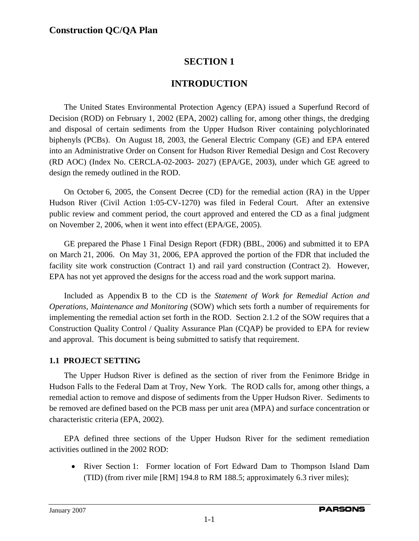### **SECTION 1**

### **INTRODUCTION**

The United States Environmental Protection Agency (EPA) issued a Superfund Record of Decision (ROD) on February 1, 2002 (EPA, 2002) calling for, among other things, the dredging and disposal of certain sediments from the Upper Hudson River containing polychlorinated biphenyls (PCBs). On August 18, 2003, the General Electric Company (GE) and EPA entered into an Administrative Order on Consent for Hudson River Remedial Design and Cost Recovery (RD AOC) (Index No. CERCLA-02-2003- 2027) (EPA/GE, 2003), under which GE agreed to design the remedy outlined in the ROD.

On October 6, 2005, the Consent Decree (CD) for the remedial action (RA) in the Upper Hudson River (Civil Action 1:05-CV-1270) was filed in Federal Court. After an extensive public review and comment period, the court approved and entered the CD as a final judgment on November 2, 2006, when it went into effect (EPA/GE, 2005).

GE prepared the Phase 1 Final Design Report (FDR) (BBL, 2006) and submitted it to EPA on March 21, 2006. On May 31, 2006, EPA approved the portion of the FDR that included the facility site work construction (Contract 1) and rail yard construction (Contract 2). However, EPA has not yet approved the designs for the access road and the work support marina.

Included as Appendix B to the CD is the *Statement of Work for Remedial Action and Operations, Maintenance and Monitoring* (SOW) which sets forth a number of requirements for implementing the remedial action set forth in the ROD. Section 2.1.2 of the SOW requires that a Construction Quality Control / Quality Assurance Plan (CQAP) be provided to EPA for review and approval. This document is being submitted to satisfy that requirement.

#### **1.1 PROJECT SETTING**

The Upper Hudson River is defined as the section of river from the Fenimore Bridge in Hudson Falls to the Federal Dam at Troy, New York. The ROD calls for, among other things, a remedial action to remove and dispose of sediments from the Upper Hudson River. Sediments to be removed are defined based on the PCB mass per unit area (MPA) and surface concentration or characteristic criteria (EPA, 2002).

EPA defined three sections of the Upper Hudson River for the sediment remediation activities outlined in the 2002 ROD:

• River Section 1: Former location of Fort Edward Dam to Thompson Island Dam (TID) (from river mile [RM] 194.8 to RM 188.5; approximately 6.3 river miles);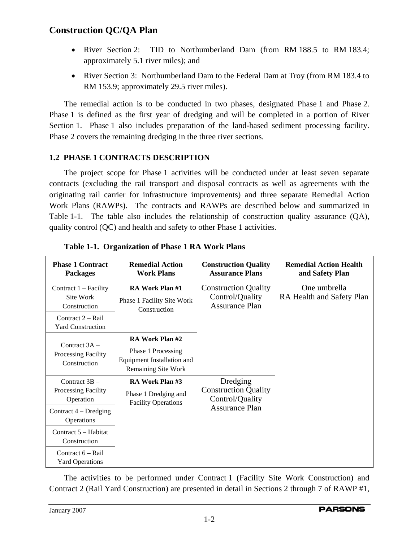- River Section 2: TID to Northumberland Dam (from RM 188.5 to RM 183.4; approximately 5.1 river miles); and
- River Section 3: Northumberland Dam to the Federal Dam at Troy (from RM 183.4 to RM 153.9; approximately 29.5 river miles).

The remedial action is to be conducted in two phases, designated Phase 1 and Phase 2. Phase 1 is defined as the first year of dredging and will be completed in a portion of River Section 1. Phase 1 also includes preparation of the land-based sediment processing facility. Phase 2 covers the remaining dredging in the three river sections.

#### **1.2 PHASE 1 CONTRACTS DESCRIPTION**

The project scope for Phase 1 activities will be conducted under at least seven separate contracts (excluding the rail transport and disposal contracts as well as agreements with the originating rail carrier for infrastructure improvements) and three separate Remedial Action Work Plans (RAWPs). The contracts and RAWPs are described below and summarized in Table 1-1. The table also includes the relationship of construction quality assurance (QA), quality control (QC) and health and safety to other Phase 1 activities.

| <b>Phase 1 Contract</b><br><b>Packages</b>                                  | <b>Remedial Action</b><br><b>Work Plans</b>                                                       | <b>Construction Quality</b><br><b>Assurance Plans</b>                   | <b>Remedial Action Health</b><br>and Safety Plan |
|-----------------------------------------------------------------------------|---------------------------------------------------------------------------------------------------|-------------------------------------------------------------------------|--------------------------------------------------|
| Contract $1 -$ Facility<br>Site Work<br>Construction<br>Contract $2 -$ Rail | <b>RA Work Plan #1</b><br>Phase 1 Facility Site Work<br>Construction                              | <b>Construction Quality</b><br>Control/Quality<br><b>Assurance Plan</b> | One umbrella<br>RA Health and Safety Plan        |
| <b>Yard Construction</b>                                                    |                                                                                                   |                                                                         |                                                  |
| Contract $3A -$<br>Processing Facility<br>Construction                      | RA Work Plan #2<br>Phase 1 Processing<br>Equipment Installation and<br><b>Remaining Site Work</b> |                                                                         |                                                  |
| Contract $3B -$<br>Processing Facility<br>Operation                         | RA Work Plan #3<br>Phase 1 Dredging and<br><b>Facility Operations</b>                             | Dredging<br><b>Construction Quality</b><br>Control/Quality              |                                                  |
| Contract $4$ – Dredging<br>Operations                                       |                                                                                                   | <b>Assurance Plan</b>                                                   |                                                  |
| Contract 5 – Habitat<br>Construction                                        |                                                                                                   |                                                                         |                                                  |
| Contract 6 - Rail<br><b>Yard Operations</b>                                 |                                                                                                   |                                                                         |                                                  |

**Table 1-1. Organization of Phase 1 RA Work Plans** 

The activities to be performed under Contract 1 (Facility Site Work Construction) and Contract 2 (Rail Yard Construction) are presented in detail in Sections 2 through 7 of RAWP #1,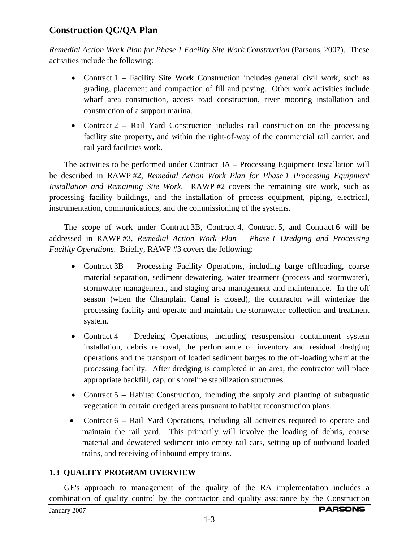*Remedial Action Work Plan for Phase 1 Facility Site Work Construction* (Parsons, 2007). These activities include the following:

- Contract 1 Facility Site Work Construction includes general civil work, such as grading, placement and compaction of fill and paving. Other work activities include wharf area construction, access road construction, river mooring installation and construction of a support marina.
- Contract 2 Rail Yard Construction includes rail construction on the processing facility site property, and within the right-of-way of the commercial rail carrier, and rail yard facilities work.

The activities to be performed under Contract 3A – Processing Equipment Installation will be described in RAWP #2, *Remedial Action Work Plan for Phase 1 Processing Equipment Installation and Remaining Site Work*. RAWP #2 covers the remaining site work, such as processing facility buildings, and the installation of process equipment, piping, electrical, instrumentation, communications, and the commissioning of the systems.

The scope of work under Contract 3B, Contract 4, Contract 5, and Contract 6 will be addressed in RAWP #3, *Remedial Action Work Plan* – *Phase 1 Dredging and Processing Facility Operations*. Briefly, RAWP #3 covers the following:

- Contract 3B Processing Facility Operations, including barge offloading, coarse material separation, sediment dewatering, water treatment (process and stormwater), stormwater management, and staging area management and maintenance. In the off season (when the Champlain Canal is closed), the contractor will winterize the processing facility and operate and maintain the stormwater collection and treatment system.
- Contract 4 Dredging Operations, including resuspension containment system installation, debris removal, the performance of inventory and residual dredging operations and the transport of loaded sediment barges to the off-loading wharf at the processing facility. After dredging is completed in an area, the contractor will place appropriate backfill, cap, or shoreline stabilization structures.
- Contract 5 Habitat Construction, including the supply and planting of subaquatic vegetation in certain dredged areas pursuant to habitat reconstruction plans.
- Contract 6 Rail Yard Operations, including all activities required to operate and maintain the rail yard. This primarily will involve the loading of debris, coarse material and dewatered sediment into empty rail cars, setting up of outbound loaded trains, and receiving of inbound empty trains.

#### **1.3 QUALITY PROGRAM OVERVIEW**

GE's approach to management of the quality of the RA implementation includes a combination of quality control by the contractor and quality assurance by the Construction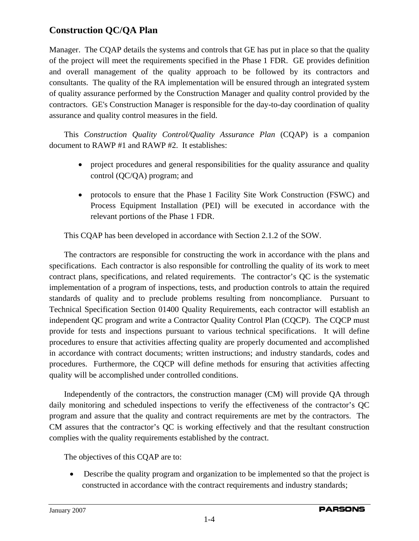Manager. The CQAP details the systems and controls that GE has put in place so that the quality of the project will meet the requirements specified in the Phase 1 FDR. GE provides definition and overall management of the quality approach to be followed by its contractors and consultants. The quality of the RA implementation will be ensured through an integrated system of quality assurance performed by the Construction Manager and quality control provided by the contractors. GE's Construction Manager is responsible for the day-to-day coordination of quality assurance and quality control measures in the field.

This *Construction Quality Control/Quality Assurance Plan* (CQAP) is a companion document to RAWP #1 and RAWP #2. It establishes:

- project procedures and general responsibilities for the quality assurance and quality control (QC/QA) program; and
- protocols to ensure that the Phase 1 Facility Site Work Construction (FSWC) and Process Equipment Installation (PEI) will be executed in accordance with the relevant portions of the Phase 1 FDR.

This CQAP has been developed in accordance with Section 2.1.2 of the SOW.

The contractors are responsible for constructing the work in accordance with the plans and specifications. Each contractor is also responsible for controlling the quality of its work to meet contract plans, specifications, and related requirements. The contractor's QC is the systematic implementation of a program of inspections, tests, and production controls to attain the required standards of quality and to preclude problems resulting from noncompliance. Pursuant to Technical Specification Section 01400 Quality Requirements, each contractor will establish an independent QC program and write a Contractor Quality Control Plan (CQCP). The CQCP must provide for tests and inspections pursuant to various technical specifications. It will define procedures to ensure that activities affecting quality are properly documented and accomplished in accordance with contract documents; written instructions; and industry standards, codes and procedures. Furthermore, the CQCP will define methods for ensuring that activities affecting quality will be accomplished under controlled conditions.

Independently of the contractors, the construction manager (CM) will provide QA through daily monitoring and scheduled inspections to verify the effectiveness of the contractor's QC program and assure that the quality and contract requirements are met by the contractors. The CM assures that the contractor's QC is working effectively and that the resultant construction complies with the quality requirements established by the contract.

The objectives of this CQAP are to:

• Describe the quality program and organization to be implemented so that the project is constructed in accordance with the contract requirements and industry standards;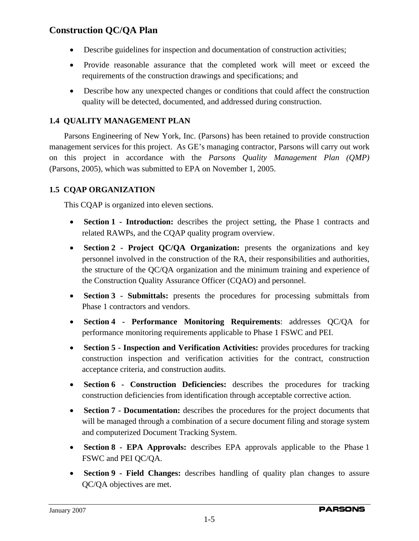- Describe guidelines for inspection and documentation of construction activities;
- Provide reasonable assurance that the completed work will meet or exceed the requirements of the construction drawings and specifications; and
- Describe how any unexpected changes or conditions that could affect the construction quality will be detected, documented, and addressed during construction.

### **1.4 QUALITY MANAGEMENT PLAN**

Parsons Engineering of New York, Inc. (Parsons) has been retained to provide construction management services for this project. As GE's managing contractor, Parsons will carry out work on this project in accordance with the *Parsons Quality Management Plan (QMP)*  (Parsons, 2005), which was submitted to EPA on November 1, 2005.

#### **1.5 CQAP ORGANIZATION**

This CQAP is organized into eleven sections.

- **Section 1 Introduction:** describes the project setting, the Phase 1 contracts and related RAWPs, and the CQAP quality program overview.
- **Section 2 Project QC/QA Organization:** presents the organizations and key personnel involved in the construction of the RA, their responsibilities and authorities, the structure of the QC/QA organization and the minimum training and experience of the Construction Quality Assurance Officer (CQAO) and personnel.
- **Section 3 Submittals:** presents the procedures for processing submittals from Phase 1 contractors and vendors.
- **Section 4 Performance Monitoring Requirements**: addresses QC/QA for performance monitoring requirements applicable to Phase 1 FSWC and PEI.
- **Section 5 Inspection and Verification Activities:** provides procedures for tracking construction inspection and verification activities for the contract, construction acceptance criteria, and construction audits.
- **Section 6 Construction Deficiencies:** describes the procedures for tracking construction deficiencies from identification through acceptable corrective action.
- **Section 7 Documentation:** describes the procedures for the project documents that will be managed through a combination of a secure document filing and storage system and computerized Document Tracking System.
- **Section 8 EPA Approvals:** describes EPA approvals applicable to the Phase 1 FSWC and PEI QC/QA.
- **Section 9 Field Changes:** describes handling of quality plan changes to assure QC/QA objectives are met.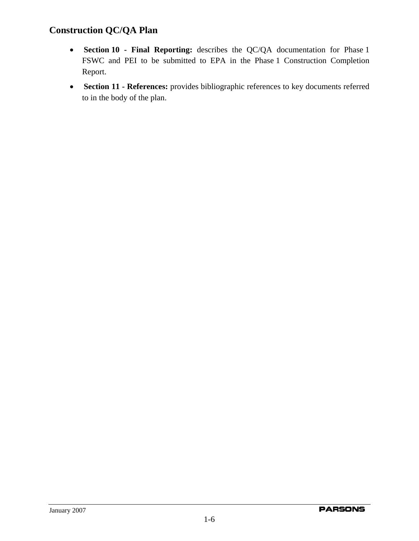- **Section 10 Final Reporting:** describes the QC/QA documentation for Phase 1 FSWC and PEI to be submitted to EPA in the Phase 1 Construction Completion Report.
- **Section 11 References:** provides bibliographic references to key documents referred to in the body of the plan.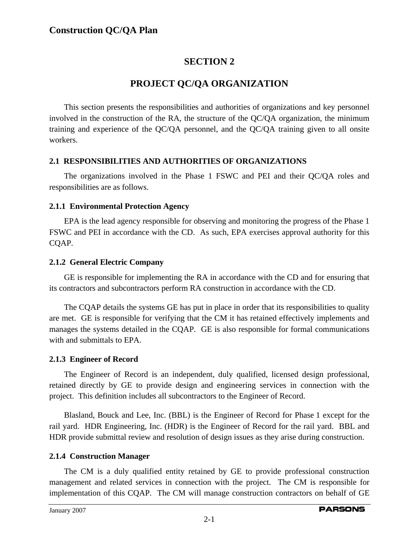### **SECTION 2**

### **PROJECT QC/QA ORGANIZATION**

This section presents the responsibilities and authorities of organizations and key personnel involved in the construction of the RA, the structure of the QC/QA organization, the minimum training and experience of the QC/QA personnel, and the QC/QA training given to all onsite workers.

#### **2.1 RESPONSIBILITIES AND AUTHORITIES OF ORGANIZATIONS**

The organizations involved in the Phase 1 FSWC and PEI and their QC/QA roles and responsibilities are as follows.

#### **2.1.1 Environmental Protection Agency**

EPA is the lead agency responsible for observing and monitoring the progress of the Phase 1 FSWC and PEI in accordance with the CD. As such, EPA exercises approval authority for this CQAP.

#### **2.1.2 General Electric Company**

GE is responsible for implementing the RA in accordance with the CD and for ensuring that its contractors and subcontractors perform RA construction in accordance with the CD.

The CQAP details the systems GE has put in place in order that its responsibilities to quality are met. GE is responsible for verifying that the CM it has retained effectively implements and manages the systems detailed in the CQAP. GE is also responsible for formal communications with and submittals to EPA.

#### **2.1.3 Engineer of Record**

The Engineer of Record is an independent, duly qualified, licensed design professional, retained directly by GE to provide design and engineering services in connection with the project. This definition includes all subcontractors to the Engineer of Record.

Blasland, Bouck and Lee, Inc. (BBL) is the Engineer of Record for Phase 1 except for the rail yard. HDR Engineering, Inc. (HDR) is the Engineer of Record for the rail yard. BBL and HDR provide submittal review and resolution of design issues as they arise during construction.

#### **2.1.4 Construction Manager**

The CM is a duly qualified entity retained by GE to provide professional construction management and related services in connection with the project. The CM is responsible for implementation of this CQAP. The CM will manage construction contractors on behalf of GE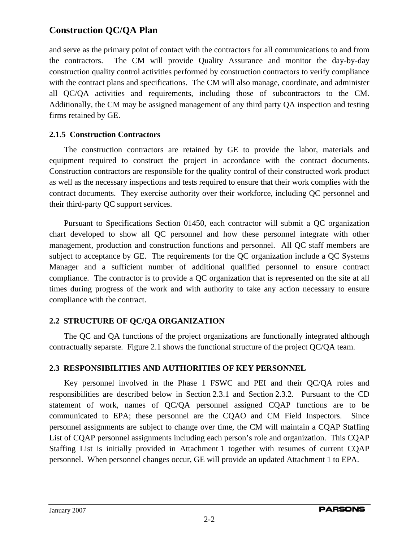and serve as the primary point of contact with the contractors for all communications to and from the contractors. The CM will provide Quality Assurance and monitor the day-by-day construction quality control activities performed by construction contractors to verify compliance with the contract plans and specifications. The CM will also manage, coordinate, and administer all QC/QA activities and requirements, including those of subcontractors to the CM. Additionally, the CM may be assigned management of any third party QA inspection and testing firms retained by GE.

#### **2.1.5 Construction Contractors**

The construction contractors are retained by GE to provide the labor, materials and equipment required to construct the project in accordance with the contract documents. Construction contractors are responsible for the quality control of their constructed work product as well as the necessary inspections and tests required to ensure that their work complies with the contract documents. They exercise authority over their workforce, including QC personnel and their third-party QC support services.

Pursuant to Specifications Section 01450, each contractor will submit a QC organization chart developed to show all QC personnel and how these personnel integrate with other management, production and construction functions and personnel. All QC staff members are subject to acceptance by GE. The requirements for the QC organization include a QC Systems Manager and a sufficient number of additional qualified personnel to ensure contract compliance. The contractor is to provide a QC organization that is represented on the site at all times during progress of the work and with authority to take any action necessary to ensure compliance with the contract.

#### **2.2 STRUCTURE OF QC/QA ORGANIZATION**

The QC and QA functions of the project organizations are functionally integrated although contractually separate. Figure 2.1 shows the functional structure of the project QC/QA team.

#### **2.3 RESPONSIBILITIES AND AUTHORITIES OF KEY PERSONNEL**

Key personnel involved in the Phase 1 FSWC and PEI and their QC/QA roles and responsibilities are described below in Section 2.3.1 and Section 2.3.2. Pursuant to the CD statement of work, names of QC/QA personnel assigned CQAP functions are to be communicated to EPA; these personnel are the CQAO and CM Field Inspectors. Since personnel assignments are subject to change over time, the CM will maintain a CQAP Staffing List of CQAP personnel assignments including each person's role and organization. This CQAP Staffing List is initially provided in Attachment 1 together with resumes of current CQAP personnel. When personnel changes occur, GE will provide an updated Attachment 1 to EPA.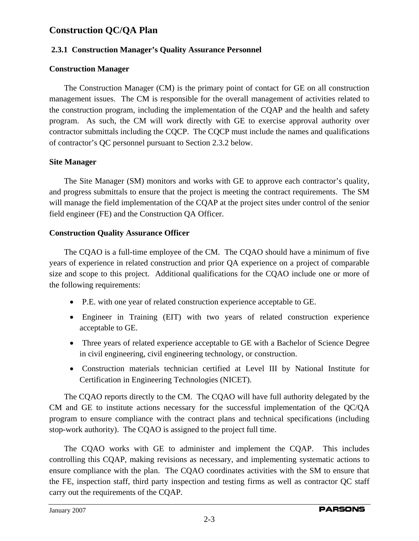#### **2.3.1 Construction Manager's Quality Assurance Personnel**

#### **Construction Manager**

The Construction Manager (CM) is the primary point of contact for GE on all construction management issues. The CM is responsible for the overall management of activities related to the construction program, including the implementation of the CQAP and the health and safety program. As such, the CM will work directly with GE to exercise approval authority over contractor submittals including the CQCP. The CQCP must include the names and qualifications of contractor's QC personnel pursuant to Section 2.3.2 below.

#### **Site Manager**

The Site Manager (SM) monitors and works with GE to approve each contractor's quality, and progress submittals to ensure that the project is meeting the contract requirements. The SM will manage the field implementation of the CQAP at the project sites under control of the senior field engineer (FE) and the Construction QA Officer.

#### **Construction Quality Assurance Officer**

The CQAO is a full-time employee of the CM. The CQAO should have a minimum of five years of experience in related construction and prior QA experience on a project of comparable size and scope to this project. Additional qualifications for the CQAO include one or more of the following requirements:

- P.E. with one year of related construction experience acceptable to GE.
- Engineer in Training (EIT) with two years of related construction experience acceptable to GE.
- Three years of related experience acceptable to GE with a Bachelor of Science Degree in civil engineering, civil engineering technology, or construction.
- Construction materials technician certified at Level III by National Institute for Certification in Engineering Technologies (NICET).

The CQAO reports directly to the CM. The CQAO will have full authority delegated by the CM and GE to institute actions necessary for the successful implementation of the QC/QA program to ensure compliance with the contract plans and technical specifications (including stop-work authority). The CQAO is assigned to the project full time.

The CQAO works with GE to administer and implement the CQAP. This includes controlling this CQAP, making revisions as necessary, and implementing systematic actions to ensure compliance with the plan. The CQAO coordinates activities with the SM to ensure that the FE, inspection staff, third party inspection and testing firms as well as contractor QC staff carry out the requirements of the CQAP.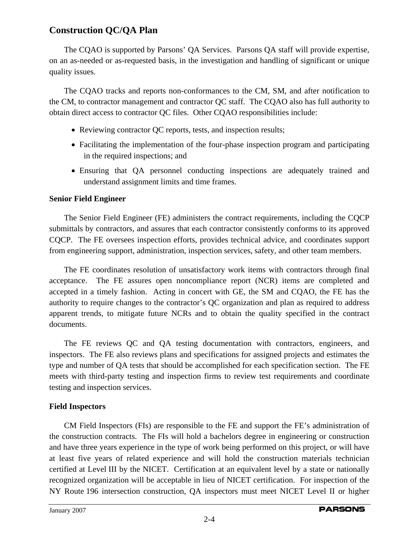The CQAO is supported by Parsons' QA Services. Parsons QA staff will provide expertise, on an as-needed or as-requested basis, in the investigation and handling of significant or unique quality issues.

The CQAO tracks and reports non-conformances to the CM, SM, and after notification to the CM, to contractor management and contractor QC staff. The CQAO also has full authority to obtain direct access to contractor QC files. Other CQAO responsibilities include:

- Reviewing contractor OC reports, tests, and inspection results;
- Facilitating the implementation of the four-phase inspection program and participating in the required inspections; and
- Ensuring that QA personnel conducting inspections are adequately trained and understand assignment limits and time frames.

#### **Senior Field Engineer**

The Senior Field Engineer (FE) administers the contract requirements, including the CQCP submittals by contractors, and assures that each contractor consistently conforms to its approved CQCP. The FE oversees inspection efforts, provides technical advice, and coordinates support from engineering support, administration, inspection services, safety, and other team members.

The FE coordinates resolution of unsatisfactory work items with contractors through final acceptance. The FE assures open noncompliance report (NCR) items are completed and accepted in a timely fashion. Acting in concert with GE, the SM and CQAO, the FE has the authority to require changes to the contractor's QC organization and plan as required to address apparent trends, to mitigate future NCRs and to obtain the quality specified in the contract documents.

The FE reviews QC and QA testing documentation with contractors, engineers, and inspectors. The FE also reviews plans and specifications for assigned projects and estimates the type and number of QA tests that should be accomplished for each specification section. The FE meets with third-party testing and inspection firms to review test requirements and coordinate testing and inspection services.

#### **Field Inspectors**

CM Field Inspectors (FIs) are responsible to the FE and support the FE's administration of the construction contracts. The FIs will hold a bachelors degree in engineering or construction and have three years experience in the type of work being performed on this project, or will have at least five years of related experience and will hold the construction materials technician certified at Level III by the NICET. Certification at an equivalent level by a state or nationally recognized organization will be acceptable in lieu of NICET certification. For inspection of the NY Route 196 intersection construction, QA inspectors must meet NICET Level II or higher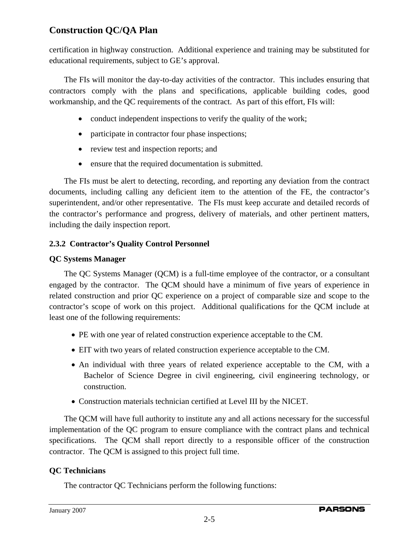certification in highway construction. Additional experience and training may be substituted for educational requirements, subject to GE's approval.

The FIs will monitor the day-to-day activities of the contractor. This includes ensuring that contractors comply with the plans and specifications, applicable building codes, good workmanship, and the QC requirements of the contract. As part of this effort, FIs will:

- conduct independent inspections to verify the quality of the work;
- participate in contractor four phase inspections;
- review test and inspection reports; and
- ensure that the required documentation is submitted.

The FIs must be alert to detecting, recording, and reporting any deviation from the contract documents, including calling any deficient item to the attention of the FE, the contractor's superintendent, and/or other representative. The FIs must keep accurate and detailed records of the contractor's performance and progress, delivery of materials, and other pertinent matters, including the daily inspection report.

#### **2.3.2 Contractor's Quality Control Personnel**

#### **QC Systems Manager**

The QC Systems Manager (QCM) is a full-time employee of the contractor, or a consultant engaged by the contractor. The QCM should have a minimum of five years of experience in related construction and prior QC experience on a project of comparable size and scope to the contractor's scope of work on this project. Additional qualifications for the QCM include at least one of the following requirements:

- PE with one year of related construction experience acceptable to the CM.
- EIT with two years of related construction experience acceptable to the CM.
- An individual with three years of related experience acceptable to the CM, with a Bachelor of Science Degree in civil engineering, civil engineering technology, or construction.
- Construction materials technician certified at Level III by the NICET.

The QCM will have full authority to institute any and all actions necessary for the successful implementation of the QC program to ensure compliance with the contract plans and technical specifications. The QCM shall report directly to a responsible officer of the construction contractor. The QCM is assigned to this project full time.

#### **QC Technicians**

The contractor QC Technicians perform the following functions: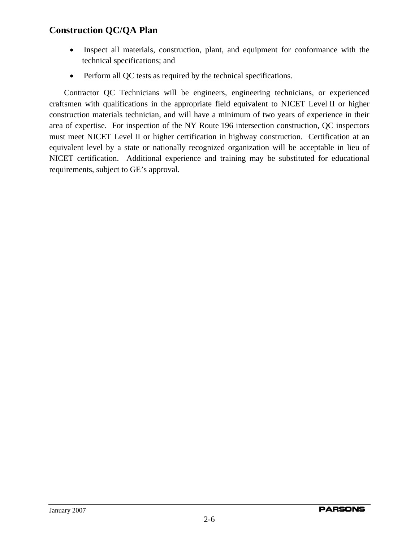- Inspect all materials, construction, plant, and equipment for conformance with the technical specifications; and
- Perform all QC tests as required by the technical specifications.

Contractor QC Technicians will be engineers, engineering technicians, or experienced craftsmen with qualifications in the appropriate field equivalent to NICET Level II or higher construction materials technician, and will have a minimum of two years of experience in their area of expertise. For inspection of the NY Route 196 intersection construction, QC inspectors must meet NICET Level II or higher certification in highway construction. Certification at an equivalent level by a state or nationally recognized organization will be acceptable in lieu of NICET certification. Additional experience and training may be substituted for educational requirements, subject to GE's approval.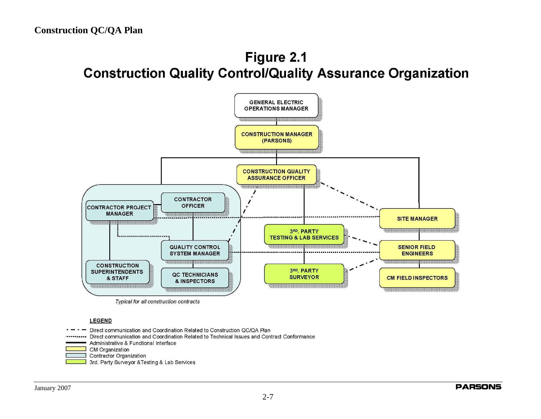# Figure 2.1 **Construction Quality Control/Quality Assurance Organization**



**LEGEND** 

Direct communication and Coordination Related to Construction QC/QA Plan

Direct communication and Coordination Related to Technical Issues and Contract Conformance

Administrative & Functional Interface

CM Organization

**Contractor Organization** 

3rd. Party Surveyor & Testing & Lab Services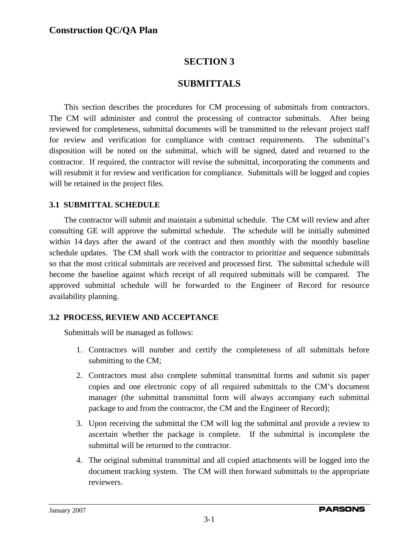### **SECTION 3**

### **SUBMITTALS**

This section describes the procedures for CM processing of submittals from contractors. The CM will administer and control the processing of contractor submittals. After being reviewed for completeness, submittal documents will be transmitted to the relevant project staff for review and verification for compliance with contract requirements. The submittal's disposition will be noted on the submittal, which will be signed, dated and returned to the contractor. If required, the contractor will revise the submittal, incorporating the comments and will resubmit it for review and verification for compliance. Submittals will be logged and copies will be retained in the project files.

#### **3.1 SUBMITTAL SCHEDULE**

The contractor will submit and maintain a submittal schedule. The CM will review and after consulting GE will approve the submittal schedule. The schedule will be initially submitted within 14 days after the award of the contract and then monthly with the monthly baseline schedule updates. The CM shall work with the contractor to prioritize and sequence submittals so that the most critical submittals are received and processed first. The submittal schedule will become the baseline against which receipt of all required submittals will be compared. The approved submittal schedule will be forwarded to the Engineer of Record for resource availability planning.

#### **3.2 PROCESS, REVIEW AND ACCEPTANCE**

Submittals will be managed as follows:

- 1. Contractors will number and certify the completeness of all submittals before submitting to the CM;
- 2. Contractors must also complete submittal transmittal forms and submit six paper copies and one electronic copy of all required submittals to the CM's document manager (the submittal transmittal form will always accompany each submittal package to and from the contractor, the CM and the Engineer of Record);
- 3. Upon receiving the submittal the CM will log the submittal and provide a review to ascertain whether the package is complete. If the submittal is incomplete the submittal will be returned to the contractor.
- 4. The original submittal transmittal and all copied attachments will be logged into the document tracking system. The CM will then forward submittals to the appropriate reviewers.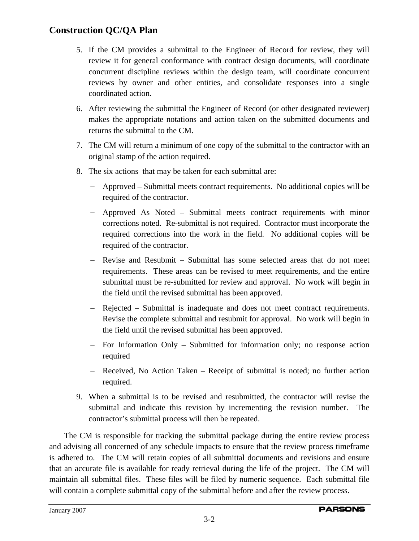- 5. If the CM provides a submittal to the Engineer of Record for review, they will review it for general conformance with contract design documents, will coordinate concurrent discipline reviews within the design team, will coordinate concurrent reviews by owner and other entities, and consolidate responses into a single coordinated action.
- 6. After reviewing the submittal the Engineer of Record (or other designated reviewer) makes the appropriate notations and action taken on the submitted documents and returns the submittal to the CM.
- 7. The CM will return a minimum of one copy of the submittal to the contractor with an original stamp of the action required.
- 8. The six actions that may be taken for each submittal are:
	- − Approved Submittal meets contract requirements. No additional copies will be required of the contractor.
	- − Approved As Noted Submittal meets contract requirements with minor corrections noted. Re-submittal is not required. Contractor must incorporate the required corrections into the work in the field. No additional copies will be required of the contractor.
	- − Revise and Resubmit Submittal has some selected areas that do not meet requirements. These areas can be revised to meet requirements, and the entire submittal must be re-submitted for review and approval. No work will begin in the field until the revised submittal has been approved.
	- − Rejected Submittal is inadequate and does not meet contract requirements. Revise the complete submittal and resubmit for approval. No work will begin in the field until the revised submittal has been approved.
	- − For Information Only Submitted for information only; no response action required
	- − Received, No Action Taken Receipt of submittal is noted; no further action required.
- 9. When a submittal is to be revised and resubmitted, the contractor will revise the submittal and indicate this revision by incrementing the revision number. The contractor's submittal process will then be repeated.

The CM is responsible for tracking the submittal package during the entire review process and advising all concerned of any schedule impacts to ensure that the review process timeframe is adhered to. The CM will retain copies of all submittal documents and revisions and ensure that an accurate file is available for ready retrieval during the life of the project. The CM will maintain all submittal files. These files will be filed by numeric sequence. Each submittal file will contain a complete submittal copy of the submittal before and after the review process.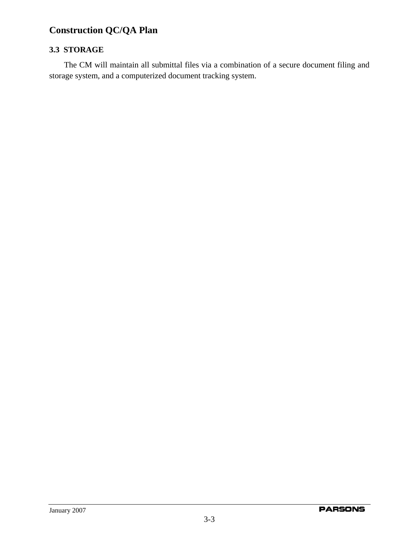#### **3.3 STORAGE**

The CM will maintain all submittal files via a combination of a secure document filing and storage system, and a computerized document tracking system.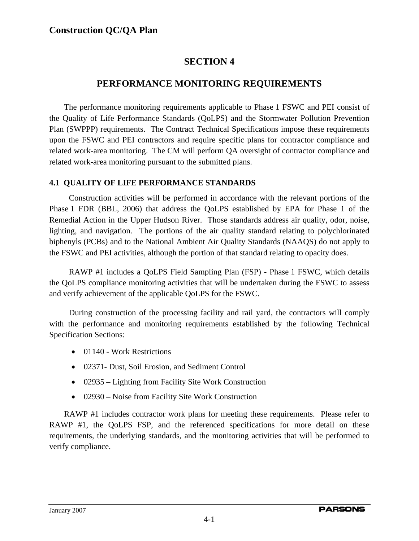### **SECTION 4**

### **PERFORMANCE MONITORING REQUIREMENTS**

The performance monitoring requirements applicable to Phase 1 FSWC and PEI consist of the Quality of Life Performance Standards (QoLPS) and the Stormwater Pollution Prevention Plan (SWPPP) requirements.The Contract Technical Specifications impose these requirements upon the FSWC and PEI contractors and require specific plans for contractor compliance and related work-area monitoring. The CM will perform QA oversight of contractor compliance and related work-area monitoring pursuant to the submitted plans.

#### **4.1 QUALITY OF LIFE PERFORMANCE STANDARDS**

Construction activities will be performed in accordance with the relevant portions of the Phase 1 FDR (BBL, 2006) that address the QoLPS established by EPA for Phase 1 of the Remedial Action in the Upper Hudson River. Those standards address air quality, odor, noise, lighting, and navigation. The portions of the air quality standard relating to polychlorinated biphenyls (PCBs) and to the National Ambient Air Quality Standards (NAAQS) do not apply to the FSWC and PEI activities, although the portion of that standard relating to opacity does.

RAWP #1 includes a QoLPS Field Sampling Plan (FSP) - Phase 1 FSWC, which details the QoLPS compliance monitoring activities that will be undertaken during the FSWC to assess and verify achievement of the applicable QoLPS for the FSWC.

During construction of the processing facility and rail yard, the contractors will comply with the performance and monitoring requirements established by the following Technical Specification Sections:

- 01140 Work Restrictions
- 02371- Dust, Soil Erosion, and Sediment Control
- 02935 Lighting from Facility Site Work Construction
- 02930 Noise from Facility Site Work Construction

RAWP #1 includes contractor work plans for meeting these requirements. Please refer to RAWP #1, the QoLPS FSP, and the referenced specifications for more detail on these requirements, the underlying standards, and the monitoring activities that will be performed to verify compliance.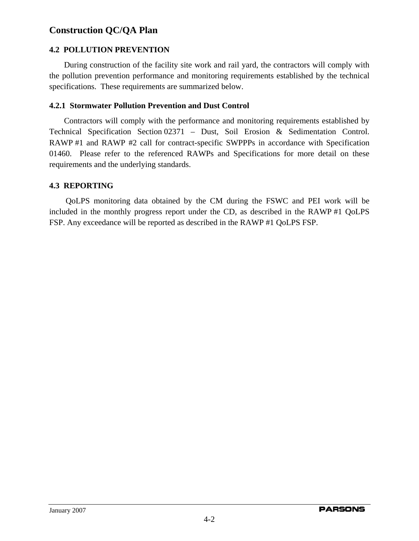#### **4.2 POLLUTION PREVENTION**

During construction of the facility site work and rail yard, the contractors will comply with the pollution prevention performance and monitoring requirements established by the technical specifications. These requirements are summarized below.

#### **4.2.1 Stormwater Pollution Prevention and Dust Control**

Contractors will comply with the performance and monitoring requirements established by Technical Specification Section 02371 – Dust, Soil Erosion & Sedimentation Control. RAWP #1 and RAWP #2 call for contract-specific SWPPPs in accordance with Specification 01460. Please refer to the referenced RAWPs and Specifications for more detail on these requirements and the underlying standards.

#### **4.3 REPORTING**

QoLPS monitoring data obtained by the CM during the FSWC and PEI work will be included in the monthly progress report under the CD, as described in the RAWP #1 QoLPS FSP. Any exceedance will be reported as described in the RAWP #1 QoLPS FSP.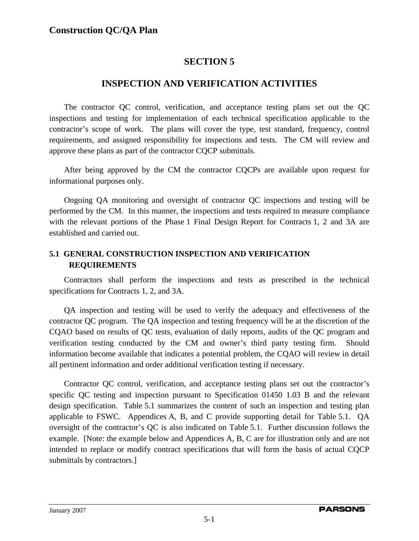### **SECTION 5**

### **INSPECTION AND VERIFICATION ACTIVITIES**

The contractor QC control, verification, and acceptance testing plans set out the QC inspections and testing for implementation of each technical specification applicable to the contractor's scope of work. The plans will cover the type, test standard, frequency, control requirements, and assigned responsibility for inspections and tests. The CM will review and approve these plans as part of the contractor CQCP submittals.

After being approved by the CM the contractor CQCPs are available upon request for informational purposes only.

Ongoing QA monitoring and oversight of contractor QC inspections and testing will be performed by the CM. In this manner, the inspections and tests required to measure compliance with the relevant portions of the Phase 1 Final Design Report for Contracts 1, 2 and 3A are established and carried out.

#### **5.1 GENERAL CONSTRUCTION INSPECTION AND VERIFICATION REQUIREMENTS**

Contractors shall perform the inspections and tests as prescribed in the technical specifications for Contracts 1, 2, and 3A.

QA inspection and testing will be used to verify the adequacy and effectiveness of the contractor QC program. The QA inspection and testing frequency will be at the discretion of the CQAO based on results of QC tests, evaluation of daily reports, audits of the QC program and verification testing conducted by the CM and owner's third party testing firm. Should information become available that indicates a potential problem, the CQAO will review in detail all pertinent information and order additional verification testing if necessary.

Contractor QC control, verification, and acceptance testing plans set out the contractor's specific QC testing and inspection pursuant to Specification 01450 1.03 B and the relevant design specification. Table 5.1 summarizes the content of such an inspection and testing plan applicable to FSWC. Appendices A, B, and C provide supporting detail for Table 5.1. QA oversight of the contractor's QC is also indicated on Table 5.1. Further discussion follows the example. [Note: the example below and Appendices A, B, C are for illustration only and are not intended to replace or modify contract specifications that will form the basis of actual CQCP submittals by contractors.]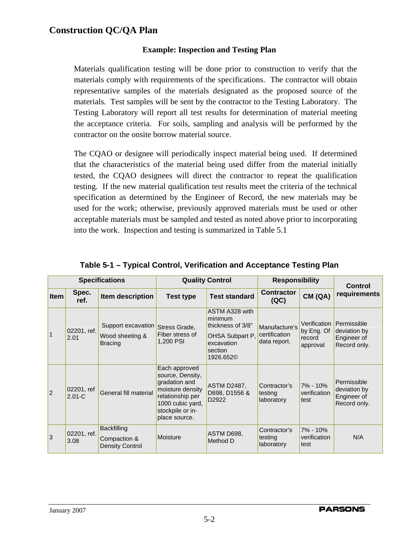#### **Example: Inspection and Testing Plan**

Materials qualification testing will be done prior to construction to verify that the materials comply with requirements of the specifications. The contractor will obtain representative samples of the materials designated as the proposed source of the materials. Test samples will be sent by the contractor to the Testing Laboratory. The Testing Laboratory will report all test results for determination of material meeting the acceptance criteria. For soils, sampling and analysis will be performed by the contractor on the onsite borrow material source.

The CQAO or designee will periodically inspect material being used. If determined that the characteristics of the material being used differ from the material initially tested, the CQAO designees will direct the contractor to repeat the qualification testing. If the new material qualification test results meet the criteria of the technical specification as determined by the Engineer of Record, the new materials may be used for the work; otherwise, previously approved materials must be used or other acceptable materials must be sampled and tested as noted above prior to incorporating into the work. Inspection and testing is summarized in Table 5.1

| <b>Specifications</b> |                          |                                                         | <b>Quality Control</b>                                                                                                                              |                                                                                                                     | <b>Responsibility</b>                          |                                                  | Control                                                    |  |
|-----------------------|--------------------------|---------------------------------------------------------|-----------------------------------------------------------------------------------------------------------------------------------------------------|---------------------------------------------------------------------------------------------------------------------|------------------------------------------------|--------------------------------------------------|------------------------------------------------------------|--|
| Item                  | Spec.<br>ref.            | Item description                                        | <b>Test type</b>                                                                                                                                    | <b>Test standard</b>                                                                                                | <b>Contractor</b><br>(QC)                      | CM (QA)                                          | requirements                                               |  |
| $\mathbf{1}$          | 02201, ref.<br>2.01      | Support excavation<br>Wood sheeting &<br><b>Bracing</b> | Stress Grade,<br>Fiber stress of<br>1,200 PSI                                                                                                       | ASTM A328 with<br>minimum<br>thickness of 3/8"<br>OHSA Subpart P,<br>excavation<br>section<br>1926.652 <sup>©</sup> | Manufacture's<br>certification<br>data report. | Verification<br>by Eng. Of<br>record<br>approval | Permissible<br>deviation by<br>Engineer of<br>Record only. |  |
| $ 2\rangle$           | 02201, ref<br>$2.01 - C$ | General fill material                                   | Each approved<br>source, Density,<br>gradation and<br>moisture density<br>relationship per<br>1000 cubic yard,<br>stockpile or in-<br>place source. | <b>ASTM D2487,</b><br>D698, D1556 &<br>D <sub>2922</sub>                                                            | Contractor's<br>testing<br>laboratory          | 7% - 10%<br>verification<br>test                 | Permissible<br>deviation by<br>Engineer of<br>Record only. |  |
| 3                     | 02201, ref.<br>3.08      | <b>Backfilling</b><br>Compaction &<br>Density Control   | Moisture                                                                                                                                            | ASTM D698.<br>Method D                                                                                              | Contractor's<br>testing<br>laboratory          | 7% - 10%<br>verification<br>test                 | N/A                                                        |  |

#### **Table 5-1 – Typical Control, Verification and Acceptance Testing Plan**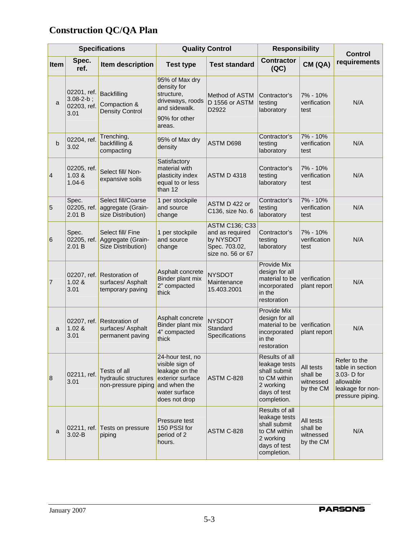| <b>Specifications</b> |                                                        | <b>Quality Control</b>                                              |                                                                                                                             | <b>Responsibility</b>                                                                       |                                                                                                             | <b>Control</b>                                  |                                                                                                      |
|-----------------------|--------------------------------------------------------|---------------------------------------------------------------------|-----------------------------------------------------------------------------------------------------------------------------|---------------------------------------------------------------------------------------------|-------------------------------------------------------------------------------------------------------------|-------------------------------------------------|------------------------------------------------------------------------------------------------------|
| Item                  | Spec.<br>ref.                                          | Item description                                                    | <b>Test type</b>                                                                                                            | <b>Test standard</b>                                                                        | <b>Contractor</b><br>(QC)                                                                                   | CM (QA)                                         | requirements                                                                                         |
| a                     | 02201, ref.<br>$3.08 - 2 - b$ ;<br>02203, ref.<br>3.01 | <b>Backfilling</b><br>Compaction &<br><b>Density Control</b>        | 95% of Max dry<br>density for<br>structure,<br>driveways, roods<br>and sidewalk.<br>90% for other<br>areas.                 | <b>Method of ASTM</b><br>D 1556 or ASTM<br>D2922                                            | Contractor's<br>testing<br>laboratory                                                                       | 7% - 10%<br>verification<br>test                | N/A                                                                                                  |
| b                     | 02204, ref.<br>3.02                                    | Trenching,<br>backfilling &<br>compacting                           | 95% of Max dry<br>density                                                                                                   | ASTM D698                                                                                   | Contractor's<br>testing<br>laboratory                                                                       | 7% - 10%<br>verification<br>test                | N/A                                                                                                  |
| $\overline{4}$        | 02205, ref.<br>1.03 &<br>$1.04 - 6$                    | Select fill/ Non-<br>expansive soils                                | Satisfactory<br>material with<br>plasticity index<br>equal to or less<br>than 12                                            | <b>ASTM D 4318</b>                                                                          | Contractor's<br>testing<br>laboratory                                                                       | 7% - 10%<br>verification<br>test                | N/A                                                                                                  |
| 5                     | Spec.<br>02205, ref.<br>2.01 B                         | Select fill/Coarse<br>aggregate (Grain-<br>size Distribution)       | 1 per stockpile<br>and source<br>change                                                                                     | ASTM D 422 or<br>C136, size No. 6                                                           | Contractor's<br>testing<br>laboratory                                                                       | 7% - 10%<br>verification<br>test                | N/A                                                                                                  |
| 6                     | Spec.<br>02205, ref.<br>2.01 B                         | Select fill/ Fine<br>Aggregate (Grain-<br>Size Distribution)        | 1 per stockpile<br>and source<br>change                                                                                     | <b>ASTM C136; C33</b><br>and as required<br>by NYSDOT<br>Spec. 703.02,<br>size no. 56 or 67 | Contractor's<br>testing<br>laboratory                                                                       | 7% - 10%<br>verification<br>test                | N/A                                                                                                  |
| 7                     | 1.02 &<br>3.01                                         | 02207, ref. Restoration of<br>surfaces/ Asphalt<br>temporary paving | Asphalt concrete<br>Binder plant mix<br>2" compacted<br>thick                                                               | <b>NYSDOT</b><br>Maintenance<br>15.403.2001                                                 | Provide Mix<br>design for all<br>material to be<br>incorporated<br>in the<br>restoration                    | verification<br>plant report                    | N/A                                                                                                  |
| a                     | 02207, ref.<br>1.02 &<br>3.01                          | <b>Restoration of</b><br>surfaces/ Asphalt<br>permanent paving      | Asphalt concrete<br>Binder plant mix<br>4" compacted<br>thick                                                               | <b>NYSDOT</b><br>Standard<br>Specifications                                                 | Provide Mix<br>design for all<br>material to be<br>incorporated<br>in the<br>restoration                    | verification<br>plant report                    | N/A                                                                                                  |
| 8                     | 02211, ref.<br>3.01                                    | Tests of all<br>hydraulic structures<br>non-pressure piping         | 24-hour test, no<br>visible sign of<br>leakage on the<br>exterior surface<br>and when the<br>water surface<br>does not drop | ASTM C-828                                                                                  | Results of all<br>leakage tests<br>shall submit<br>to CM within<br>2 working<br>days of test<br>completion. | All tests<br>shall be<br>witnessed<br>by the CM | Refer to the<br>table in section<br>3.03- D for<br>allowable<br>leakage for non-<br>pressure piping. |
| a                     | 02211, ref.<br>$3.02 - B$                              | Tests on pressure<br>piping                                         | Pressure test<br>150 PSSI for<br>period of 2<br>hours.                                                                      | ASTM C-828                                                                                  | Results of all<br>leakage tests<br>shall submit<br>to CM within<br>2 working<br>days of test<br>completion. | All tests<br>shall be<br>witnessed<br>by the CM | N/A                                                                                                  |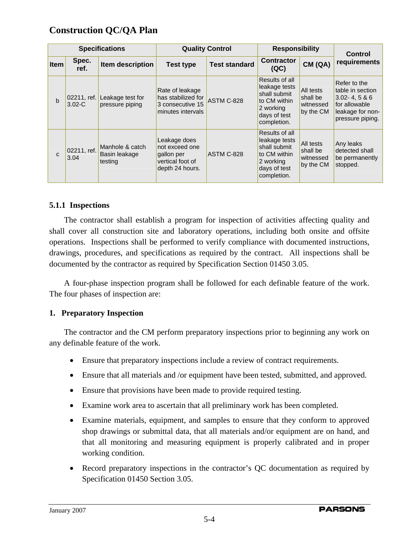| <b>Specifications</b> |                           |                                             | <b>Quality Control</b>                                                              |                      | <b>Responsibility</b>                                                                                       |                                                 | <b>Control</b>                                                                                                |  |
|-----------------------|---------------------------|---------------------------------------------|-------------------------------------------------------------------------------------|----------------------|-------------------------------------------------------------------------------------------------------------|-------------------------------------------------|---------------------------------------------------------------------------------------------------------------|--|
| <b>Item</b>           | Spec.<br>ref.             | Item description                            | <b>Test type</b>                                                                    | <b>Test standard</b> | <b>Contractor</b><br>(QC)                                                                                   | CM(QA)                                          | requirements                                                                                                  |  |
| b                     | 02211, ref.<br>$3.02 - C$ | Leakage test for<br>pressure piping         | Rate of leakage<br>has stabilized for<br>3 consecutive 15<br>minutes intervals      | ASTM C-828           | Results of all<br>leakage tests<br>shall submit<br>to CM within<br>2 working<br>days of test<br>completion. | All tests<br>shall be<br>witnessed<br>by the CM | Refer to the<br>table in section<br>$3.02 - 4.5 & 6$<br>for allowable<br>leakage for non-<br>pressure piping. |  |
| $\mathbf{C}$          | 02211, ref.<br>3.04       | Manhole & catch<br>Basin leakage<br>testing | Leakage does<br>not exceed one<br>gallon per<br>vertical foot of<br>depth 24 hours. | ASTM C-828           | Results of all<br>leakage tests<br>shall submit<br>to CM within<br>2 working<br>days of test<br>completion. | All tests<br>shall be<br>witnessed<br>by the CM | Any leaks<br>detected shall<br>be permanently<br>stopped.                                                     |  |

#### **5.1.1 Inspections**

The contractor shall establish a program for inspection of activities affecting quality and shall cover all construction site and laboratory operations, including both onsite and offsite operations. Inspections shall be performed to verify compliance with documented instructions, drawings, procedures, and specifications as required by the contract. All inspections shall be documented by the contractor as required by Specification Section 01450 3.05.

A four-phase inspection program shall be followed for each definable feature of the work. The four phases of inspection are:

#### **1. Preparatory Inspection**

The contractor and the CM perform preparatory inspections prior to beginning any work on any definable feature of the work.

- Ensure that preparatory inspections include a review of contract requirements.
- Ensure that all materials and /or equipment have been tested, submitted, and approved.
- Ensure that provisions have been made to provide required testing.
- Examine work area to ascertain that all preliminary work has been completed.
- Examine materials, equipment, and samples to ensure that they conform to approved shop drawings or submittal data, that all materials and/or equipment are on hand, and that all monitoring and measuring equipment is properly calibrated and in proper working condition.
- Record preparatory inspections in the contractor's QC documentation as required by Specification 01450 Section 3.05.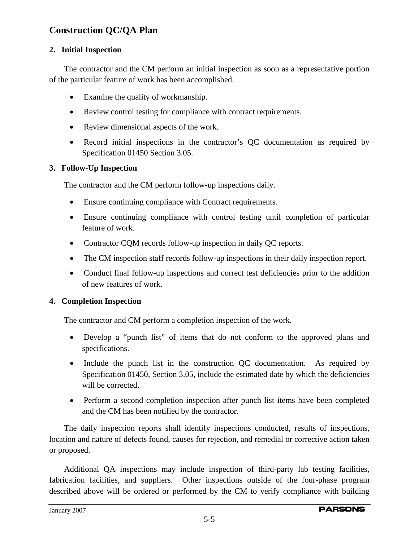#### **2. Initial Inspection**

The contractor and the CM perform an initial inspection as soon as a representative portion of the particular feature of work has been accomplished.

- Examine the quality of workmanship.
- Review control testing for compliance with contract requirements.
- Review dimensional aspects of the work.
- Record initial inspections in the contractor's QC documentation as required by Specification 01450 Section 3.05.

#### **3. Follow-Up Inspection**

The contractor and the CM perform follow-up inspections daily.

- Ensure continuing compliance with Contract requirements.
- Ensure continuing compliance with control testing until completion of particular feature of work.
- Contractor CQM records follow-up inspection in daily QC reports.
- The CM inspection staff records follow-up inspections in their daily inspection report.
- Conduct final follow-up inspections and correct test deficiencies prior to the addition of new features of work.

#### **4. Completion Inspection**

The contractor and CM perform a completion inspection of the work.

- Develop a "punch list" of items that do not conform to the approved plans and specifications.
- Include the punch list in the construction QC documentation. As required by Specification 01450, Section 3.05, include the estimated date by which the deficiencies will be corrected.
- Perform a second completion inspection after punch list items have been completed and the CM has been notified by the contractor.

The daily inspection reports shall identify inspections conducted, results of inspections, location and nature of defects found, causes for rejection, and remedial or corrective action taken or proposed.

Additional QA inspections may include inspection of third-party lab testing facilities, fabrication facilities, and suppliers. Other inspections outside of the four-phase program described above will be ordered or performed by the CM to verify compliance with building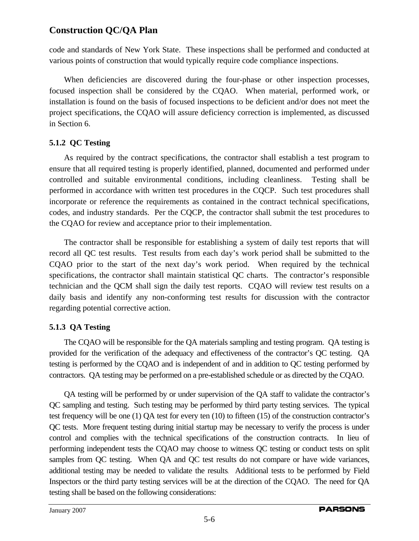code and standards of New York State. These inspections shall be performed and conducted at various points of construction that would typically require code compliance inspections.

When deficiencies are discovered during the four-phase or other inspection processes, focused inspection shall be considered by the CQAO. When material, performed work, or installation is found on the basis of focused inspections to be deficient and/or does not meet the project specifications, the CQAO will assure deficiency correction is implemented, as discussed in Section 6.

#### **5.1.2 QC Testing**

As required by the contract specifications, the contractor shall establish a test program to ensure that all required testing is properly identified, planned, documented and performed under controlled and suitable environmental conditions, including cleanliness. Testing shall be performed in accordance with written test procedures in the CQCP. Such test procedures shall incorporate or reference the requirements as contained in the contract technical specifications, codes, and industry standards. Per the CQCP, the contractor shall submit the test procedures to the CQAO for review and acceptance prior to their implementation.

The contractor shall be responsible for establishing a system of daily test reports that will record all QC test results. Test results from each day's work period shall be submitted to the CQAO prior to the start of the next day's work period. When required by the technical specifications, the contractor shall maintain statistical QC charts. The contractor's responsible technician and the QCM shall sign the daily test reports. CQAO will review test results on a daily basis and identify any non-conforming test results for discussion with the contractor regarding potential corrective action.

#### **5.1.3 QA Testing**

The CQAO will be responsible for the QA materials sampling and testing program. QA testing is provided for the verification of the adequacy and effectiveness of the contractor's QC testing. QA testing is performed by the CQAO and is independent of and in addition to QC testing performed by contractors. QA testing may be performed on a pre-established schedule or as directed by the CQAO.

QA testing will be performed by or under supervision of the QA staff to validate the contractor's QC sampling and testing. Such testing may be performed by third party testing services. The typical test frequency will be one (1) QA test for every ten (10) to fifteen (15) of the construction contractor's QC tests. More frequent testing during initial startup may be necessary to verify the process is under control and complies with the technical specifications of the construction contracts. In lieu of performing independent tests the CQAO may choose to witness QC testing or conduct tests on split samples from QC testing. When QA and QC test results do not compare or have wide variances, additional testing may be needed to validate the results. Additional tests to be performed by Field Inspectors or the third party testing services will be at the direction of the CQAO. The need for QA testing shall be based on the following considerations: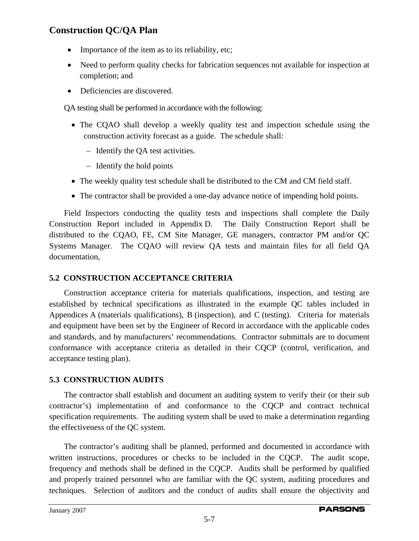- Importance of the item as to its reliability, etc;
- Need to perform quality checks for fabrication sequences not available for inspection at completion; and
- Deficiencies are discovered.

QA testing shall be performed in accordance with the following:

- The CQAO shall develop a weekly quality test and inspection schedule using the construction activity forecast as a guide. The schedule shall:
	- − Identify the QA test activities.
	- − Identify the hold points
- The weekly quality test schedule shall be distributed to the CM and CM field staff.
- The contractor shall be provided a one-day advance notice of impending hold points.

Field Inspectors conducting the quality tests and inspections shall complete the Daily Construction Report included in Appendix D. The Daily Construction Report shall be distributed to the CQAO, FE, CM Site Manager, GE managers, contractor PM and/or QC Systems Manager. The CQAO will review QA tests and maintain files for all field QA documentation,

#### **5.2 CONSTRUCTION ACCEPTANCE CRITERIA**

Construction acceptance criteria for materials qualifications, inspection, and testing are established by technical specifications as illustrated in the example QC tables included in Appendices A (materials qualifications), B (inspection), and C (testing). Criteria for materials and equipment have been set by the Engineer of Record in accordance with the applicable codes and standards, and by manufacturers' recommendations. Contractor submittals are to document conformance with acceptance criteria as detailed in their CQCP (control, verification, and acceptance testing plan).

#### **5.3 CONSTRUCTION AUDITS**

The contractor shall establish and document an auditing system to verify their (or their sub contractor's) implementation of and conformance to the CQCP and contract technical specification requirements. The auditing system shall be used to make a determination regarding the effectiveness of the QC system.

The contractor's auditing shall be planned, performed and documented in accordance with written instructions, procedures or checks to be included in the CQCP. The audit scope, frequency and methods shall be defined in the CQCP. Audits shall be performed by qualified and properly trained personnel who are familiar with the QC system, auditing procedures and techniques. Selection of auditors and the conduct of audits shall ensure the objectivity and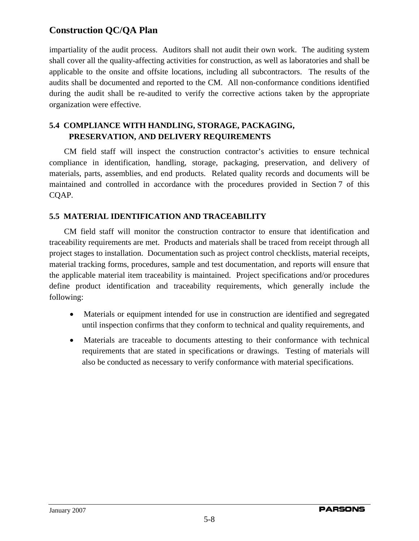impartiality of the audit process. Auditors shall not audit their own work. The auditing system shall cover all the quality-affecting activities for construction, as well as laboratories and shall be applicable to the onsite and offsite locations, including all subcontractors. The results of the audits shall be documented and reported to the CM. All non-conformance conditions identified during the audit shall be re-audited to verify the corrective actions taken by the appropriate organization were effective.

#### **5.4 COMPLIANCE WITH HANDLING, STORAGE, PACKAGING, PRESERVATION, AND DELIVERY REQUIREMENTS**

CM field staff will inspect the construction contractor's activities to ensure technical compliance in identification, handling, storage, packaging, preservation, and delivery of materials, parts, assemblies, and end products. Related quality records and documents will be maintained and controlled in accordance with the procedures provided in Section 7 of this CQAP.

#### **5.5 MATERIAL IDENTIFICATION AND TRACEABILITY**

CM field staff will monitor the construction contractor to ensure that identification and traceability requirements are met. Products and materials shall be traced from receipt through all project stages to installation. Documentation such as project control checklists, material receipts, material tracking forms, procedures, sample and test documentation, and reports will ensure that the applicable material item traceability is maintained. Project specifications and/or procedures define product identification and traceability requirements, which generally include the following:

- Materials or equipment intended for use in construction are identified and segregated until inspection confirms that they conform to technical and quality requirements, and
- Materials are traceable to documents attesting to their conformance with technical requirements that are stated in specifications or drawings. Testing of materials will also be conducted as necessary to verify conformance with material specifications.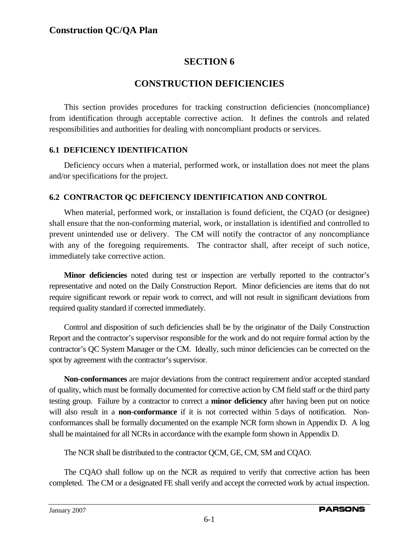### **SECTION 6**

### **CONSTRUCTION DEFICIENCIES**

This section provides procedures for tracking construction deficiencies (noncompliance) from identification through acceptable corrective action. It defines the controls and related responsibilities and authorities for dealing with noncompliant products or services.

#### **6.1 DEFICIENCY IDENTIFICATION**

Deficiency occurs when a material, performed work, or installation does not meet the plans and/or specifications for the project.

#### **6.2 CONTRACTOR QC DEFICIENCY IDENTIFICATION AND CONTROL**

When material, performed work, or installation is found deficient, the CQAO (or designee) shall ensure that the non-conforming material, work, or installation is identified and controlled to prevent unintended use or delivery. The CM will notify the contractor of any noncompliance with any of the foregoing requirements. The contractor shall, after receipt of such notice, immediately take corrective action.

**Minor deficiencies** noted during test or inspection are verbally reported to the contractor's representative and noted on the Daily Construction Report. Minor deficiencies are items that do not require significant rework or repair work to correct, and will not result in significant deviations from required quality standard if corrected immediately.

Control and disposition of such deficiencies shall be by the originator of the Daily Construction Report and the contractor's supervisor responsible for the work and do not require formal action by the contractor's QC System Manager or the CM. Ideally, such minor deficiencies can be corrected on the spot by agreement with the contractor's supervisor.

**Non-conformances** are major deviations from the contract requirement and/or accepted standard of quality, which must be formally documented for corrective action by CM field staff or the third party testing group. Failure by a contractor to correct a **minor deficiency** after having been put on notice will also result in a **non-conformance** if it is not corrected within 5 days of notification. Nonconformances shall be formally documented on the example NCR form shown in Appendix D. A log shall be maintained for all NCRs in accordance with the example form shown in Appendix D.

The NCR shall be distributed to the contractor QCM, GE, CM, SM and CQAO.

The CQAO shall follow up on the NCR as required to verify that corrective action has been completed. The CM or a designated FE shall verify and accept the corrected work by actual inspection.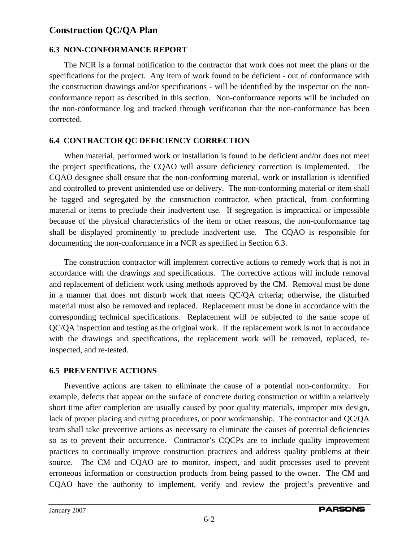#### **6.3 NON-CONFORMANCE REPORT**

The NCR is a formal notification to the contractor that work does not meet the plans or the specifications for the project. Any item of work found to be deficient - out of conformance with the construction drawings and/or specifications - will be identified by the inspector on the nonconformance report as described in this section. Non-conformance reports will be included on the non-conformance log and tracked through verification that the non-conformance has been corrected.

#### **6.4 CONTRACTOR QC DEFICIENCY CORRECTION**

When material, performed work or installation is found to be deficient and/or does not meet the project specifications, the CQAO will assure deficiency correction is implemented. The CQAO designee shall ensure that the non-conforming material, work or installation is identified and controlled to prevent unintended use or delivery. The non-conforming material or item shall be tagged and segregated by the construction contractor, when practical, from conforming material or items to preclude their inadvertent use. If segregation is impractical or impossible because of the physical characteristics of the item or other reasons, the non-conformance tag shall be displayed prominently to preclude inadvertent use. The CQAO is responsible for documenting the non-conformance in a NCR as specified in Section 6.3.

The construction contractor will implement corrective actions to remedy work that is not in accordance with the drawings and specifications. The corrective actions will include removal and replacement of deficient work using methods approved by the CM. Removal must be done in a manner that does not disturb work that meets QC/QA criteria; otherwise, the disturbed material must also be removed and replaced. Replacement must be done in accordance with the corresponding technical specifications. Replacement will be subjected to the same scope of QC/QA inspection and testing as the original work. If the replacement work is not in accordance with the drawings and specifications, the replacement work will be removed, replaced, reinspected, and re-tested.

#### **6.5 PREVENTIVE ACTIONS**

Preventive actions are taken to eliminate the cause of a potential non-conformity. For example, defects that appear on the surface of concrete during construction or within a relatively short time after completion are usually caused by poor quality materials, improper mix design, lack of proper placing and curing procedures, or poor workmanship. The contractor and QC/QA team shall take preventive actions as necessary to eliminate the causes of potential deficiencies so as to prevent their occurrence. Contractor's CQCPs are to include quality improvement practices to continually improve construction practices and address quality problems at their source. The CM and CQAO are to monitor, inspect, and audit processes used to prevent erroneous information or construction products from being passed to the owner. The CM and CQAO have the authority to implement, verify and review the project's preventive and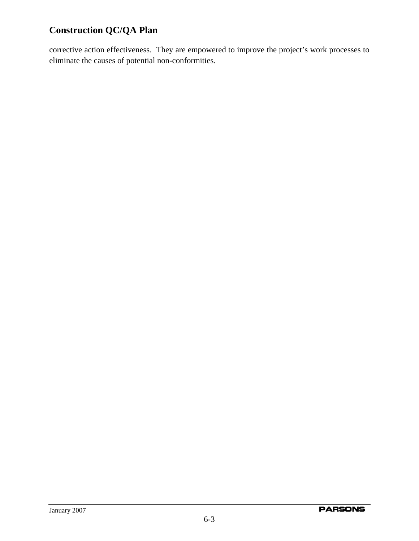corrective action effectiveness. They are empowered to improve the project's work processes to eliminate the causes of potential non-conformities.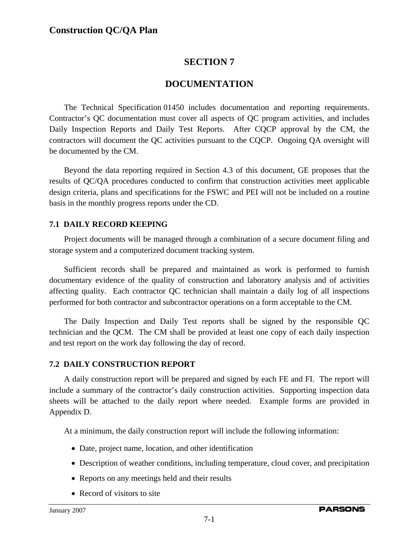## **SECTION 7**

## **DOCUMENTATION**

The Technical Specification 01450 includes documentation and reporting requirements. Contractor's QC documentation must cover all aspects of QC program activities, and includes Daily Inspection Reports and Daily Test Reports. After CQCP approval by the CM, the contractors will document the QC activities pursuant to the CQCP. Ongoing QA oversight will be documented by the CM.

Beyond the data reporting required in Section 4.3 of this document, GE proposes that the results of QC/QA procedures conducted to confirm that construction activities meet applicable design criteria, plans and specifications for the FSWC and PEI will not be included on a routine basis in the monthly progress reports under the CD.

### **7.1 DAILY RECORD KEEPING**

Project documents will be managed through a combination of a secure document filing and storage system and a computerized document tracking system.

Sufficient records shall be prepared and maintained as work is performed to furnish documentary evidence of the quality of construction and laboratory analysis and of activities affecting quality. Each contractor QC technician shall maintain a daily log of all inspections performed for both contractor and subcontractor operations on a form acceptable to the CM.

The Daily Inspection and Daily Test reports shall be signed by the responsible QC technician and the QCM. The CM shall be provided at least one copy of each daily inspection and test report on the work day following the day of record.

### **7.2 DAILY CONSTRUCTION REPORT**

A daily construction report will be prepared and signed by each FE and FI. The report will include a summary of the contractor's daily construction activities. Supporting inspection data sheets will be attached to the daily report where needed. Example forms are provided in Appendix D.

At a minimum, the daily construction report will include the following information:

- Date, project name, location, and other identification
- Description of weather conditions, including temperature, cloud cover, and precipitation
- Reports on any meetings held and their results
- Record of visitors to site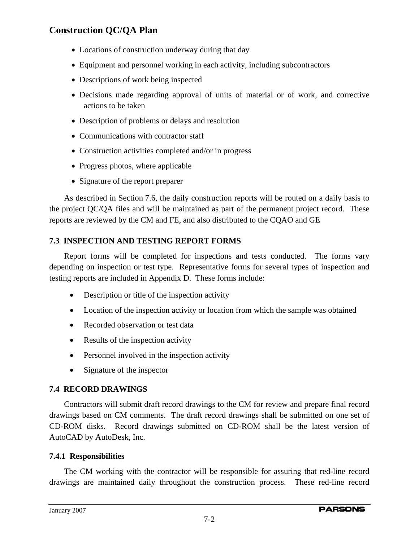- Locations of construction underway during that day
- Equipment and personnel working in each activity, including subcontractors
- Descriptions of work being inspected
- Decisions made regarding approval of units of material or of work, and corrective actions to be taken
- Description of problems or delays and resolution
- Communications with contractor staff
- Construction activities completed and/or in progress
- Progress photos, where applicable
- Signature of the report preparer

As described in Section 7.6, the daily construction reports will be routed on a daily basis to the project QC/QA files and will be maintained as part of the permanent project record. These reports are reviewed by the CM and FE, and also distributed to the CQAO and GE

## **7.3 INSPECTION AND TESTING REPORT FORMS**

Report forms will be completed for inspections and tests conducted. The forms vary depending on inspection or test type. Representative forms for several types of inspection and testing reports are included in Appendix D. These forms include:

- Description or title of the inspection activity
- Location of the inspection activity or location from which the sample was obtained
- Recorded observation or test data
- Results of the inspection activity
- Personnel involved in the inspection activity
- Signature of the inspector

## **7.4 RECORD DRAWINGS**

Contractors will submit draft record drawings to the CM for review and prepare final record drawings based on CM comments. The draft record drawings shall be submitted on one set of CD-ROM disks. Record drawings submitted on CD-ROM shall be the latest version of AutoCAD by AutoDesk, Inc.

## **7.4.1 Responsibilities**

The CM working with the contractor will be responsible for assuring that red-line record drawings are maintained daily throughout the construction process. These red-line record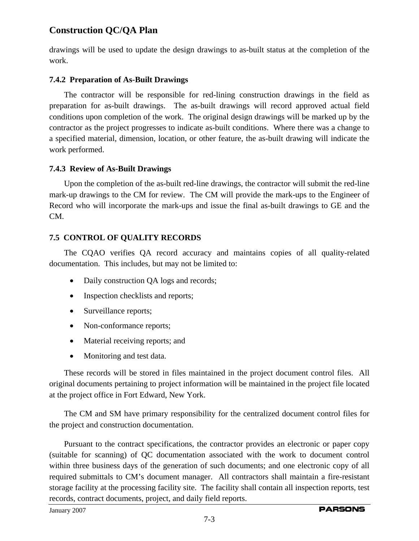drawings will be used to update the design drawings to as-built status at the completion of the work.

### **7.4.2 Preparation of As-Built Drawings**

The contractor will be responsible for red-lining construction drawings in the field as preparation for as-built drawings. The as-built drawings will record approved actual field conditions upon completion of the work. The original design drawings will be marked up by the contractor as the project progresses to indicate as-built conditions. Where there was a change to a specified material, dimension, location, or other feature, the as-built drawing will indicate the work performed.

### **7.4.3 Review of As-Built Drawings**

Upon the completion of the as-built red-line drawings, the contractor will submit the red-line mark-up drawings to the CM for review. The CM will provide the mark-ups to the Engineer of Record who will incorporate the mark-ups and issue the final as-built drawings to GE and the CM.

## **7.5 CONTROL OF QUALITY RECORDS**

The CQAO verifies QA record accuracy and maintains copies of all quality-related documentation. This includes, but may not be limited to:

- Daily construction QA logs and records;
- Inspection checklists and reports;
- Surveillance reports;
- Non-conformance reports;
- Material receiving reports; and
- Monitoring and test data.

These records will be stored in files maintained in the project document control files. All original documents pertaining to project information will be maintained in the project file located at the project office in Fort Edward, New York.

The CM and SM have primary responsibility for the centralized document control files for the project and construction documentation.

Pursuant to the contract specifications, the contractor provides an electronic or paper copy (suitable for scanning) of QC documentation associated with the work to document control within three business days of the generation of such documents; and one electronic copy of all required submittals to CM's document manager. All contractors shall maintain a fire-resistant storage facility at the processing facility site. The facility shall contain all inspection reports, test records, contract documents, project, and daily field reports.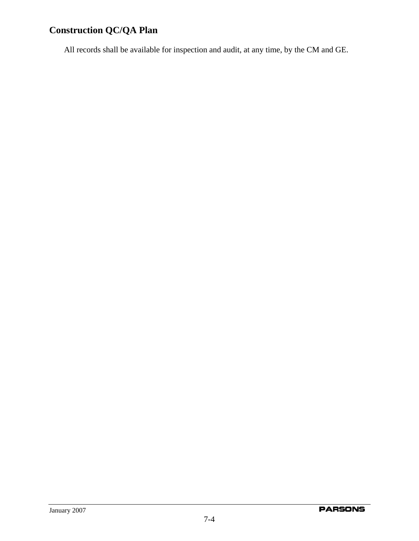All records shall be available for inspection and audit, at any time, by the CM and GE.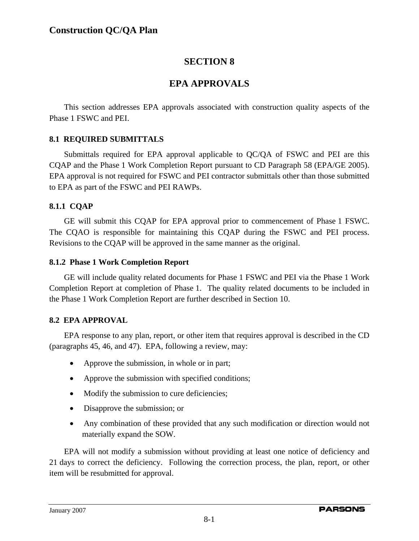# **SECTION 8**

# **EPA APPROVALS**

This section addresses EPA approvals associated with construction quality aspects of the Phase 1 FSWC and PEI.

## **8.1 REQUIRED SUBMITTALS**

Submittals required for EPA approval applicable to QC/QA of FSWC and PEI are this CQAP and the Phase 1 Work Completion Report pursuant to CD Paragraph 58 (EPA/GE 2005). EPA approval is not required for FSWC and PEI contractor submittals other than those submitted to EPA as part of the FSWC and PEI RAWPs.

## **8.1.1 CQAP**

GE will submit this CQAP for EPA approval prior to commencement of Phase 1 FSWC. The CQAO is responsible for maintaining this CQAP during the FSWC and PEI process. Revisions to the CQAP will be approved in the same manner as the original.

## **8.1.2 Phase 1 Work Completion Report**

GE will include quality related documents for Phase 1 FSWC and PEI via the Phase 1 Work Completion Report at completion of Phase 1. The quality related documents to be included in the Phase 1 Work Completion Report are further described in Section 10.

## **8.2 EPA APPROVAL**

EPA response to any plan, report, or other item that requires approval is described in the CD (paragraphs 45, 46, and 47). EPA, following a review, may:

- Approve the submission, in whole or in part;
- Approve the submission with specified conditions;
- Modify the submission to cure deficiencies;
- Disapprove the submission; or
- Any combination of these provided that any such modification or direction would not materially expand the SOW.

EPA will not modify a submission without providing at least one notice of deficiency and 21 days to correct the deficiency. Following the correction process, the plan, report, or other item will be resubmitted for approval.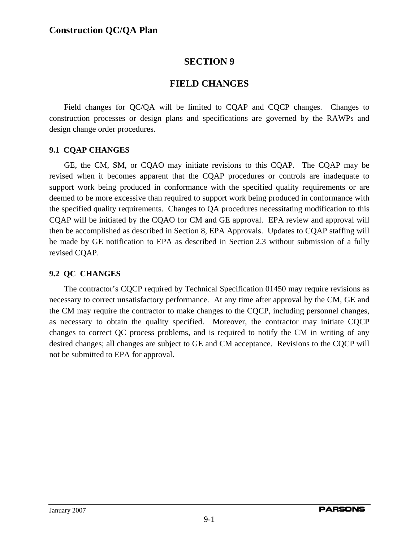# **SECTION 9**

# **FIELD CHANGES**

Field changes for QC/QA will be limited to CQAP and CQCP changes. Changes to construction processes or design plans and specifications are governed by the RAWPs and design change order procedures.

## **9.1 CQAP CHANGES**

GE, the CM, SM, or CQAO may initiate revisions to this CQAP. The CQAP may be revised when it becomes apparent that the CQAP procedures or controls are inadequate to support work being produced in conformance with the specified quality requirements or are deemed to be more excessive than required to support work being produced in conformance with the specified quality requirements. Changes to QA procedures necessitating modification to this CQAP will be initiated by the CQAO for CM and GE approval. EPA review and approval will then be accomplished as described in Section 8, EPA Approvals. Updates to CQAP staffing will be made by GE notification to EPA as described in Section 2.3 without submission of a fully revised CQAP.

## **9.2 QC CHANGES**

The contractor's CQCP required by Technical Specification 01450 may require revisions as necessary to correct unsatisfactory performance. At any time after approval by the CM, GE and the CM may require the contractor to make changes to the CQCP, including personnel changes, as necessary to obtain the quality specified. Moreover, the contractor may initiate CQCP changes to correct QC process problems, and is required to notify the CM in writing of any desired changes; all changes are subject to GE and CM acceptance. Revisions to the CQCP will not be submitted to EPA for approval.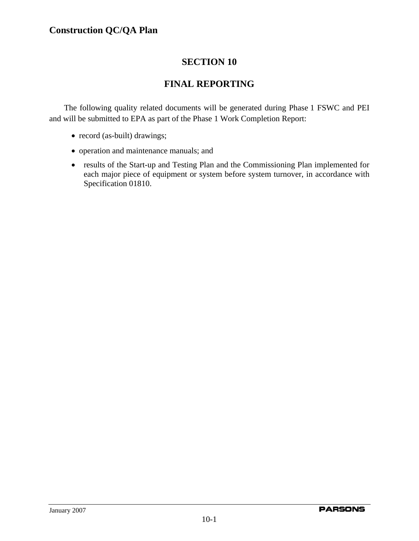# **SECTION 10**

# **FINAL REPORTING**

The following quality related documents will be generated during Phase 1 FSWC and PEI and will be submitted to EPA as part of the Phase 1 Work Completion Report:

- record (as-built) drawings;
- operation and maintenance manuals; and
- results of the Start-up and Testing Plan and the Commissioning Plan implemented for each major piece of equipment or system before system turnover, in accordance with Specification 01810.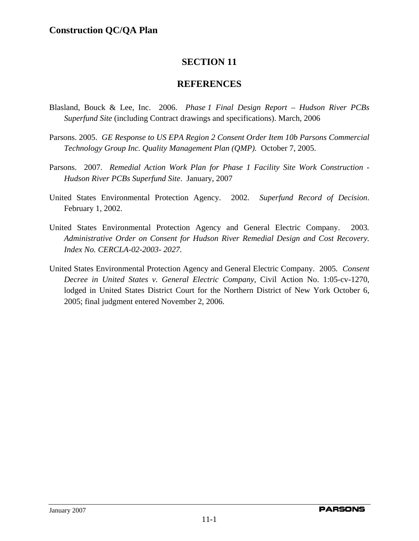# **SECTION 11**

## **REFERENCES**

- Blasland, Bouck & Lee, Inc. 2006. *Phase 1 Final Design Report Hudson River PCBs Superfund Site* (including Contract drawings and specifications). March, 2006
- Parsons. 2005. *GE Response to US EPA Region 2 Consent Order Item 10b Parsons Commercial Technology Group Inc. Quality Management Plan (QMP).* October 7, 2005.
- Parsons. 2007. *Remedial Action Work Plan for Phase 1 Facility Site Work Construction Hudson River PCBs Superfund Site*. January, 2007
- United States Environmental Protection Agency. 2002. *Superfund Record of Decision*. February 1, 2002.
- United States Environmental Protection Agency and General Electric Company. 2003*. Administrative Order on Consent for Hudson River Remedial Design and Cost Recovery. Index No. CERCLA-02-2003- 2027*.
- United States Environmental Protection Agency and General Electric Company. 2005*. Consent Decree in United States v. General Electric Company,* Civil Action No. 1:05-cv-1270, lodged in United States District Court for the Northern District of New York October 6, 2005; final judgment entered November 2, 2006.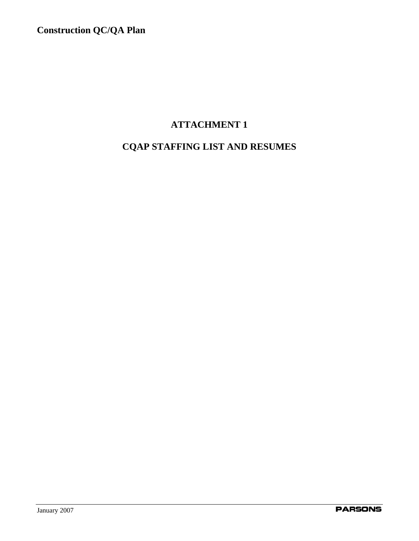# **ATTACHMENT 1**

# **CQAP STAFFING LIST AND RESUMES**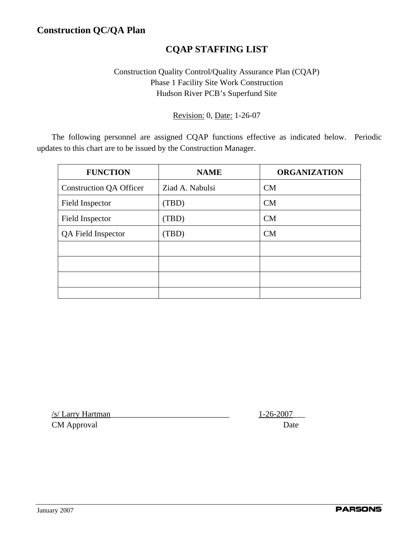# **CQAP STAFFING LIST**

# Construction Quality Control/Quality Assurance Plan (CQAP) Phase 1 Facility Site Work Construction Hudson River PCB's Superfund Site

Revision: 0, Date: 1-26-07

The following personnel are assigned CQAP functions effective as indicated below. Periodic updates to this chart are to be issued by the Construction Manager.

| <b>FUNCTION</b>                | <b>NAME</b>     | <b>ORGANIZATION</b> |
|--------------------------------|-----------------|---------------------|
| <b>Construction QA Officer</b> | Ziad A. Nabulsi | CM                  |
| Field Inspector                | (TBD)           | CM                  |
| <b>Field Inspector</b>         | (TBD)           | CM                  |
| QA Field Inspector             | (TBD)           | CM                  |
|                                |                 |                     |
|                                |                 |                     |
|                                |                 |                     |
|                                |                 |                     |

/s/ Larry Hartman\_\_\_\_\_\_\_\_\_\_\_\_\_\_\_\_\_\_\_\_\_\_\_\_\_\_\_\_\_ 1-26-2007\_\_\_

CM Approval Date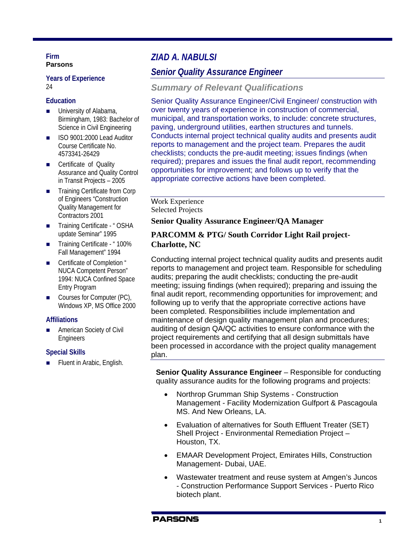#### **Firm Parsons**

#### **Years of Experience** 24

#### **Education**

- **University of Alabama,** Birmingham, 1983: Bachelor of Science in Civil Engineering
- ISO 9001:2000 Lead Auditor Course Certificate No. 4573341-26429
- Certificate of Quality Assurance and Quality Control in Transit Projects – 2005
- Training Certificate from Corp of Engineers "Construction Quality Management for Contractors 2001
- Training Certificate " OSHA update Seminar" 1995
- Training Certificate "100% Fall Management" 1994
- Certificate of Completion " NUCA Competent Person" 1994: NUCA Confined Space Entry Program
- Courses for Computer (PC), Windows XP, MS Office 2000

### **Affiliations**

**American Society of Civil** Engineers

### **Special Skills**

Fluent in Arabic, English.

# *ZIAD A. NABULSI*

# *Senior Quality Assurance Engineer*

### *Summary of Relevant Qualifications*

Senior Quality Assurance Engineer/Civil Engineer/ construction with over twenty years of experience in construction of commercial, municipal, and transportation works, to include: concrete structures, paving, underground utilities, earthen structures and tunnels. Conducts internal project technical quality audits and presents audit reports to management and the project team. Prepares the audit checklists; conducts the pre-audit meeting; issues findings (when required); prepares and issues the final audit report, recommending opportunities for improvement; and follows up to verify that the appropriate corrective actions have been completed.

#### Work Experience Selected Projects

### **Senior Quality Assurance Engineer/QA Manager**

### **PARCOMM & PTG/ South Corridor Light Rail project-Charlotte, NC**

Conducting internal project technical quality audits and presents audit reports to management and project team. Responsible for scheduling audits; preparing the audit checklists; conducting the pre-audit meeting; issuing findings (when required); preparing and issuing the final audit report, recommending opportunities for improvement; and following up to verify that the appropriate corrective actions have been completed. Responsibilities include implementation and maintenance of design quality management plan and procedures; auditing of design QA/QC activities to ensure conformance with the project requirements and certifying that all design submittals have been processed in accordance with the project quality management plan.

**Senior Quality Assurance Engineer** – Responsible for conducting quality assurance audits for the following programs and projects:

- Northrop Grumman Ship Systems Construction Management - Facility Modernization Gulfport & Pascagoula MS. And New Orleans, LA.
- Evaluation of alternatives for South Effluent Treater (SET) Shell Project - Environmental Remediation Project – Houston, TX.
- EMAAR Development Project, Emirates Hills, Construction Management- Dubai, UAE.
- Wastewater treatment and reuse system at Amgen's Juncos - Construction Performance Support Services - Puerto Rico biotech plant.

#### **PARSONS**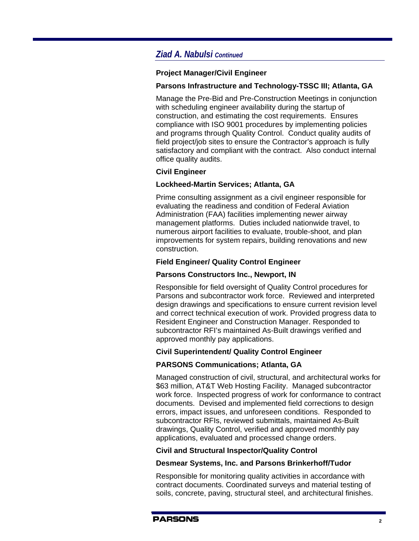# *Ziad A. Nabulsi Continued*

#### **Project Manager/Civil Engineer**

### **Parsons Infrastructure and Technology-TSSC III; Atlanta, GA**

Manage the Pre-Bid and Pre-Construction Meetings in conjunction with scheduling engineer availability during the startup of construction, and estimating the cost requirements. Ensures compliance with ISO 9001 procedures by implementing policies and programs through Quality Control. Conduct quality audits of field project/job sites to ensure the Contractor's approach is fully satisfactory and compliant with the contract. Also conduct internal office quality audits.

### **Civil Engineer**

#### **Lockheed-Martin Services; Atlanta, GA**

Prime consulting assignment as a civil engineer responsible for evaluating the readiness and condition of Federal Aviation Administration (FAA) facilities implementing newer airway management platforms. Duties included nationwide travel, to numerous airport facilities to evaluate, trouble-shoot, and plan improvements for system repairs, building renovations and new construction.

### **Field Engineer/ Quality Control Engineer**

#### **Parsons Constructors Inc., Newport, IN**

Responsible for field oversight of Quality Control procedures for Parsons and subcontractor work force. Reviewed and interpreted design drawings and specifications to ensure current revision level and correct technical execution of work. Provided progress data to Resident Engineer and Construction Manager. Responded to subcontractor RFI's maintained As-Built drawings verified and approved monthly pay applications.

### **Civil Superintendent/ Quality Control Engineer**

### **PARSONS Communications; Atlanta, GA**

Managed construction of civil, structural, and architectural works for \$63 million, AT&T Web Hosting Facility. Managed subcontractor work force. Inspected progress of work for conformance to contract documents. Devised and implemented field corrections to design errors, impact issues, and unforeseen conditions. Responded to subcontractor RFIs, reviewed submittals, maintained As-Built drawings, Quality Control, verified and approved monthly pay applications, evaluated and processed change orders.

#### **Civil and Structural Inspector/Quality Control**

#### **Desmear Systems, Inc. and Parsons Brinkerhoff/Tudor**

Responsible for monitoring quality activities in accordance with contract documents. Coordinated surveys and material testing of soils, concrete, paving, structural steel, and architectural finishes.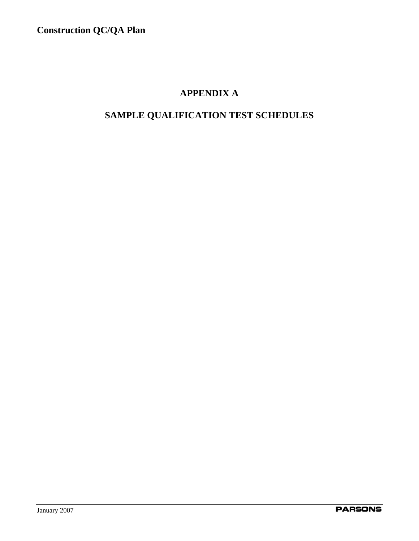# **APPENDIX A**

# **SAMPLE QUALIFICATION TEST SCHEDULES**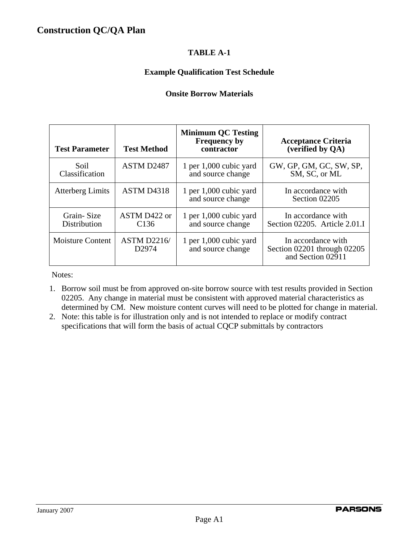### **Example Qualification Test Schedule**

### **Onsite Borrow Materials**

| <b>Test Parameter</b>      | <b>Test Method</b>                      | <b>Minimum QC Testing</b><br><b>Frequency by</b><br>contractor | <b>Acceptance Criteria</b><br>(verified by QA)                         |
|----------------------------|-----------------------------------------|----------------------------------------------------------------|------------------------------------------------------------------------|
| Soil<br>Classification     | ASTM D2487                              | 1 per 1,000 cubic yard<br>and source change                    | GW, GP, GM, GC, SW, SP,<br>SM, SC, or ML                               |
| <b>Atterberg Limits</b>    | ASTM D4318                              | 1 per $1,000$ cubic yard<br>and source change                  | In accordance with<br>Section 02205                                    |
| Grain-Size<br>Distribution | ASTM D422 or<br>C <sub>136</sub>        | 1 per $1,000$ cubic yard<br>and source change                  | In accordance with<br>Section 02205. Article 2.01.I                    |
| <b>Moisture Content</b>    | <b>ASTM D2216/</b><br>D <sub>2974</sub> | 1 per 1,000 cubic yard<br>and source change                    | In accordance with<br>Section 02201 through 02205<br>and Section 02911 |

Notes:

- 1. Borrow soil must be from approved on-site borrow source with test results provided in Section 02205. Any change in material must be consistent with approved material characteristics as determined by CM. New moisture content curves will need to be plotted for change in material.
- 2. Note: this table is for illustration only and is not intended to replace or modify contract specifications that will form the basis of actual CQCP submittals by contractors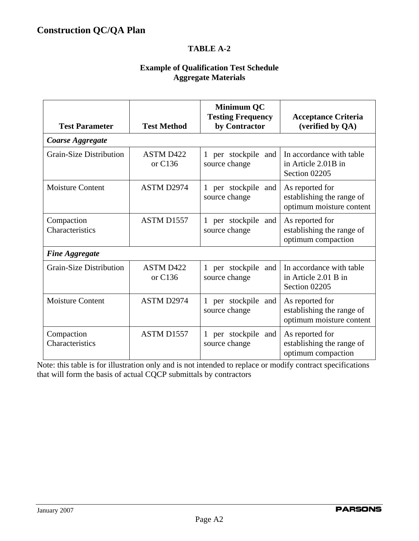### **Example of Qualification Test Schedule Aggregate Materials**

| <b>Test Parameter</b>          | <b>Test Method</b>            | <b>Minimum QC</b><br><b>Testing Frequency</b><br>by Contractor | <b>Acceptance Criteria</b><br>(verified by QA)                           |
|--------------------------------|-------------------------------|----------------------------------------------------------------|--------------------------------------------------------------------------|
| Coarse Aggregate               |                               |                                                                |                                                                          |
| <b>Grain-Size Distribution</b> | <b>ASTM D422</b><br>or $C136$ | 1 per stockpile and<br>source change                           | In accordance with table<br>in Article 2.01B in<br>Section 02205         |
| <b>Moisture Content</b>        | ASTM D2974                    | 1 per stockpile<br>and<br>source change                        | As reported for<br>establishing the range of<br>optimum moisture content |
| Compaction<br>Characteristics  | ASTM D1557                    | 1 per stockpile<br>and<br>source change                        | As reported for<br>establishing the range of<br>optimum compaction       |
| <b>Fine Aggregate</b>          |                               |                                                                |                                                                          |
| <b>Grain-Size Distribution</b> | <b>ASTM D422</b><br>or C136   | 1 per stockpile<br>and<br>source change                        | In accordance with table<br>in Article 2.01 B in<br>Section 02205        |
| <b>Moisture Content</b>        | ASTM D2974                    | 1 per stockpile<br>and<br>source change                        | As reported for<br>establishing the range of<br>optimum moisture content |
| Compaction<br>Characteristics  | ASTM D1557                    | per stockpile<br>and<br>source change                          | As reported for<br>establishing the range of<br>optimum compaction       |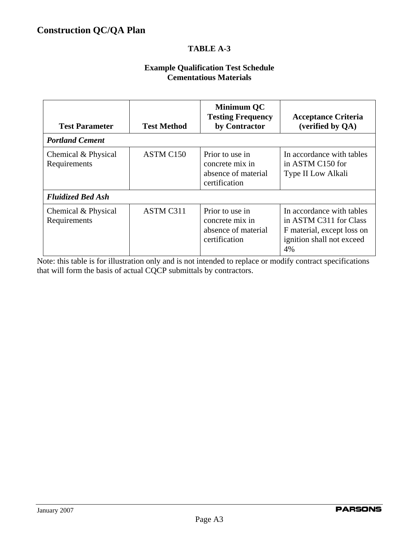### **Example Qualification Test Schedule Cementatious Materials**

| <b>Test Parameter</b>               | <b>Test Method</b> | Minimum QC<br><b>Testing Frequency</b><br>by Contractor                    | <b>Acceptance Criteria</b><br>(verified by QA)                                                                       |
|-------------------------------------|--------------------|----------------------------------------------------------------------------|----------------------------------------------------------------------------------------------------------------------|
| <b>Portland Cement</b>              |                    |                                                                            |                                                                                                                      |
| Chemical & Physical<br>Requirements | ASTM C150          | Prior to use in<br>concrete mix in<br>absence of material<br>certification | In accordance with tables<br>in ASTM C150 for<br>Type II Low Alkali                                                  |
| <b>Fluidized Bed Ash</b>            |                    |                                                                            |                                                                                                                      |
| Chemical & Physical<br>Requirements | ASTM C311          | Prior to use in<br>concrete mix in<br>absence of material<br>certification | In accordance with tables<br>in ASTM C311 for Class<br>F material, except loss on<br>ignition shall not exceed<br>4% |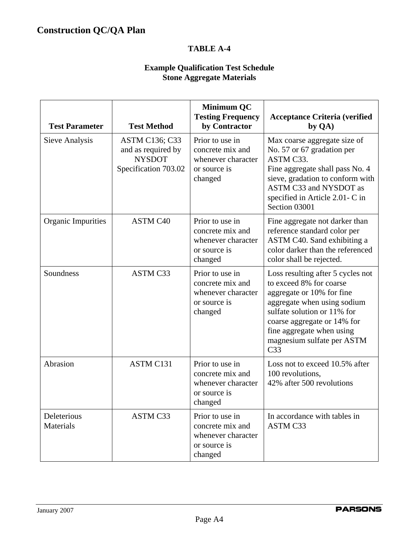## **Example Qualification Test Schedule Stone Aggregate Materials**

| <b>Test Parameter</b>    | <b>Test Method</b>                                                                   | <b>Minimum QC</b><br><b>Testing Frequency</b><br>by Contractor                       | <b>Acceptance Criteria (verified</b><br>by QA)                                                                                                                                                                                                                       |
|--------------------------|--------------------------------------------------------------------------------------|--------------------------------------------------------------------------------------|----------------------------------------------------------------------------------------------------------------------------------------------------------------------------------------------------------------------------------------------------------------------|
| Sieve Analysis           | <b>ASTM C136; C33</b><br>and as required by<br><b>NYSDOT</b><br>Specification 703.02 | Prior to use in<br>concrete mix and<br>whenever character<br>or source is<br>changed | Max coarse aggregate size of<br>No. 57 or 67 gradation per<br>ASTM C33.<br>Fine aggregate shall pass No. 4<br>sieve, gradation to conform with<br>ASTM C33 and NYSDOT as<br>specified in Article 2.01- C in<br>Section 03001                                         |
| Organic Impurities       | ASTM C40                                                                             | Prior to use in<br>concrete mix and<br>whenever character<br>or source is<br>changed | Fine aggregate not darker than<br>reference standard color per<br>ASTM C40. Sand exhibiting a<br>color darker than the referenced<br>color shall be rejected.                                                                                                        |
| Soundness                | <b>ASTM C33</b>                                                                      | Prior to use in<br>concrete mix and<br>whenever character<br>or source is<br>changed | Loss resulting after 5 cycles not<br>to exceed 8% for coarse<br>aggregate or 10% for fine<br>aggregate when using sodium<br>sulfate solution or 11% for<br>coarse aggregate or 14% for<br>fine aggregate when using<br>magnesium sulfate per ASTM<br>C <sub>33</sub> |
| Abrasion                 | ASTM C131                                                                            | Prior to use in<br>concrete mix and<br>whenever character<br>or source is<br>changed | Loss not to exceed 10.5% after<br>100 revolutions,<br>42% after 500 revolutions                                                                                                                                                                                      |
| Deleterious<br>Materials | ASTM C33                                                                             | Prior to use in<br>concrete mix and<br>whenever character<br>or source is<br>changed | In accordance with tables in<br>ASTM C33                                                                                                                                                                                                                             |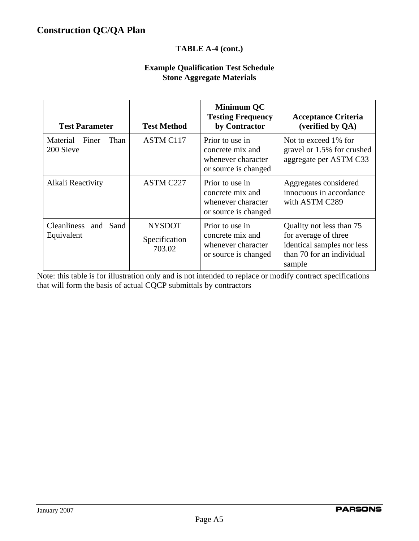### **TABLE A-4 (cont.)**

### **Example Qualification Test Schedule Stone Aggregate Materials**

| <b>Test Parameter</b>                 | <b>Test Method</b>                       | <b>Minimum QC</b><br><b>Testing Frequency</b><br>by Contractor                    | <b>Acceptance Criteria</b><br>(verified by QA)                                                                        |
|---------------------------------------|------------------------------------------|-----------------------------------------------------------------------------------|-----------------------------------------------------------------------------------------------------------------------|
| Material Finer<br>Than<br>200 Sieve   | ASTM C117                                | Prior to use in<br>concrete mix and<br>whenever character<br>or source is changed | Not to exceed 1% for<br>gravel or 1.5% for crushed<br>aggregate per ASTM C33                                          |
| Alkali Reactivity                     | ASTM C227                                | Prior to use in<br>concrete mix and<br>whenever character<br>or source is changed | Aggregates considered<br>innocuous in accordance<br>with ASTM C289                                                    |
| Cleanliness and<br>Sand<br>Equivalent | <b>NYSDOT</b><br>Specification<br>703.02 | Prior to use in<br>concrete mix and<br>whenever character<br>or source is changed | Quality not less than 75<br>for average of three<br>identical samples nor less<br>than 70 for an individual<br>sample |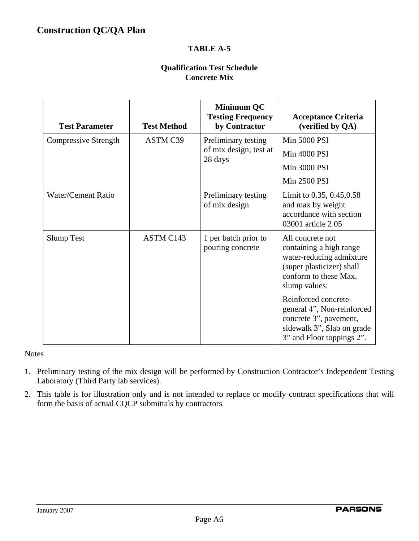### **Qualification Test Schedule Concrete Mix**

| <b>Test Parameter</b> | <b>Test Method</b> | <b>Minimum QC</b><br><b>Testing Frequency</b><br>by Contractor | <b>Acceptance Criteria</b><br>(verified by QA)                                                                                                 |
|-----------------------|--------------------|----------------------------------------------------------------|------------------------------------------------------------------------------------------------------------------------------------------------|
| Compressive Strength  | ASTM C39           | Preliminary testing                                            | <b>Min 5000 PSI</b>                                                                                                                            |
|                       |                    | of mix design; test at<br>28 days                              | <b>Min 4000 PSI</b>                                                                                                                            |
|                       |                    |                                                                | Min 3000 PSI                                                                                                                                   |
|                       |                    |                                                                | Min 2500 PSI                                                                                                                                   |
| Water/Cement Ratio    |                    | Preliminary testing<br>of mix design                           | Limit to $0.35, 0.45, 0.58$<br>and max by weight<br>accordance with section<br>03001 article 2.05                                              |
| <b>Slump Test</b>     | ASTM C143          | 1 per batch prior to<br>pouring concrete                       | All concrete not<br>containing a high range<br>water-reducing admixture<br>(super plasticizer) shall<br>conform to these Max.<br>slump values: |
|                       |                    |                                                                | Reinforced concrete-<br>general 4", Non-reinforced<br>concrete 3", pavement,<br>sidewalk 3", Slab on grade<br>3" and Floor toppings 2".        |

### **Notes**

- 1. Preliminary testing of the mix design will be performed by Construction Contractor's Independent Testing Laboratory (Third Party lab services).
- 2. This table is for illustration only and is not intended to replace or modify contract specifications that will form the basis of actual CQCP submittals by contractors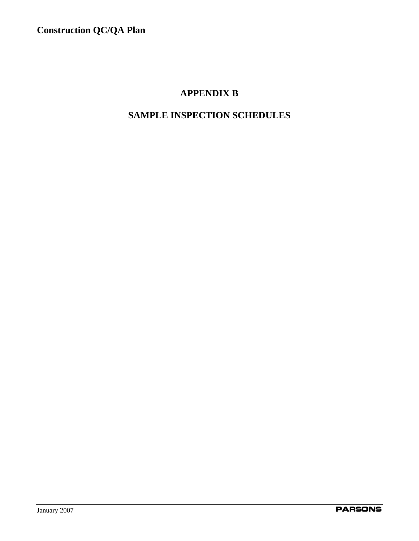# **APPENDIX B**

# **SAMPLE INSPECTION SCHEDULES**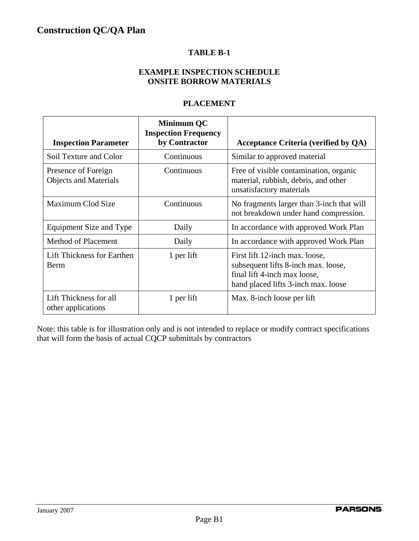### **TABLE B-1**

## **EXAMPLE INSPECTION SCHEDULE ONSITE BORROW MATERIALS**

### **PLACEMENT**

| <b>Inspection Parameter</b>                         | <b>Minimum QC</b><br><b>Inspection Frequency</b><br>by Contractor | <b>Acceptance Criteria (verified by QA)</b>                                                                                                  |
|-----------------------------------------------------|-------------------------------------------------------------------|----------------------------------------------------------------------------------------------------------------------------------------------|
| Soil Texture and Color                              | Continuous                                                        | Similar to approved material                                                                                                                 |
| Presence of Foreign<br><b>Objects and Materials</b> | Continuous                                                        | Free of visible contamination, organic<br>material, rubbish, debris, and other<br>unsatisfactory materials                                   |
| Maximum Clod Size                                   | Continuous                                                        | No fragments larger than 3-inch that will<br>not breakdown under hand compression.                                                           |
| Equipment Size and Type                             | Daily                                                             | In accordance with approved Work Plan                                                                                                        |
| <b>Method of Placement</b>                          | Daily                                                             | In accordance with approved Work Plan                                                                                                        |
| Lift Thickness for Earthen<br><b>Berm</b>           | 1 per lift                                                        | First lift 12-inch max. loose,<br>subsequent lifts 8-inch max. loose,<br>final lift 4-inch max loose,<br>hand placed lifts 3-inch max. loose |
| Lift Thickness for all<br>other applications        | 1 per lift                                                        | Max. 8-inch loose per lift                                                                                                                   |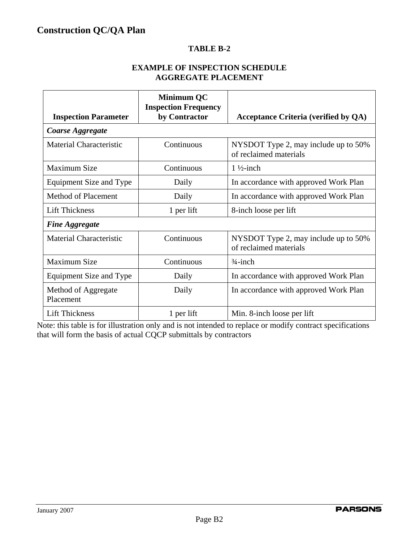### **TABLE B-2**

### **EXAMPLE OF INSPECTION SCHEDULE AGGREGATE PLACEMENT**

| <b>Inspection Parameter</b>      | <b>Minimum QC</b><br><b>Inspection Frequency</b><br>by Contractor | <b>Acceptance Criteria (verified by QA)</b>                    |
|----------------------------------|-------------------------------------------------------------------|----------------------------------------------------------------|
| Coarse Aggregate                 |                                                                   |                                                                |
| Material Characteristic          | Continuous                                                        | NYSDOT Type 2, may include up to 50%<br>of reclaimed materials |
| <b>Maximum Size</b>              | Continuous                                                        | $1\frac{1}{2}$ -inch                                           |
| Equipment Size and Type          | Daily                                                             | In accordance with approved Work Plan                          |
| Method of Placement              | Daily                                                             | In accordance with approved Work Plan                          |
| <b>Lift Thickness</b>            | 1 per lift                                                        | 8-inch loose per lift                                          |
| <b>Fine Aggregate</b>            |                                                                   |                                                                |
| Material Characteristic          | Continuous                                                        | NYSDOT Type 2, may include up to 50%<br>of reclaimed materials |
| <b>Maximum Size</b>              | Continuous                                                        | $\frac{3}{4}$ -inch                                            |
| Equipment Size and Type          | Daily                                                             | In accordance with approved Work Plan                          |
| Method of Aggregate<br>Placement | Daily                                                             | In accordance with approved Work Plan                          |
| <b>Lift Thickness</b>            | 1 per lift                                                        | Min. 8-inch loose per lift                                     |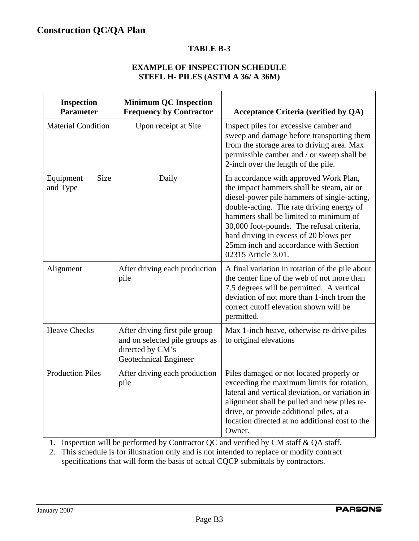### **TABLE B-3**

### **EXAMPLE OF INSPECTION SCHEDULE STEEL H- PILES (ASTM A 36/ A 36M)**

| <b>Inspection</b><br><b>Parameter</b> | <b>Minimum QC Inspection</b><br><b>Frequency by Contractor</b>                                                | <b>Acceptance Criteria (verified by QA)</b>                                                                                                                                                                                                                                                                                                                                      |
|---------------------------------------|---------------------------------------------------------------------------------------------------------------|----------------------------------------------------------------------------------------------------------------------------------------------------------------------------------------------------------------------------------------------------------------------------------------------------------------------------------------------------------------------------------|
| <b>Material Condition</b>             | Upon receipt at Site                                                                                          | Inspect piles for excessive camber and<br>sweep and damage before transporting them<br>from the storage area to driving area. Max<br>permissible camber and / or sweep shall be<br>2-inch over the length of the pile.                                                                                                                                                           |
| <b>Size</b><br>Equipment<br>and Type  | Daily                                                                                                         | In accordance with approved Work Plan,<br>the impact hammers shall be steam, air or<br>diesel-power pile hammers of single-acting,<br>double-acting. The rate driving energy of<br>hammers shall be limited to minimum of<br>30,000 foot-pounds. The refusal criteria,<br>hard driving in excess of 20 blows per<br>25mm inch and accordance with Section<br>02315 Article 3.01. |
| Alignment                             | After driving each production<br>pile                                                                         | A final variation in rotation of the pile about<br>the center line of the web of not more than<br>7.5 degrees will be permitted. A vertical<br>deviation of not more than 1-inch from the<br>correct cutoff elevation shown will be<br>permitted.                                                                                                                                |
| <b>Heave Checks</b>                   | After driving first pile group<br>and on selected pile groups as<br>directed by CM's<br>Geotechnical Engineer | Max 1-inch heave, otherwise re-drive piles<br>to original elevations                                                                                                                                                                                                                                                                                                             |
| <b>Production Piles</b>               | After driving each production<br>pile                                                                         | Piles damaged or not located properly or<br>exceeding the maximum limits for rotation,<br>lateral and vertical deviation, or variation in<br>alignment shall be pulled and new piles re-<br>drive, or provide additional piles, at a<br>location directed at no additional cost to the<br>Owner.                                                                                 |

1. Inspection will be performed by Contractor QC and verified by CM staff & QA staff.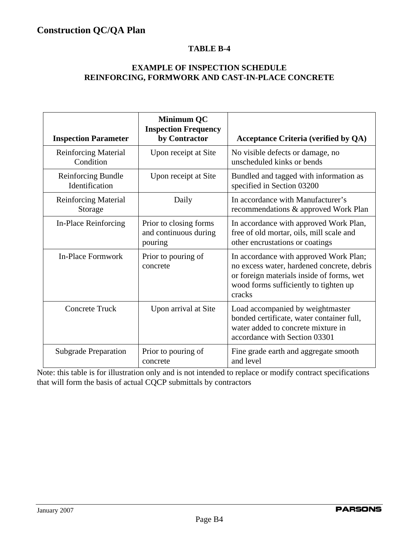### **TABLE B-4**

### **EXAMPLE OF INSPECTION SCHEDULE REINFORCING, FORMWORK AND CAST-IN-PLACE CONCRETE**

| <b>Inspection Parameter</b>              | <b>Minimum QC</b><br><b>Inspection Frequency</b><br>by Contractor | <b>Acceptance Criteria (verified by QA)</b>                                                                                                                                          |
|------------------------------------------|-------------------------------------------------------------------|--------------------------------------------------------------------------------------------------------------------------------------------------------------------------------------|
| <b>Reinforcing Material</b><br>Condition | Upon receipt at Site                                              | No visible defects or damage, no<br>unscheduled kinks or bends                                                                                                                       |
| Reinforcing Bundle<br>Identification     | Upon receipt at Site                                              | Bundled and tagged with information as<br>specified in Section 03200                                                                                                                 |
| <b>Reinforcing Material</b><br>Storage   | Daily                                                             | In accordance with Manufacturer's<br>recommendations & approved Work Plan                                                                                                            |
| In-Place Reinforcing                     | Prior to closing forms<br>and continuous during<br>pouring        | In accordance with approved Work Plan,<br>free of old mortar, oils, mill scale and<br>other encrustations or coatings                                                                |
| In-Place Formwork                        | Prior to pouring of<br>concrete                                   | In accordance with approved Work Plan;<br>no excess water, hardened concrete, debris<br>or foreign materials inside of forms, wet<br>wood forms sufficiently to tighten up<br>cracks |
| <b>Concrete Truck</b>                    | Upon arrival at Site                                              | Load accompanied by weightmaster<br>bonded certificate, water container full,<br>water added to concrete mixture in<br>accordance with Section 03301                                 |
| <b>Subgrade Preparation</b>              | Prior to pouring of<br>concrete                                   | Fine grade earth and aggregate smooth<br>and level                                                                                                                                   |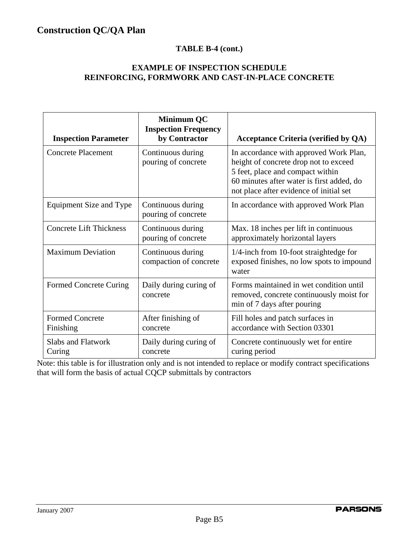## **TABLE B-4 (cont.)**

### **EXAMPLE OF INSPECTION SCHEDULE REINFORCING, FORMWORK AND CAST-IN-PLACE CONCRETE**

| <b>Inspection Parameter</b>         | <b>Minimum QC</b><br><b>Inspection Frequency</b><br>by Contractor | <b>Acceptance Criteria (verified by QA)</b>                                                                                                                                                                 |
|-------------------------------------|-------------------------------------------------------------------|-------------------------------------------------------------------------------------------------------------------------------------------------------------------------------------------------------------|
| <b>Concrete Placement</b>           | Continuous during<br>pouring of concrete                          | In accordance with approved Work Plan,<br>height of concrete drop not to exceed<br>5 feet, place and compact within<br>60 minutes after water is first added, do<br>not place after evidence of initial set |
| Equipment Size and Type             | Continuous during<br>pouring of concrete                          | In accordance with approved Work Plan                                                                                                                                                                       |
| <b>Concrete Lift Thickness</b>      | Continuous during<br>pouring of concrete                          | Max. 18 inches per lift in continuous<br>approximately horizontal layers                                                                                                                                    |
| <b>Maximum Deviation</b>            | Continuous during<br>compaction of concrete                       | 1/4-inch from 10-foot straightedge for<br>exposed finishes, no low spots to impound<br>water                                                                                                                |
| <b>Formed Concrete Curing</b>       | Daily during curing of<br>concrete                                | Forms maintained in wet condition until<br>removed, concrete continuously moist for<br>min of 7 days after pouring                                                                                          |
| <b>Formed Concrete</b><br>Finishing | After finishing of<br>concrete                                    | Fill holes and patch surfaces in<br>accordance with Section 03301                                                                                                                                           |
| <b>Slabs and Flatwork</b><br>Curing | Daily during curing of<br>concrete                                | Concrete continuously wet for entire<br>curing period                                                                                                                                                       |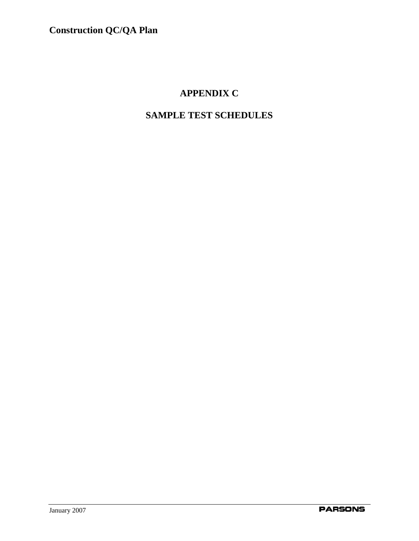# **APPENDIX C**

# **SAMPLE TEST SCHEDULES**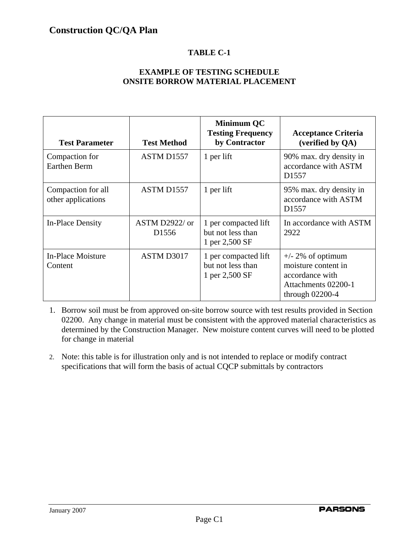### **EXAMPLE OF TESTING SCHEDULE ONSITE BORROW MATERIAL PLACEMENT**

| <b>Test Parameter</b>                    | <b>Test Method</b>                  | <b>Minimum QC</b><br><b>Testing Frequency</b><br>by Contractor | <b>Acceptance Criteria</b><br>(verified by QA)                                                             |  |
|------------------------------------------|-------------------------------------|----------------------------------------------------------------|------------------------------------------------------------------------------------------------------------|--|
| Compaction for<br><b>Earthen Berm</b>    | ASTM D1557                          | 1 per lift                                                     | 90% max. dry density in<br>accordance with ASTM<br>D <sub>1557</sub>                                       |  |
| Compaction for all<br>other applications | ASTM D1557                          | 1 per lift                                                     | 95% max. dry density in<br>accordance with ASTM<br>D <sub>1557</sub>                                       |  |
| In-Place Density                         | ASTM D2922/ or<br>D <sub>1556</sub> | 1 per compacted lift<br>but not less than<br>1 per 2,500 SF    | In accordance with ASTM<br>2922                                                                            |  |
| In-Place Moisture<br>Content             | ASTM D3017                          | 1 per compacted lift<br>but not less than<br>1 per 2,500 SF    | $+/- 2\%$ of optimum<br>moisture content in<br>accordance with<br>Attachments 02200-1<br>through $02200-4$ |  |

- 1. Borrow soil must be from approved on-site borrow source with test results provided in Section 02200. Any change in material must be consistent with the approved material characteristics as determined by the Construction Manager. New moisture content curves will need to be plotted for change in material
- 2. Note: this table is for illustration only and is not intended to replace or modify contract specifications that will form the basis of actual CQCP submittals by contractors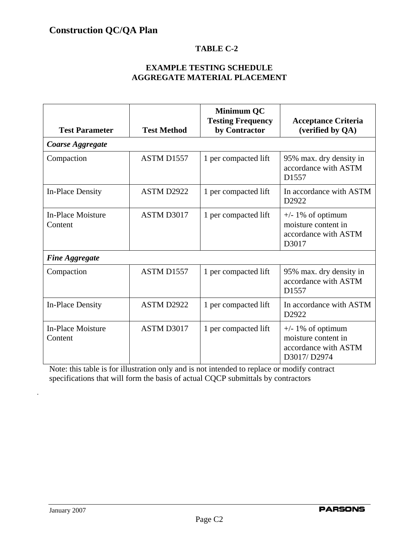### **EXAMPLE TESTING SCHEDULE AGGREGATE MATERIAL PLACEMENT**

| <b>Test Parameter</b>        | <b>Test Method</b> | <b>Minimum QC</b><br><b>Testing Frequency</b><br>by Contractor | <b>Acceptance Criteria</b><br>(verified by QA)                                          |  |
|------------------------------|--------------------|----------------------------------------------------------------|-----------------------------------------------------------------------------------------|--|
| <b>Coarse Aggregate</b>      |                    |                                                                |                                                                                         |  |
| Compaction                   | ASTM D1557         | 1 per compacted lift                                           | 95% max. dry density in<br>accordance with ASTM<br>D1557                                |  |
| <b>In-Place Density</b>      | ASTM D2922         | 1 per compacted lift                                           | In accordance with ASTM<br>D <sub>2922</sub>                                            |  |
| In-Place Moisture<br>Content | ASTM D3017         | 1 per compacted lift                                           | $+\prime$ - 1% of optimum<br>moisture content in<br>accordance with ASTM<br>D3017       |  |
| <b>Fine Aggregate</b>        |                    |                                                                |                                                                                         |  |
| Compaction                   | ASTM D1557         | 1 per compacted lift                                           | 95% max. dry density in<br>accordance with ASTM<br>D <sub>1557</sub>                    |  |
| <b>In-Place Density</b>      | ASTM D2922         | 1 per compacted lift                                           | In accordance with ASTM<br>D2922                                                        |  |
| In-Place Moisture<br>Content | ASTM D3017         | 1 per compacted lift                                           | $+\prime$ - 1% of optimum<br>moisture content in<br>accordance with ASTM<br>D3017/D2974 |  |

Note: this table is for illustration only and is not intended to replace or modify contract specifications that will form the basis of actual CQCP submittals by contractors

.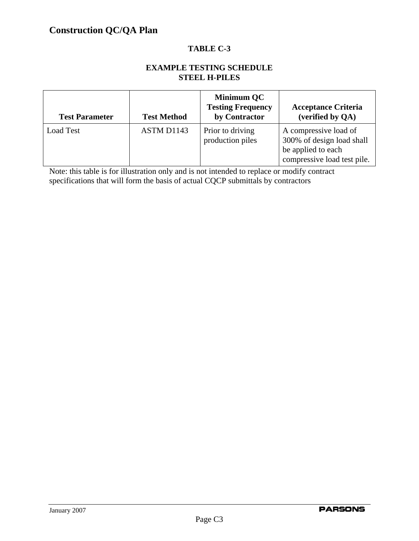### **EXAMPLE TESTING SCHEDULE STEEL H-PILES**

| <b>Test Parameter</b> | <b>Test Method</b> | Minimum QC<br><b>Testing Frequency</b><br>by Contractor | <b>Acceptance Criteria</b><br>(verified by QA)                                                          |
|-----------------------|--------------------|---------------------------------------------------------|---------------------------------------------------------------------------------------------------------|
| <b>Load Test</b>      | ASTM D1143         | Prior to driving<br>production piles                    | A compressive load of<br>300% of design load shall<br>be applied to each<br>compressive load test pile. |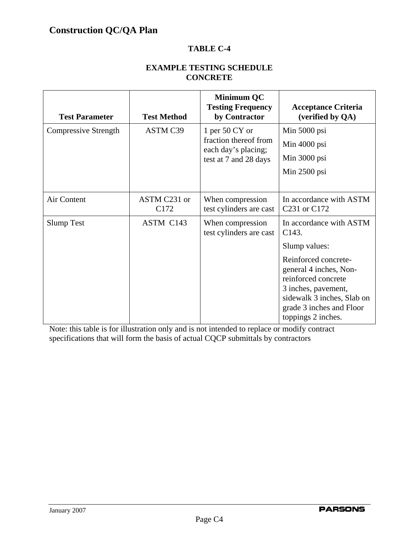### **EXAMPLE TESTING SCHEDULE CONCRETE**

| <b>Test Parameter</b> | <b>Test Method</b>   | <b>Minimum QC</b><br><b>Testing Frequency</b><br>by Contractor                               | <b>Acceptance Criteria</b><br>(verified by QA)                                                                                                                               |  |
|-----------------------|----------------------|----------------------------------------------------------------------------------------------|------------------------------------------------------------------------------------------------------------------------------------------------------------------------------|--|
| Compressive Strength  | <b>ASTM C39</b>      | 1 per $50 \, CY$ or<br>fraction thereof from<br>each day's placing;<br>test at 7 and 28 days | Min 5000 psi<br>Min 4000 psi<br>Min 3000 psi<br>Min $2500$ psi                                                                                                               |  |
| Air Content           | ASTM C231 or<br>C172 | When compression<br>test cylinders are cast                                                  | In accordance with ASTM<br>C <sub>231</sub> or C <sub>172</sub>                                                                                                              |  |
| <b>Slump Test</b>     | ASTM C143            | When compression<br>test cylinders are cast                                                  | In accordance with ASTM<br>C <sub>143</sub> .<br>Slump values:                                                                                                               |  |
|                       |                      |                                                                                              | Reinforced concrete-<br>general 4 inches, Non-<br>reinforced concrete<br>3 inches, pavement,<br>sidewalk 3 inches, Slab on<br>grade 3 inches and Floor<br>toppings 2 inches. |  |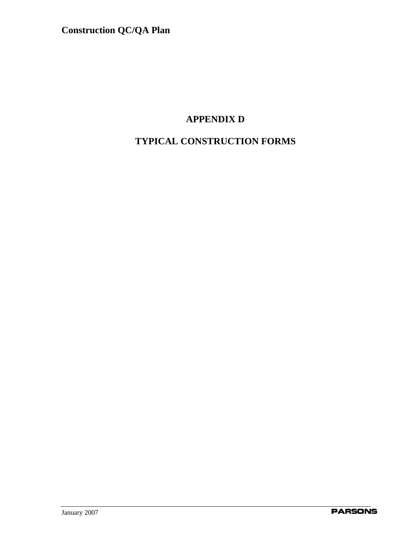# **APPENDIX D**

# **TYPICAL CONSTRUCTION FORMS**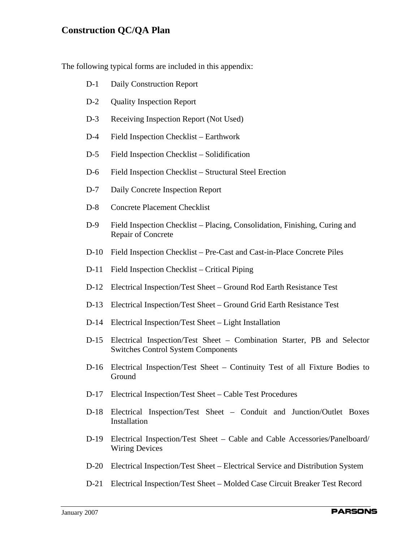The following typical forms are included in this appendix:

- D-1 Daily Construction Report
- D-2 Quality Inspection Report
- D-3 Receiving Inspection Report (Not Used)
- D-4 Field Inspection Checklist Earthwork
- D-5 Field Inspection Checklist Solidification
- D-6 Field Inspection Checklist Structural Steel Erection
- D-7 Daily Concrete Inspection Report
- D-8 Concrete Placement Checklist
- D-9 Field Inspection Checklist Placing, Consolidation, Finishing, Curing and Repair of Concrete
- D-10 Field Inspection Checklist Pre-Cast and Cast-in-Place Concrete Piles
- D-11 Field Inspection Checklist Critical Piping
- D-12 Electrical Inspection/Test Sheet Ground Rod Earth Resistance Test
- D-13 Electrical Inspection/Test Sheet Ground Grid Earth Resistance Test
- D-14 Electrical Inspection/Test Sheet Light Installation
- D-15 Electrical Inspection/Test Sheet Combination Starter, PB and Selector Switches Control System Components
- D-16 Electrical Inspection/Test Sheet Continuity Test of all Fixture Bodies to Ground
- D-17 Electrical Inspection/Test Sheet Cable Test Procedures
- D-18 Electrical Inspection/Test Sheet Conduit and Junction/Outlet Boxes Installation
- D-19 Electrical Inspection/Test Sheet Cable and Cable Accessories/Panelboard/ Wiring Devices
- D-20 Electrical Inspection/Test Sheet Electrical Service and Distribution System
- D-21 Electrical Inspection/Test Sheet Molded Case Circuit Breaker Test Record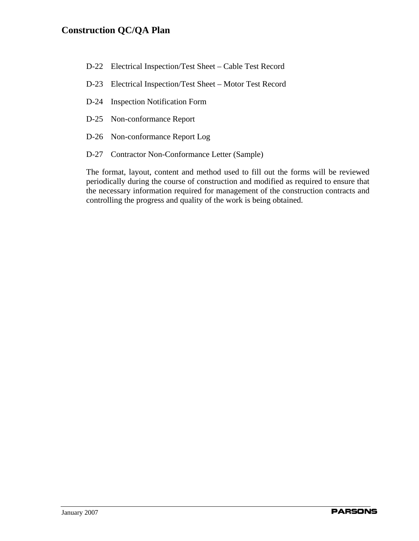- D-22 Electrical Inspection/Test Sheet Cable Test Record
- D-23 Electrical Inspection/Test Sheet Motor Test Record
- D-24 Inspection Notification Form
- D-25 Non-conformance Report
- D-26 Non-conformance Report Log
- D-27 Contractor Non-Conformance Letter (Sample)

The format, layout, content and method used to fill out the forms will be reviewed periodically during the course of construction and modified as required to ensure that the necessary information required for management of the construction contracts and controlling the progress and quality of the work is being obtained.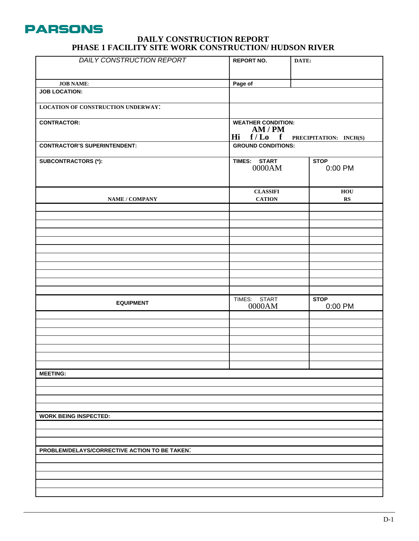

#### **DAILY CONSTRUCTION REPORT PHASE 1 FACILITY SITE WORK CONSTRUCTION/ HUDSON RIVER**

| <b>DAILY CONSTRUCTION REPORT</b>              | <b>REPORT NO.</b>                                                         | DATE:                  |  |
|-----------------------------------------------|---------------------------------------------------------------------------|------------------------|--|
| <b>JOB NAME:</b>                              | Page of                                                                   |                        |  |
| <b>JOB LOCATION:</b>                          |                                                                           |                        |  |
| <b>LOCATION OF CONSTRUCTION UNDERWAY:</b>     |                                                                           |                        |  |
| <b>CONTRACTOR:</b>                            | <b>WEATHER CONDITION:</b><br>AM/PM<br>Hi f/Lo f<br>PRECIPITATION: INCH(S) |                        |  |
| <b>CONTRACTOR'S SUPERINTENDENT:</b>           | <b>GROUND CONDITIONS:</b>                                                 |                        |  |
| <b>SUBCONTRACTORS (*):</b>                    | TIMES: START<br>0000AM                                                    | <b>STOP</b><br>0:00 PM |  |
| <b>NAME / COMPANY</b>                         | <b>CLASSIFI</b><br><b>CATION</b>                                          | HOU<br>$\mathbf{RS}$   |  |
|                                               |                                                                           |                        |  |
|                                               |                                                                           |                        |  |
|                                               |                                                                           |                        |  |
|                                               |                                                                           |                        |  |
|                                               |                                                                           |                        |  |
|                                               |                                                                           |                        |  |
| <b>EQUIPMENT</b>                              | TIMES: START<br>0000AM                                                    | <b>STOP</b><br>0:00 PM |  |
|                                               |                                                                           |                        |  |
|                                               |                                                                           |                        |  |
|                                               |                                                                           |                        |  |
|                                               |                                                                           |                        |  |
| <b>MEETING:</b>                               |                                                                           |                        |  |
|                                               |                                                                           |                        |  |
|                                               |                                                                           |                        |  |
|                                               |                                                                           |                        |  |
| <b>WORK BEING INSPECTED:</b>                  |                                                                           |                        |  |
|                                               |                                                                           |                        |  |
|                                               |                                                                           |                        |  |
| PROBLEM/DELAYS/CORRECTIVE ACTION TO BE TAKEN. |                                                                           |                        |  |
|                                               |                                                                           |                        |  |
|                                               |                                                                           |                        |  |
|                                               |                                                                           |                        |  |
|                                               |                                                                           |                        |  |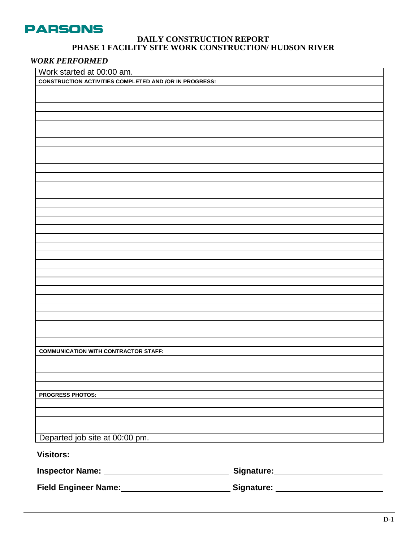

#### **DAILY CONSTRUCTION REPORT PHASE 1 FACILITY SITE WORK CONSTRUCTION/ HUDSON RIVER**

### *WORK PERFORMED*

| Work started at 00:00 am.                                     |                                      |
|---------------------------------------------------------------|--------------------------------------|
| <b>CONSTRUCTION ACTIVITIES COMPLETED AND /OR IN PROGRESS:</b> |                                      |
|                                                               |                                      |
|                                                               |                                      |
|                                                               |                                      |
|                                                               |                                      |
|                                                               |                                      |
|                                                               |                                      |
|                                                               |                                      |
|                                                               |                                      |
|                                                               |                                      |
|                                                               |                                      |
|                                                               |                                      |
|                                                               |                                      |
|                                                               |                                      |
|                                                               |                                      |
|                                                               |                                      |
|                                                               |                                      |
|                                                               |                                      |
|                                                               |                                      |
|                                                               |                                      |
|                                                               |                                      |
|                                                               |                                      |
|                                                               |                                      |
|                                                               |                                      |
|                                                               |                                      |
|                                                               |                                      |
|                                                               |                                      |
|                                                               |                                      |
|                                                               |                                      |
|                                                               |                                      |
| <b>COMMUNICATION WITH CONTRACTOR STAFF:</b>                   |                                      |
|                                                               |                                      |
|                                                               |                                      |
|                                                               |                                      |
|                                                               |                                      |
| <b>PROGRESS PHOTOS:</b>                                       |                                      |
|                                                               |                                      |
|                                                               |                                      |
|                                                               |                                      |
| Departed job site at 00:00 pm.                                |                                      |
|                                                               |                                      |
| <b>Visitors:</b>                                              |                                      |
|                                                               | Signature: Management Communications |
|                                                               |                                      |
|                                                               |                                      |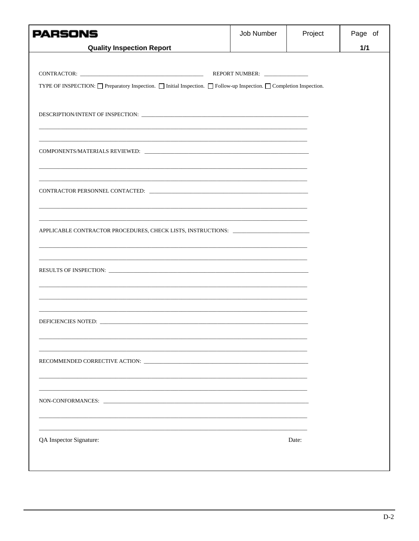| <b>PARSONS</b>                                                                                                                                                                                            | Job Number | Project | Page of |
|-----------------------------------------------------------------------------------------------------------------------------------------------------------------------------------------------------------|------------|---------|---------|
| <b>Quality Inspection Report</b>                                                                                                                                                                          |            |         | $1/1$   |
| TYPE OF INSPECTION: □ Preparatory Inspection. □ Initial Inspection. □ Follow-up Inspection. □ Completion Inspection.                                                                                      |            |         |         |
|                                                                                                                                                                                                           |            |         |         |
|                                                                                                                                                                                                           |            |         |         |
|                                                                                                                                                                                                           |            |         |         |
| <u> 1989 - Andrea Santa Andrea Andrea Andrea Andrea Andrea Andrea Andrea Andrea Andrea Andrea Andrea Andrea Andr</u><br>APPLICABLE CONTRACTOR PROCEDURES, CHECK LISTS, INSTRUCTIONS: ____________________ |            |         |         |
|                                                                                                                                                                                                           |            |         |         |
|                                                                                                                                                                                                           |            |         |         |
|                                                                                                                                                                                                           |            |         |         |
|                                                                                                                                                                                                           |            |         |         |
| QA Inspector Signature:                                                                                                                                                                                   |            | Date:   |         |
|                                                                                                                                                                                                           |            |         |         |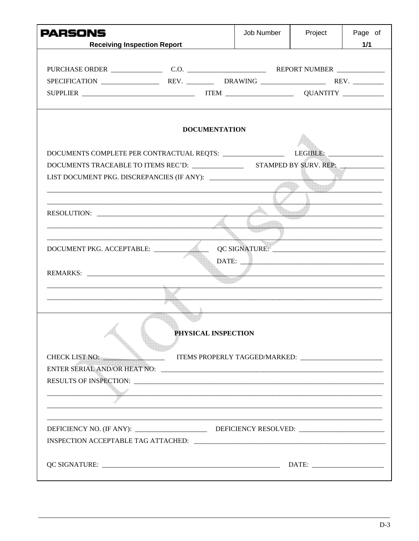| <b>PARSONS</b><br><b>Receiving Inspection Report</b>                                                                                                                                                                                | Job Number | Project | Page of<br>1/1 |
|-------------------------------------------------------------------------------------------------------------------------------------------------------------------------------------------------------------------------------------|------------|---------|----------------|
|                                                                                                                                                                                                                                     |            |         |                |
|                                                                                                                                                                                                                                     |            |         |                |
| <b>DOCUMENTATION</b>                                                                                                                                                                                                                |            |         |                |
|                                                                                                                                                                                                                                     |            |         |                |
| DOCUMENTS COMPLETE PER CONTRACTUAL REQTS: ___________________________LEGIBLE: ______________________                                                                                                                                |            |         |                |
|                                                                                                                                                                                                                                     |            |         |                |
|                                                                                                                                                                                                                                     |            |         |                |
|                                                                                                                                                                                                                                     |            |         |                |
|                                                                                                                                                                                                                                     |            |         |                |
|                                                                                                                                                                                                                                     |            |         |                |
|                                                                                                                                                                                                                                     |            |         |                |
|                                                                                                                                                                                                                                     |            |         |                |
| DOCUMENT PKG. ACCEPTABLE:                                                                                                                                                                                                           |            |         |                |
|                                                                                                                                                                                                                                     |            |         |                |
| REMARKS:                                                                                                                                                                                                                            |            |         |                |
|                                                                                                                                                                                                                                     |            |         |                |
|                                                                                                                                                                                                                                     |            |         |                |
|                                                                                                                                                                                                                                     |            |         |                |
|                                                                                                                                                                                                                                     |            |         |                |
| PHYSICAL INSPECTION                                                                                                                                                                                                                 |            |         |                |
| ITEMS PROPERLY TAGGED/MARKED:<br>CHECK LIST NO:                                                                                                                                                                                     |            |         |                |
|                                                                                                                                                                                                                                     |            |         |                |
|                                                                                                                                                                                                                                     |            |         |                |
| r<br>1990 - Paul Barbara, política estadounidense de la propia de la propia de la propia de la propia de la propia<br>1990 - Paul Barbara, política estadounidense de la propia de la propia de la propia de la propia de la propia |            |         |                |
|                                                                                                                                                                                                                                     |            |         |                |
|                                                                                                                                                                                                                                     |            |         |                |
|                                                                                                                                                                                                                                     |            |         |                |
|                                                                                                                                                                                                                                     |            |         |                |
|                                                                                                                                                                                                                                     |            |         |                |
|                                                                                                                                                                                                                                     |            |         |                |
|                                                                                                                                                                                                                                     |            |         |                |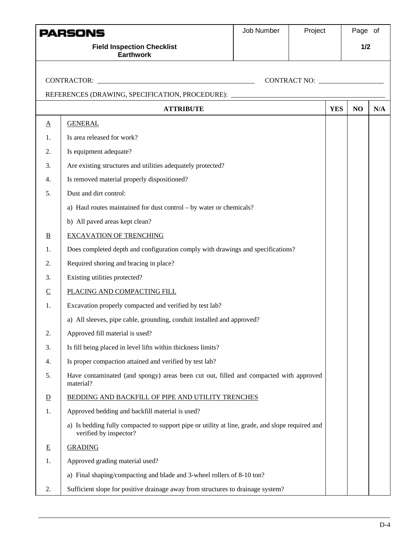|                | PARSONS<br><b>Field Inspection Checklist</b><br><b>Earthwork</b>                                                          | Job Number | Project                            |            | Page of<br>1/2 |     |
|----------------|---------------------------------------------------------------------------------------------------------------------------|------------|------------------------------------|------------|----------------|-----|
|                |                                                                                                                           |            | CONTRACT NO: _____________________ |            |                |     |
|                | REFERENCES (DRAWING, SPECIFICATION, PROCEDURE): ________________________________                                          |            |                                    |            |                |     |
|                | <b>ATTRIBUTE</b>                                                                                                          |            |                                    | <b>YES</b> | NO             | N/A |
| $\Delta$       | <b>GENERAL</b>                                                                                                            |            |                                    |            |                |     |
| 1.             | Is area released for work?                                                                                                |            |                                    |            |                |     |
| 2.             | Is equipment adequate?                                                                                                    |            |                                    |            |                |     |
| 3.             | Are existing structures and utilities adequately protected?                                                               |            |                                    |            |                |     |
| 4.             | Is removed material properly dispositioned?                                                                               |            |                                    |            |                |     |
| 5.             | Dust and dirt control:                                                                                                    |            |                                    |            |                |     |
|                | a) Haul routes maintained for dust control - by water or chemicals?                                                       |            |                                    |            |                |     |
|                | b) All paved areas kept clean?                                                                                            |            |                                    |            |                |     |
| $\overline{B}$ | <b>EXCAVATION OF TRENCHING</b>                                                                                            |            |                                    |            |                |     |
| 1.             | Does completed depth and configuration comply with drawings and specifications?                                           |            |                                    |            |                |     |
| 2.             | Required shoring and bracing in place?                                                                                    |            |                                    |            |                |     |
| 3.             | Existing utilities protected?                                                                                             |            |                                    |            |                |     |
| $\overline{C}$ | PLACING AND COMPACTING FILL                                                                                               |            |                                    |            |                |     |
| 1.             | Excavation properly compacted and verified by test lab?                                                                   |            |                                    |            |                |     |
|                | a) All sleeves, pipe cable, grounding, conduit installed and approved?                                                    |            |                                    |            |                |     |
| 2.             | Approved fill material is used?                                                                                           |            |                                    |            |                |     |
| 3.             | Is fill being placed in level lifts within thickness limits?                                                              |            |                                    |            |                |     |
| 4.             | Is proper compaction attained and verified by test lab?                                                                   |            |                                    |            |                |     |
| 5.             | Have contaminated (and spongy) areas been cut out, filled and compacted with approved<br>material?                        |            |                                    |            |                |     |
| $\overline{D}$ | BEDDING AND BACKFILL OF PIPE AND UTILITY TRENCHES                                                                         |            |                                    |            |                |     |
| 1.             | Approved bedding and backfill material is used?                                                                           |            |                                    |            |                |     |
|                | a) Is bedding fully compacted to support pipe or utility at line, grade, and slope required and<br>verified by inspector? |            |                                    |            |                |     |
| $\mathbf E$    | <b>GRADING</b>                                                                                                            |            |                                    |            |                |     |
| 1.             | Approved grading material used?                                                                                           |            |                                    |            |                |     |
|                | a) Final shaping/compacting and blade and 3-wheel rollers of 8-10 ton?                                                    |            |                                    |            |                |     |
| 2.             | Sufficient slope for positive drainage away from structures to drainage system?                                           |            |                                    |            |                |     |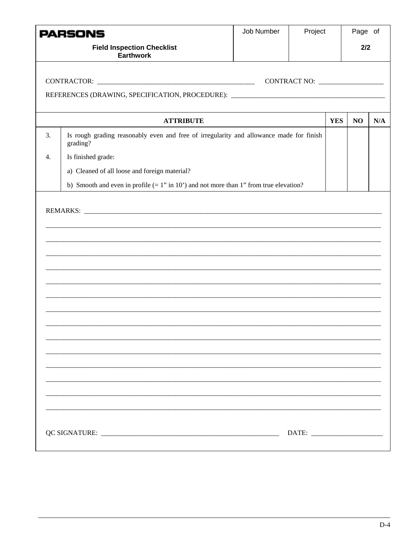|                  | PARSONS                                                                                             | Job Number<br>Project |     | Page of    |    |     |
|------------------|-----------------------------------------------------------------------------------------------------|-----------------------|-----|------------|----|-----|
|                  | <b>Field Inspection Checklist</b><br><b>Earthwork</b>                                               |                       | 2/2 |            |    |     |
|                  |                                                                                                     |                       |     |            |    |     |
|                  | REFERENCES (DRAWING, SPECIFICATION, PROCEDURE): ________________________________                    |                       |     |            |    |     |
|                  | <b>ATTRIBUTE</b>                                                                                    |                       |     | <b>YES</b> | NO | N/A |
| 3.               | Is rough grading reasonably even and free of irregularity and allowance made for finish<br>grading? |                       |     |            |    |     |
| $\overline{4}$ . | Is finished grade:                                                                                  |                       |     |            |    |     |
|                  | a) Cleaned of all loose and foreign material?                                                       |                       |     |            |    |     |
|                  | b) Smooth and even in profile $(= 1$ " in 10" and not more than 1" from true elevation?             |                       |     |            |    |     |
|                  |                                                                                                     |                       |     |            |    |     |
|                  |                                                                                                     |                       |     |            |    |     |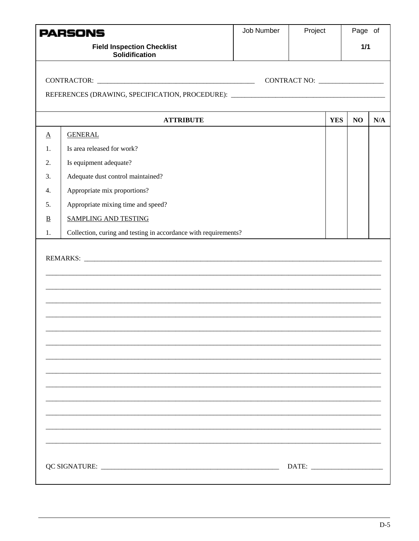|                          | PARSONS                                                                          | Job Number | Project |            | Page of        |     |
|--------------------------|----------------------------------------------------------------------------------|------------|---------|------------|----------------|-----|
|                          | <b>Field Inspection Checklist</b><br><b>Solidification</b>                       |            |         | $1/1$      |                |     |
|                          |                                                                                  |            |         |            |                |     |
|                          | REFERENCES (DRAWING, SPECIFICATION, PROCEDURE): ________________________________ |            |         |            |                |     |
|                          | <b>ATTRIBUTE</b>                                                                 |            |         | <b>YES</b> | N <sub>O</sub> | N/A |
| $\underline{A}$          | <b>GENERAL</b>                                                                   |            |         |            |                |     |
| 1.                       | Is area released for work?                                                       |            |         |            |                |     |
| 2.                       | Is equipment adequate?                                                           |            |         |            |                |     |
| 3.                       | Adequate dust control maintained?                                                |            |         |            |                |     |
| 4.                       | Appropriate mix proportions?                                                     |            |         |            |                |     |
| 5.                       | Appropriate mixing time and speed?                                               |            |         |            |                |     |
| $\underline{\mathbf{B}}$ | <b>SAMPLING AND TESTING</b>                                                      |            |         |            |                |     |
| 1.                       | Collection, curing and testing in accordance with requirements?                  |            |         |            |                |     |
|                          |                                                                                  |            |         |            |                |     |
|                          |                                                                                  |            |         |            |                |     |
|                          |                                                                                  |            |         |            |                |     |
|                          |                                                                                  |            |         |            |                |     |
|                          |                                                                                  |            |         |            |                |     |
|                          |                                                                                  |            |         |            |                |     |
|                          |                                                                                  |            |         |            |                |     |
|                          |                                                                                  |            |         |            |                |     |
|                          |                                                                                  |            |         |            |                |     |
|                          |                                                                                  |            |         |            |                |     |
|                          |                                                                                  |            |         |            |                |     |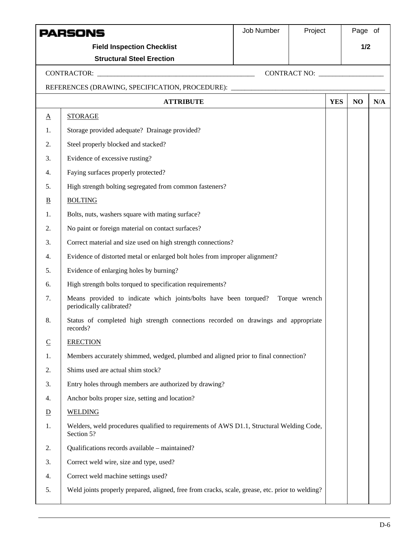|                 | PARSONS                                                                                                    | Job Number | Project      |            | Page of |     |
|-----------------|------------------------------------------------------------------------------------------------------------|------------|--------------|------------|---------|-----|
|                 | <b>Field Inspection Checklist</b>                                                                          |            |              |            | 1/2     |     |
|                 | <b>Structural Steel Erection</b>                                                                           |            |              |            |         |     |
|                 |                                                                                                            |            | CONTRACT NO: |            |         |     |
|                 | REFERENCES (DRAWING, SPECIFICATION, PROCEDURE): ________________________________                           |            |              |            |         |     |
|                 | <b>ATTRIBUTE</b>                                                                                           |            |              | <b>YES</b> | NO      | N/A |
| $\underline{A}$ | <b>STORAGE</b>                                                                                             |            |              |            |         |     |
| 1.              | Storage provided adequate? Drainage provided?                                                              |            |              |            |         |     |
| 2.              | Steel properly blocked and stacked?                                                                        |            |              |            |         |     |
| 3.              | Evidence of excessive rusting?                                                                             |            |              |            |         |     |
| 4.              | Faying surfaces properly protected?                                                                        |            |              |            |         |     |
| 5.              | High strength bolting segregated from common fasteners?                                                    |            |              |            |         |     |
| $\overline{B}$  | <b>BOLTING</b>                                                                                             |            |              |            |         |     |
| 1.              | Bolts, nuts, washers square with mating surface?                                                           |            |              |            |         |     |
| 2.              | No paint or foreign material on contact surfaces?                                                          |            |              |            |         |     |
| 3.              | Correct material and size used on high strength connections?                                               |            |              |            |         |     |
| 4.              | Evidence of distorted metal or enlarged bolt holes from improper alignment?                                |            |              |            |         |     |
| 5.              | Evidence of enlarging holes by burning?                                                                    |            |              |            |         |     |
| 6.              | High strength bolts torqued to specification requirements?                                                 |            |              |            |         |     |
| 7.              | Means provided to indicate which joints/bolts have been torqued? Torque wrench<br>periodically calibrated? |            |              |            |         |     |
| 8.              | Status of completed high strength connections recorded on drawings and appropriate<br>records?             |            |              |            |         |     |
| $\underline{C}$ | <b>ERECTION</b>                                                                                            |            |              |            |         |     |
| 1.              | Members accurately shimmed, wedged, plumbed and aligned prior to final connection?                         |            |              |            |         |     |
| 2.              | Shims used are actual shim stock?                                                                          |            |              |            |         |     |
| 3.              | Entry holes through members are authorized by drawing?                                                     |            |              |            |         |     |
| 4.              | Anchor bolts proper size, setting and location?                                                            |            |              |            |         |     |
| $\overline{D}$  | <b>WELDING</b>                                                                                             |            |              |            |         |     |
| 1.              | Welders, weld procedures qualified to requirements of AWS D1.1, Structural Welding Code,<br>Section 5?     |            |              |            |         |     |
| 2.              | Qualifications records available - maintained?                                                             |            |              |            |         |     |
| 3.              | Correct weld wire, size and type, used?                                                                    |            |              |            |         |     |
| 4.              | Correct weld machine settings used?                                                                        |            |              |            |         |     |
| 5.              | Weld joints properly prepared, aligned, free from cracks, scale, grease, etc. prior to welding?            |            |              |            |         |     |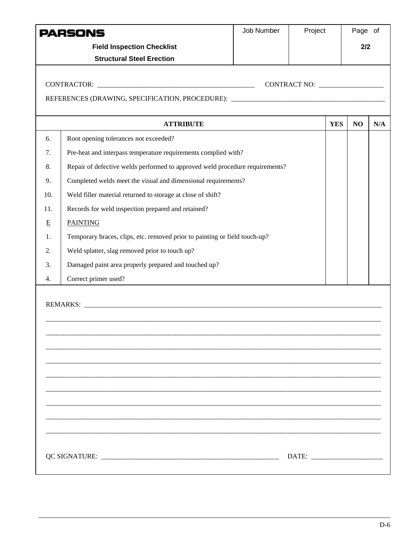| PARSONS |                                                                                   | Job Number | Project    | Page of |     |
|---------|-----------------------------------------------------------------------------------|------------|------------|---------|-----|
|         | <b>Field Inspection Checklist</b>                                                 |            |            |         | 2/2 |
|         | <b>Structural Steel Erection</b>                                                  |            |            |         |     |
|         |                                                                                   |            |            |         |     |
|         |                                                                                   |            |            |         |     |
|         | REFERENCES (DRAWING, SPECIFICATION, PROCEDURE): _________________________________ |            |            |         |     |
|         | <b>ATTRIBUTE</b>                                                                  |            | <b>YES</b> | NO      | N/A |
| 6.      | Root opening tolerances not exceeded?                                             |            |            |         |     |
| 7.      | Pre-heat and interpass temperature requirements complied with?                    |            |            |         |     |
| 8.      | Repair of defective welds performed to approved weld procedure requirements?      |            |            |         |     |
| 9.      | Completed welds meet the visual and dimensional requirements?                     |            |            |         |     |
| 10.     | Weld filler material returned to storage at close of shift?                       |            |            |         |     |
| 11.     | Records for weld inspection prepared and retained?                                |            |            |         |     |
| E       | <b>PAINTING</b>                                                                   |            |            |         |     |
| 1.      | Temporary braces, clips, etc. removed prior to painting or field touch-up?        |            |            |         |     |
| 2.      | Weld splatter, slag removed prior to touch up?                                    |            |            |         |     |
| 3.      | Damaged paint area properly prepared and touched up?                              |            |            |         |     |
| 4.      | Correct primer used?                                                              |            |            |         |     |
|         |                                                                                   |            |            |         |     |
|         |                                                                                   |            |            |         |     |
|         |                                                                                   |            |            |         |     |
|         |                                                                                   |            |            |         |     |
|         |                                                                                   |            |            |         |     |
|         |                                                                                   |            |            |         |     |
|         |                                                                                   |            |            |         |     |
|         |                                                                                   |            |            |         |     |
|         |                                                                                   |            |            |         |     |
|         |                                                                                   |            |            |         |     |
|         |                                                                                   |            |            |         |     |
|         |                                                                                   |            |            |         |     |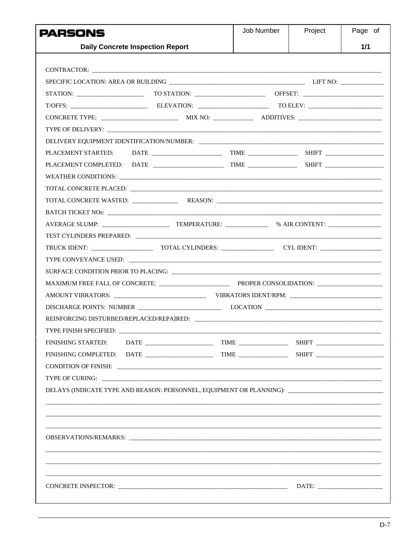| PARSONS                                                                                                                                                                                                                        | Job Number | Project | Page of |
|--------------------------------------------------------------------------------------------------------------------------------------------------------------------------------------------------------------------------------|------------|---------|---------|
| <b>Daily Concrete Inspection Report</b>                                                                                                                                                                                        |            |         | 1/1     |
|                                                                                                                                                                                                                                |            |         |         |
|                                                                                                                                                                                                                                |            |         |         |
|                                                                                                                                                                                                                                |            |         |         |
|                                                                                                                                                                                                                                |            |         |         |
| T/OFFS: ELEVATION: TO ELEV: TO ELEV:                                                                                                                                                                                           |            |         |         |
|                                                                                                                                                                                                                                |            |         |         |
|                                                                                                                                                                                                                                |            |         |         |
| DELIVERY EQUIPMENT IDENTIFICATION/NUMBER:                                                                                                                                                                                      |            |         |         |
|                                                                                                                                                                                                                                |            |         |         |
|                                                                                                                                                                                                                                |            |         |         |
|                                                                                                                                                                                                                                |            |         |         |
| TOTAL CONCRETE PLACED: THE RESERVE OF THE RESERVE OF THE RESERVE OF THE RESERVE OF THE RESERVE OF THE RESERVE OF THE RESERVE OF THE RESERVE OF THE RESERVE OF THE RESERVE OF THE RESERVE OF THE RESERVE OF THE RESERVE OF THE  |            |         |         |
| TOTAL CONCRETE WASTED: REASON: REASON:                                                                                                                                                                                         |            |         |         |
|                                                                                                                                                                                                                                |            |         |         |
|                                                                                                                                                                                                                                |            |         |         |
|                                                                                                                                                                                                                                |            |         |         |
|                                                                                                                                                                                                                                |            |         |         |
|                                                                                                                                                                                                                                |            |         |         |
|                                                                                                                                                                                                                                |            |         |         |
|                                                                                                                                                                                                                                |            |         |         |
|                                                                                                                                                                                                                                |            |         |         |
|                                                                                                                                                                                                                                |            |         |         |
|                                                                                                                                                                                                                                |            |         |         |
|                                                                                                                                                                                                                                |            |         |         |
| <b>FINISHING STARTED:</b>                                                                                                                                                                                                      |            |         |         |
|                                                                                                                                                                                                                                |            |         |         |
|                                                                                                                                                                                                                                |            |         |         |
|                                                                                                                                                                                                                                |            |         |         |
| DELAYS (INDICATE TYPE AND REASON: PERSONNEL, EQUIPMENT OR PLANNING): ______________________________                                                                                                                            |            |         |         |
|                                                                                                                                                                                                                                |            |         |         |
|                                                                                                                                                                                                                                |            |         |         |
|                                                                                                                                                                                                                                |            |         |         |
| OBSERVATIONS/REMARKS: New York of the Communication of the Communication of the Communication of the Communication of the Communication of the Communication of the Communication of the Communication of the Communication of |            |         |         |
|                                                                                                                                                                                                                                |            |         |         |
|                                                                                                                                                                                                                                |            |         |         |
|                                                                                                                                                                                                                                |            |         |         |
|                                                                                                                                                                                                                                |            |         |         |
|                                                                                                                                                                                                                                |            |         |         |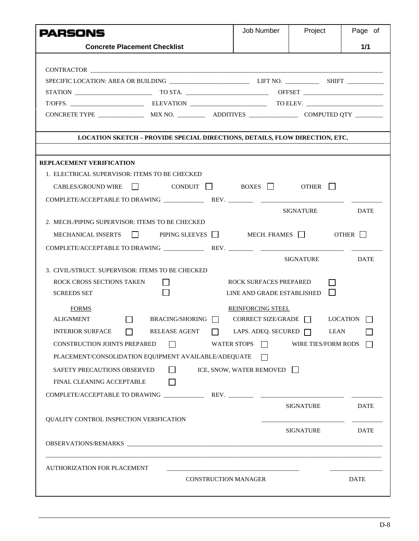| <b>PARSONS</b>                                |                                                                                  | Job Number                    | Project                             | Page of     |
|-----------------------------------------------|----------------------------------------------------------------------------------|-------------------------------|-------------------------------------|-------------|
|                                               | <b>Concrete Placement Checklist</b>                                              |                               |                                     | 1/1         |
|                                               |                                                                                  |                               |                                     |             |
|                                               |                                                                                  |                               |                                     |             |
|                                               |                                                                                  |                               |                                     |             |
|                                               |                                                                                  |                               |                                     |             |
|                                               |                                                                                  |                               |                                     |             |
|                                               |                                                                                  |                               |                                     |             |
|                                               | LOCATION SKETCH - PROVIDE SPECIAL DIRECTIONS, DETAILS, FLOW DIRECTION, ETC.      |                               |                                     |             |
|                                               |                                                                                  |                               |                                     |             |
| <b>REPLACEMENT VERIFICATION</b>               |                                                                                  |                               |                                     |             |
| 1. ELECTRICAL SUPERVISOR: ITEMS TO BE CHECKED |                                                                                  |                               |                                     |             |
| CABLES/GROUND WIRE                            |                                                                                  |                               | $COMDUIT$ BOXES $\Box$ OTHER $\Box$ |             |
|                                               |                                                                                  |                               |                                     |             |
|                                               |                                                                                  |                               | SIGNATURE                           | <b>DATE</b> |
|                                               | 2. MECH./PIPING SUPERVISOR: ITEMS TO BE CHECKED                                  |                               |                                     |             |
|                                               | MECHANICAL INSERTS $\Box$ PIPING SLEEVES $\Box$ MECH. FRAMES $\Box$ OTHER $\Box$ |                               |                                     |             |
|                                               |                                                                                  |                               |                                     |             |
|                                               |                                                                                  |                               | SIGNATURE                           | DATE        |
|                                               | 3. CIVIL/STRUCT. SUPERVISOR: ITEMS TO BE CHECKED                                 |                               |                                     |             |
| ROCK CROSS SECTIONS TAKEN                     |                                                                                  | <b>ROCK SURFACES PREPARED</b> |                                     |             |
| <b>SCREEDS SET</b>                            |                                                                                  |                               | LINE AND GRADE ESTABLISHED          | $\Box$      |
| <b>FORMS</b>                                  |                                                                                  | <b>REINFORCING STEEL</b>      |                                     |             |
| <b>ALIGNMENT</b>                              | BRACING/SHORING<br>$\overline{\phantom{a}}$                                      |                               | CORRECT SIZE/GRADE $\Box$ LOCATION  |             |
| <b>INTERIOR SURFACE</b>                       | $\Box$<br>RELEASE AGENT   LAPS. ADEQ. SECURED                                    |                               | $\Box$                              | <b>LEAN</b> |
| <b>CONSTRUCTION JOINTS PREPARED</b>           | $\perp$                                                                          | WATER STOPS $\Box$            | WIRE TIES/FORM RODS                 |             |
|                                               | PLACEMENT/CONSOLIDATION EQUIPMENT AVAILABLE/ADEQUATE                             | $\mathbf{L}$                  |                                     |             |
| SAFETY PRECAUTIONS OBSERVED                   | $\Box$                                                                           | ICE, SNOW, WATER REMOVED      |                                     |             |
| FINAL CLEANING ACCEPTABLE                     | $\mathsf{L}$                                                                     |                               |                                     |             |
|                                               |                                                                                  |                               |                                     |             |
|                                               |                                                                                  |                               | SIGNATURE                           | <b>DATE</b> |
|                                               |                                                                                  |                               |                                     |             |
| QUALITY CONTROL INSPECTION VERIFICATION       |                                                                                  |                               |                                     |             |
|                                               |                                                                                  |                               | SIGNATURE                           | <b>DATE</b> |
|                                               |                                                                                  |                               |                                     |             |
| AUTHORIZATION FOR PLACEMENT                   |                                                                                  |                               |                                     |             |
|                                               |                                                                                  | <b>CONSTRUCTION MANAGER</b>   |                                     | <b>DATE</b> |
|                                               |                                                                                  |                               |                                     |             |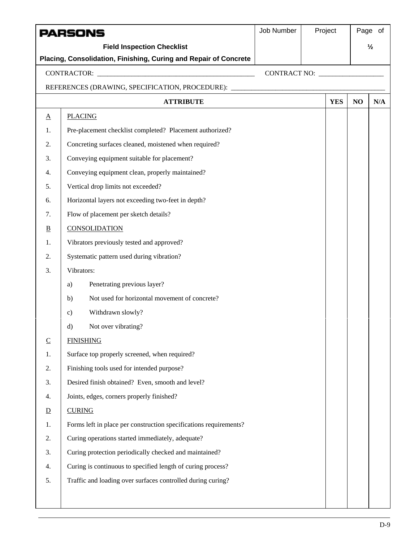| <b>Field Inspection Checklist</b><br>$\frac{1}{2}$<br>Placing, Consolidation, Finishing, Curing and Repair of Concrete<br>REFERENCES (DRAWING, SPECIFICATION, PROCEDURE): ________________________________<br><b>YES</b><br><b>ATTRIBUTE</b><br>NO<br>N/A<br><b>PLACING</b><br>$\underline{A}$<br>Pre-placement checklist completed? Placement authorized?<br>1.<br>Concreting surfaces cleaned, moistened when required?<br>2.<br>Conveying equipment suitable for placement?<br>3.<br>Conveying equipment clean, properly maintained?<br>4.<br>Vertical drop limits not exceeded?<br>5.<br>Horizontal layers not exceeding two-feet in depth?<br>6.<br>Flow of placement per sketch details?<br>7.<br><b>CONSOLIDATION</b><br>$\overline{B}$<br>Vibrators previously tested and approved?<br>1.<br>Systematic pattern used during vibration?<br>2.<br>Vibrators:<br>3.<br>Penetrating previous layer?<br>a)<br>Not used for horizontal movement of concrete?<br>b)<br>Withdrawn slowly?<br>$\mathbf{c})$<br>Not over vibrating?<br>d)<br><b>FINISHING</b><br>$\underline{C}$<br>Surface top properly screened, when required?<br>1.<br>Finishing tools used for intended purpose?<br>2.<br>Desired finish obtained? Even, smooth and level?<br>3.<br>Joints, edges, corners properly finished?<br>4.<br><b>CURING</b><br>$\overline{D}$<br>Forms left in place per construction specifications requirements?<br>1.<br>Curing operations started immediately, adequate?<br>2.<br>3. | <b>PARSONS</b> |                                                        | Job Number | Project | Page of |
|--------------------------------------------------------------------------------------------------------------------------------------------------------------------------------------------------------------------------------------------------------------------------------------------------------------------------------------------------------------------------------------------------------------------------------------------------------------------------------------------------------------------------------------------------------------------------------------------------------------------------------------------------------------------------------------------------------------------------------------------------------------------------------------------------------------------------------------------------------------------------------------------------------------------------------------------------------------------------------------------------------------------------------------------------------------------------------------------------------------------------------------------------------------------------------------------------------------------------------------------------------------------------------------------------------------------------------------------------------------------------------------------------------------------------------------------------------------------------------------|----------------|--------------------------------------------------------|------------|---------|---------|
|                                                                                                                                                                                                                                                                                                                                                                                                                                                                                                                                                                                                                                                                                                                                                                                                                                                                                                                                                                                                                                                                                                                                                                                                                                                                                                                                                                                                                                                                                      |                |                                                        |            |         |         |
|                                                                                                                                                                                                                                                                                                                                                                                                                                                                                                                                                                                                                                                                                                                                                                                                                                                                                                                                                                                                                                                                                                                                                                                                                                                                                                                                                                                                                                                                                      |                |                                                        |            |         |         |
|                                                                                                                                                                                                                                                                                                                                                                                                                                                                                                                                                                                                                                                                                                                                                                                                                                                                                                                                                                                                                                                                                                                                                                                                                                                                                                                                                                                                                                                                                      |                |                                                        |            |         |         |
|                                                                                                                                                                                                                                                                                                                                                                                                                                                                                                                                                                                                                                                                                                                                                                                                                                                                                                                                                                                                                                                                                                                                                                                                                                                                                                                                                                                                                                                                                      |                |                                                        |            |         |         |
|                                                                                                                                                                                                                                                                                                                                                                                                                                                                                                                                                                                                                                                                                                                                                                                                                                                                                                                                                                                                                                                                                                                                                                                                                                                                                                                                                                                                                                                                                      |                |                                                        |            |         |         |
|                                                                                                                                                                                                                                                                                                                                                                                                                                                                                                                                                                                                                                                                                                                                                                                                                                                                                                                                                                                                                                                                                                                                                                                                                                                                                                                                                                                                                                                                                      |                |                                                        |            |         |         |
|                                                                                                                                                                                                                                                                                                                                                                                                                                                                                                                                                                                                                                                                                                                                                                                                                                                                                                                                                                                                                                                                                                                                                                                                                                                                                                                                                                                                                                                                                      |                |                                                        |            |         |         |
|                                                                                                                                                                                                                                                                                                                                                                                                                                                                                                                                                                                                                                                                                                                                                                                                                                                                                                                                                                                                                                                                                                                                                                                                                                                                                                                                                                                                                                                                                      |                |                                                        |            |         |         |
|                                                                                                                                                                                                                                                                                                                                                                                                                                                                                                                                                                                                                                                                                                                                                                                                                                                                                                                                                                                                                                                                                                                                                                                                                                                                                                                                                                                                                                                                                      |                |                                                        |            |         |         |
|                                                                                                                                                                                                                                                                                                                                                                                                                                                                                                                                                                                                                                                                                                                                                                                                                                                                                                                                                                                                                                                                                                                                                                                                                                                                                                                                                                                                                                                                                      |                |                                                        |            |         |         |
|                                                                                                                                                                                                                                                                                                                                                                                                                                                                                                                                                                                                                                                                                                                                                                                                                                                                                                                                                                                                                                                                                                                                                                                                                                                                                                                                                                                                                                                                                      |                |                                                        |            |         |         |
|                                                                                                                                                                                                                                                                                                                                                                                                                                                                                                                                                                                                                                                                                                                                                                                                                                                                                                                                                                                                                                                                                                                                                                                                                                                                                                                                                                                                                                                                                      |                |                                                        |            |         |         |
|                                                                                                                                                                                                                                                                                                                                                                                                                                                                                                                                                                                                                                                                                                                                                                                                                                                                                                                                                                                                                                                                                                                                                                                                                                                                                                                                                                                                                                                                                      |                |                                                        |            |         |         |
|                                                                                                                                                                                                                                                                                                                                                                                                                                                                                                                                                                                                                                                                                                                                                                                                                                                                                                                                                                                                                                                                                                                                                                                                                                                                                                                                                                                                                                                                                      |                |                                                        |            |         |         |
|                                                                                                                                                                                                                                                                                                                                                                                                                                                                                                                                                                                                                                                                                                                                                                                                                                                                                                                                                                                                                                                                                                                                                                                                                                                                                                                                                                                                                                                                                      |                |                                                        |            |         |         |
|                                                                                                                                                                                                                                                                                                                                                                                                                                                                                                                                                                                                                                                                                                                                                                                                                                                                                                                                                                                                                                                                                                                                                                                                                                                                                                                                                                                                                                                                                      |                |                                                        |            |         |         |
|                                                                                                                                                                                                                                                                                                                                                                                                                                                                                                                                                                                                                                                                                                                                                                                                                                                                                                                                                                                                                                                                                                                                                                                                                                                                                                                                                                                                                                                                                      |                |                                                        |            |         |         |
|                                                                                                                                                                                                                                                                                                                                                                                                                                                                                                                                                                                                                                                                                                                                                                                                                                                                                                                                                                                                                                                                                                                                                                                                                                                                                                                                                                                                                                                                                      |                |                                                        |            |         |         |
|                                                                                                                                                                                                                                                                                                                                                                                                                                                                                                                                                                                                                                                                                                                                                                                                                                                                                                                                                                                                                                                                                                                                                                                                                                                                                                                                                                                                                                                                                      |                |                                                        |            |         |         |
|                                                                                                                                                                                                                                                                                                                                                                                                                                                                                                                                                                                                                                                                                                                                                                                                                                                                                                                                                                                                                                                                                                                                                                                                                                                                                                                                                                                                                                                                                      |                |                                                        |            |         |         |
|                                                                                                                                                                                                                                                                                                                                                                                                                                                                                                                                                                                                                                                                                                                                                                                                                                                                                                                                                                                                                                                                                                                                                                                                                                                                                                                                                                                                                                                                                      |                |                                                        |            |         |         |
|                                                                                                                                                                                                                                                                                                                                                                                                                                                                                                                                                                                                                                                                                                                                                                                                                                                                                                                                                                                                                                                                                                                                                                                                                                                                                                                                                                                                                                                                                      |                |                                                        |            |         |         |
|                                                                                                                                                                                                                                                                                                                                                                                                                                                                                                                                                                                                                                                                                                                                                                                                                                                                                                                                                                                                                                                                                                                                                                                                                                                                                                                                                                                                                                                                                      |                |                                                        |            |         |         |
|                                                                                                                                                                                                                                                                                                                                                                                                                                                                                                                                                                                                                                                                                                                                                                                                                                                                                                                                                                                                                                                                                                                                                                                                                                                                                                                                                                                                                                                                                      |                |                                                        |            |         |         |
|                                                                                                                                                                                                                                                                                                                                                                                                                                                                                                                                                                                                                                                                                                                                                                                                                                                                                                                                                                                                                                                                                                                                                                                                                                                                                                                                                                                                                                                                                      |                |                                                        |            |         |         |
|                                                                                                                                                                                                                                                                                                                                                                                                                                                                                                                                                                                                                                                                                                                                                                                                                                                                                                                                                                                                                                                                                                                                                                                                                                                                                                                                                                                                                                                                                      |                |                                                        |            |         |         |
|                                                                                                                                                                                                                                                                                                                                                                                                                                                                                                                                                                                                                                                                                                                                                                                                                                                                                                                                                                                                                                                                                                                                                                                                                                                                                                                                                                                                                                                                                      |                |                                                        |            |         |         |
|                                                                                                                                                                                                                                                                                                                                                                                                                                                                                                                                                                                                                                                                                                                                                                                                                                                                                                                                                                                                                                                                                                                                                                                                                                                                                                                                                                                                                                                                                      |                |                                                        |            |         |         |
|                                                                                                                                                                                                                                                                                                                                                                                                                                                                                                                                                                                                                                                                                                                                                                                                                                                                                                                                                                                                                                                                                                                                                                                                                                                                                                                                                                                                                                                                                      |                |                                                        |            |         |         |
|                                                                                                                                                                                                                                                                                                                                                                                                                                                                                                                                                                                                                                                                                                                                                                                                                                                                                                                                                                                                                                                                                                                                                                                                                                                                                                                                                                                                                                                                                      |                | Curing protection periodically checked and maintained? |            |         |         |
| Curing is continuous to specified length of curing process?<br>4.                                                                                                                                                                                                                                                                                                                                                                                                                                                                                                                                                                                                                                                                                                                                                                                                                                                                                                                                                                                                                                                                                                                                                                                                                                                                                                                                                                                                                    |                |                                                        |            |         |         |
| Traffic and loading over surfaces controlled during curing?<br>5.                                                                                                                                                                                                                                                                                                                                                                                                                                                                                                                                                                                                                                                                                                                                                                                                                                                                                                                                                                                                                                                                                                                                                                                                                                                                                                                                                                                                                    |                |                                                        |            |         |         |
|                                                                                                                                                                                                                                                                                                                                                                                                                                                                                                                                                                                                                                                                                                                                                                                                                                                                                                                                                                                                                                                                                                                                                                                                                                                                                                                                                                                                                                                                                      |                |                                                        |            |         |         |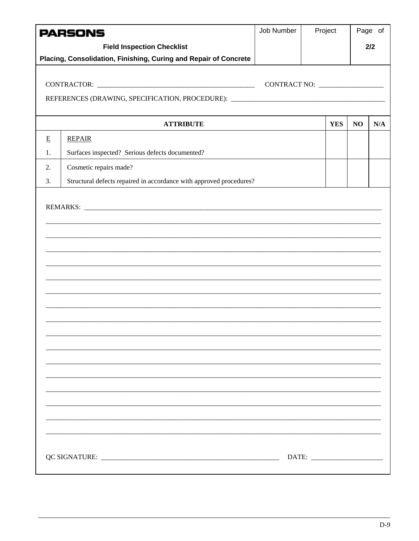|    | <b>PARSONS</b>                                                                    | Job Number | Project      |    | Page of |
|----|-----------------------------------------------------------------------------------|------------|--------------|----|---------|
|    | <b>Field Inspection Checklist</b>                                                 |            |              |    | 2/2     |
|    | Placing, Consolidation, Finishing, Curing and Repair of Concrete                  |            |              |    |         |
|    |                                                                                   |            |              |    |         |
|    |                                                                                   |            | CONTRACT NO: |    |         |
|    | REFERENCES (DRAWING, SPECIFICATION, PROCEDURE): _________________________________ |            |              |    |         |
|    | <b>ATTRIBUTE</b>                                                                  |            | <b>YES</b>   | NO | N/A     |
| E  | <b>REPAIR</b>                                                                     |            |              |    |         |
| 1. | Surfaces inspected? Serious defects documented?                                   |            |              |    |         |
| 2. | Cosmetic repairs made?                                                            |            |              |    |         |
| 3. | Structural defects repaired in accordance with approved procedures?               |            |              |    |         |
|    |                                                                                   |            |              |    |         |
|    |                                                                                   |            |              |    |         |
|    |                                                                                   |            |              |    |         |
|    |                                                                                   |            |              |    |         |
|    |                                                                                   |            |              |    |         |
|    |                                                                                   |            |              |    |         |
|    |                                                                                   |            |              |    |         |
|    |                                                                                   |            |              |    |         |
|    |                                                                                   |            |              |    |         |
|    |                                                                                   |            |              |    |         |
|    |                                                                                   |            |              |    |         |
|    |                                                                                   |            |              |    |         |
|    |                                                                                   |            |              |    |         |
|    |                                                                                   |            |              |    |         |
|    |                                                                                   |            |              |    |         |
|    |                                                                                   |            |              |    |         |
|    |                                                                                   |            |              |    |         |
|    |                                                                                   |            |              |    |         |
|    |                                                                                   |            |              |    |         |
|    |                                                                                   |            |              |    |         |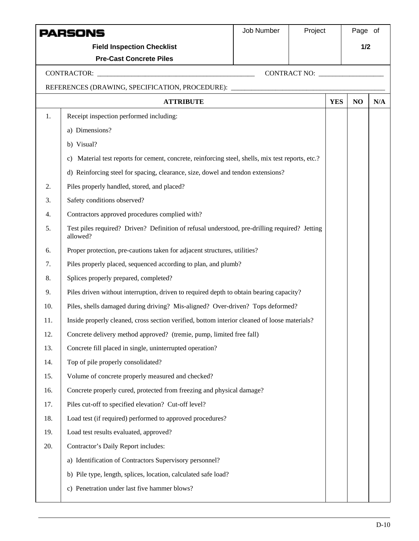|     | PARSONS                                                                                                   | Job Number | Project |            | Page of |     |
|-----|-----------------------------------------------------------------------------------------------------------|------------|---------|------------|---------|-----|
|     | <b>Field Inspection Checklist</b>                                                                         |            |         |            | 1/2     |     |
|     | <b>Pre-Cast Concrete Piles</b>                                                                            |            |         |            |         |     |
|     |                                                                                                           |            |         |            |         |     |
|     | REFERENCES (DRAWING, SPECIFICATION, PROCEDURE): ________________________________                          |            |         |            |         |     |
|     | <b>ATTRIBUTE</b>                                                                                          |            |         | <b>YES</b> | NO      | N/A |
| 1.  | Receipt inspection performed including:                                                                   |            |         |            |         |     |
|     | a) Dimensions?                                                                                            |            |         |            |         |     |
|     | b) Visual?                                                                                                |            |         |            |         |     |
|     | Material test reports for cement, concrete, reinforcing steel, shells, mix test reports, etc.?<br>C)      |            |         |            |         |     |
|     | d) Reinforcing steel for spacing, clearance, size, dowel and tendon extensions?                           |            |         |            |         |     |
| 2.  | Piles properly handled, stored, and placed?                                                               |            |         |            |         |     |
| 3.  | Safety conditions observed?                                                                               |            |         |            |         |     |
| 4.  | Contractors approved procedures complied with?                                                            |            |         |            |         |     |
| 5.  | Test piles required? Driven? Definition of refusal understood, pre-drilling required? Jetting<br>allowed? |            |         |            |         |     |
| 6.  | Proper protection, pre-cautions taken for adjacent structures, utilities?                                 |            |         |            |         |     |
| 7.  | Piles properly placed, sequenced according to plan, and plumb?                                            |            |         |            |         |     |
| 8.  | Splices properly prepared, completed?                                                                     |            |         |            |         |     |
| 9.  | Piles driven without interruption, driven to required depth to obtain bearing capacity?                   |            |         |            |         |     |
| 10. | Piles, shells damaged during driving? Mis-aligned? Over-driven? Tops deformed?                            |            |         |            |         |     |
| 11. | Inside properly cleaned, cross section verified, bottom interior cleaned of loose materials?              |            |         |            |         |     |
| 12. | Concrete delivery method approved? (tremie, pump, limited free fall)                                      |            |         |            |         |     |
| 13. | Concrete fill placed in single, uninterrupted operation?                                                  |            |         |            |         |     |
| 14. | Top of pile properly consolidated?                                                                        |            |         |            |         |     |
| 15. | Volume of concrete properly measured and checked?                                                         |            |         |            |         |     |
| 16. | Concrete properly cured, protected from freezing and physical damage?                                     |            |         |            |         |     |
| 17. | Piles cut-off to specified elevation? Cut-off level?                                                      |            |         |            |         |     |
| 18. | Load test (if required) performed to approved procedures?                                                 |            |         |            |         |     |
| 19. | Load test results evaluated, approved?                                                                    |            |         |            |         |     |
| 20. | Contractor's Daily Report includes:                                                                       |            |         |            |         |     |
|     | a) Identification of Contractors Supervisory personnel?                                                   |            |         |            |         |     |
|     | b) Pile type, length, splices, location, calculated safe load?                                            |            |         |            |         |     |
|     | c) Penetration under last five hammer blows?                                                              |            |         |            |         |     |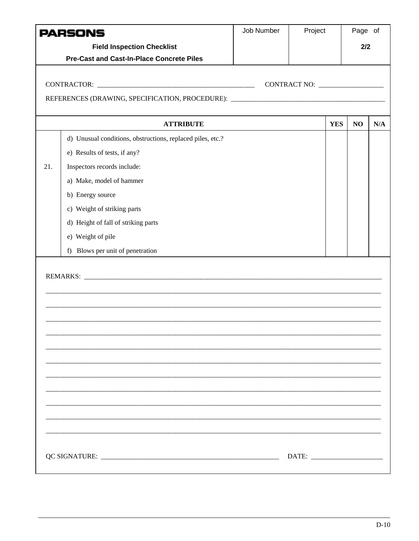|     | PARSONS                                                                          | Job Number | Project |            | Page of |     |
|-----|----------------------------------------------------------------------------------|------------|---------|------------|---------|-----|
|     | <b>Field Inspection Checklist</b>                                                |            |         |            | 2/2     |     |
|     | <b>Pre-Cast and Cast-In-Place Concrete Piles</b>                                 |            |         |            |         |     |
|     |                                                                                  |            |         |            |         |     |
|     |                                                                                  |            |         |            |         |     |
|     | REFERENCES (DRAWING, SPECIFICATION, PROCEDURE): ________________________________ |            |         |            |         |     |
|     | <b>ATTRIBUTE</b>                                                                 |            |         | <b>YES</b> | NO      | N/A |
|     | d) Unusual conditions, obstructions, replaced piles, etc.?                       |            |         |            |         |     |
|     | e) Results of tests, if any?                                                     |            |         |            |         |     |
| 21. | Inspectors records include:                                                      |            |         |            |         |     |
|     | a) Make, model of hammer                                                         |            |         |            |         |     |
|     | b) Energy source                                                                 |            |         |            |         |     |
|     | c) Weight of striking parts                                                      |            |         |            |         |     |
|     | d) Height of fall of striking parts                                              |            |         |            |         |     |
|     | e) Weight of pile                                                                |            |         |            |         |     |
|     | f) Blows per unit of penetration                                                 |            |         |            |         |     |
|     |                                                                                  |            |         |            |         |     |
|     |                                                                                  |            |         |            |         |     |
|     |                                                                                  |            |         |            |         |     |
|     |                                                                                  |            |         |            |         |     |
|     |                                                                                  |            |         |            |         |     |
|     |                                                                                  |            |         |            |         |     |
|     |                                                                                  |            |         |            |         |     |
|     |                                                                                  |            |         |            |         |     |
|     |                                                                                  |            |         |            |         |     |
|     |                                                                                  |            |         |            |         |     |
|     |                                                                                  |            |         |            |         |     |
|     |                                                                                  |            |         |            |         |     |
|     |                                                                                  |            | DATE:   |            |         |     |
|     |                                                                                  |            |         |            |         |     |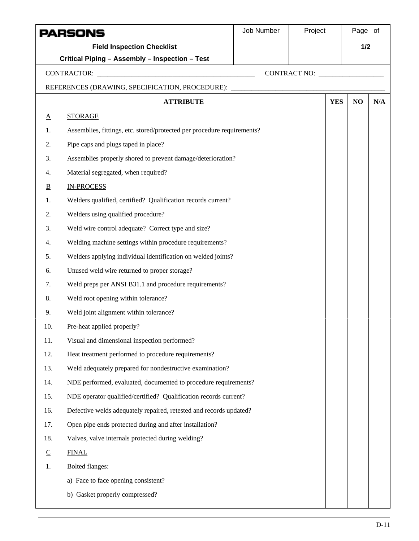|                         | PARSONS                                                                          | Job Number | Project      | Page of |     |
|-------------------------|----------------------------------------------------------------------------------|------------|--------------|---------|-----|
|                         | <b>Field Inspection Checklist</b>                                                |            |              | 1/2     |     |
|                         | Critical Piping - Assembly - Inspection - Test                                   |            |              |         |     |
|                         |                                                                                  |            | CONTRACT NO: |         |     |
|                         | REFERENCES (DRAWING, SPECIFICATION, PROCEDURE): ________________________________ |            |              |         |     |
|                         | <b>ATTRIBUTE</b>                                                                 |            | <b>YES</b>   | NO      | N/A |
| $\underline{A}$         | <b>STORAGE</b>                                                                   |            |              |         |     |
| 1.                      | Assemblies, fittings, etc. stored/protected per procedure requirements?          |            |              |         |     |
| 2.                      | Pipe caps and plugs taped in place?                                              |            |              |         |     |
| 3.                      | Assemblies properly shored to prevent damage/deterioration?                      |            |              |         |     |
| 4.                      | Material segregated, when required?                                              |            |              |         |     |
| $\overline{\mathbf{B}}$ | <b>IN-PROCESS</b>                                                                |            |              |         |     |
| 1.                      | Welders qualified, certified? Qualification records current?                     |            |              |         |     |
| 2.                      | Welders using qualified procedure?                                               |            |              |         |     |
| 3.                      | Weld wire control adequate? Correct type and size?                               |            |              |         |     |
| 4.                      | Welding machine settings within procedure requirements?                          |            |              |         |     |
| 5.                      | Welders applying individual identification on welded joints?                     |            |              |         |     |
| 6.                      | Unused weld wire returned to proper storage?                                     |            |              |         |     |
| 7.                      | Weld preps per ANSI B31.1 and procedure requirements?                            |            |              |         |     |
| 8.                      | Weld root opening within tolerance?                                              |            |              |         |     |
| 9.                      | Weld joint alignment within tolerance?                                           |            |              |         |     |
| 10.                     | Pre-heat applied properly?                                                       |            |              |         |     |
| 11.                     | Visual and dimensional inspection performed?                                     |            |              |         |     |
| 12.                     | Heat treatment performed to procedure requirements?                              |            |              |         |     |
| 13.                     | Weld adequately prepared for nondestructive examination?                         |            |              |         |     |
| 14.                     | NDE performed, evaluated, documented to procedure requirements?                  |            |              |         |     |
| 15.                     | NDE operator qualified/certified? Qualification records current?                 |            |              |         |     |
| 16.                     | Defective welds adequately repaired, retested and records updated?               |            |              |         |     |
| 17.                     | Open pipe ends protected during and after installation?                          |            |              |         |     |
| 18.                     | Valves, valve internals protected during welding?                                |            |              |         |     |
| $\overline{C}$          | <b>FINAL</b>                                                                     |            |              |         |     |
| 1.                      | <b>Bolted flanges:</b>                                                           |            |              |         |     |
|                         | a) Face to face opening consistent?                                              |            |              |         |     |
|                         | Gasket properly compressed?<br>b)                                                |            |              |         |     |
|                         |                                                                                  |            |              |         |     |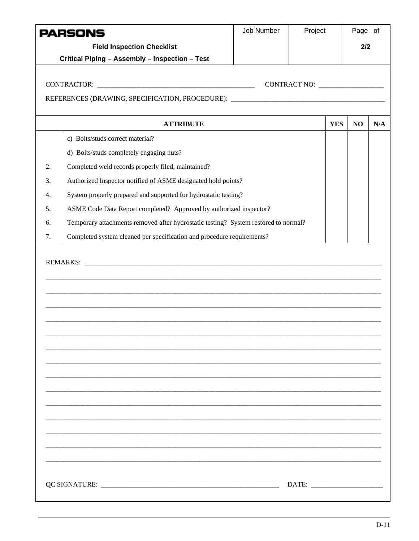| <b>Field Inspection Checklist</b><br>2/2<br>Critical Piping - Assembly - Inspection - Test<br>REFERENCES (DRAWING, SPECIFICATION, PROCEDURE): ________________________________<br><b>YES</b><br><b>ATTRIBUTE</b><br>N <sub>O</sub><br>c) Bolts/studs correct material?<br>d) Bolts/studs completely engaging nuts?<br>Completed weld records properly filed, maintained?<br>2.<br>Authorized Inspector notified of ASME designated hold points?<br>3.<br>System properly prepared and supported for hydrostatic testing?<br>4.<br>ASME Code Data Report completed? Approved by authorized inspector?<br>5.<br>Temporary attachments removed after hydrostatic testing? System restored to normal?<br>6.<br>Completed system cleaned per specification and procedure requirements?<br>7. | PARSONS | Job Number | Project | Page of |     |
|-----------------------------------------------------------------------------------------------------------------------------------------------------------------------------------------------------------------------------------------------------------------------------------------------------------------------------------------------------------------------------------------------------------------------------------------------------------------------------------------------------------------------------------------------------------------------------------------------------------------------------------------------------------------------------------------------------------------------------------------------------------------------------------------|---------|------------|---------|---------|-----|
|                                                                                                                                                                                                                                                                                                                                                                                                                                                                                                                                                                                                                                                                                                                                                                                         |         |            |         |         |     |
|                                                                                                                                                                                                                                                                                                                                                                                                                                                                                                                                                                                                                                                                                                                                                                                         |         |            |         |         |     |
|                                                                                                                                                                                                                                                                                                                                                                                                                                                                                                                                                                                                                                                                                                                                                                                         |         |            |         |         |     |
|                                                                                                                                                                                                                                                                                                                                                                                                                                                                                                                                                                                                                                                                                                                                                                                         |         |            |         |         |     |
|                                                                                                                                                                                                                                                                                                                                                                                                                                                                                                                                                                                                                                                                                                                                                                                         |         |            |         |         |     |
|                                                                                                                                                                                                                                                                                                                                                                                                                                                                                                                                                                                                                                                                                                                                                                                         |         |            |         |         |     |
|                                                                                                                                                                                                                                                                                                                                                                                                                                                                                                                                                                                                                                                                                                                                                                                         |         |            |         |         | N/A |
|                                                                                                                                                                                                                                                                                                                                                                                                                                                                                                                                                                                                                                                                                                                                                                                         |         |            |         |         |     |
|                                                                                                                                                                                                                                                                                                                                                                                                                                                                                                                                                                                                                                                                                                                                                                                         |         |            |         |         |     |
|                                                                                                                                                                                                                                                                                                                                                                                                                                                                                                                                                                                                                                                                                                                                                                                         |         |            |         |         |     |
|                                                                                                                                                                                                                                                                                                                                                                                                                                                                                                                                                                                                                                                                                                                                                                                         |         |            |         |         |     |
|                                                                                                                                                                                                                                                                                                                                                                                                                                                                                                                                                                                                                                                                                                                                                                                         |         |            |         |         |     |
|                                                                                                                                                                                                                                                                                                                                                                                                                                                                                                                                                                                                                                                                                                                                                                                         |         |            |         |         |     |
|                                                                                                                                                                                                                                                                                                                                                                                                                                                                                                                                                                                                                                                                                                                                                                                         |         |            |         |         |     |
|                                                                                                                                                                                                                                                                                                                                                                                                                                                                                                                                                                                                                                                                                                                                                                                         |         |            |         |         |     |
|                                                                                                                                                                                                                                                                                                                                                                                                                                                                                                                                                                                                                                                                                                                                                                                         |         |            |         |         |     |
|                                                                                                                                                                                                                                                                                                                                                                                                                                                                                                                                                                                                                                                                                                                                                                                         |         |            |         |         |     |
|                                                                                                                                                                                                                                                                                                                                                                                                                                                                                                                                                                                                                                                                                                                                                                                         |         |            |         |         |     |
|                                                                                                                                                                                                                                                                                                                                                                                                                                                                                                                                                                                                                                                                                                                                                                                         |         |            |         |         |     |
|                                                                                                                                                                                                                                                                                                                                                                                                                                                                                                                                                                                                                                                                                                                                                                                         |         |            |         |         |     |
|                                                                                                                                                                                                                                                                                                                                                                                                                                                                                                                                                                                                                                                                                                                                                                                         |         |            |         |         |     |
|                                                                                                                                                                                                                                                                                                                                                                                                                                                                                                                                                                                                                                                                                                                                                                                         |         |            |         |         |     |
|                                                                                                                                                                                                                                                                                                                                                                                                                                                                                                                                                                                                                                                                                                                                                                                         |         |            |         |         |     |
|                                                                                                                                                                                                                                                                                                                                                                                                                                                                                                                                                                                                                                                                                                                                                                                         |         |            |         |         |     |
|                                                                                                                                                                                                                                                                                                                                                                                                                                                                                                                                                                                                                                                                                                                                                                                         |         |            |         |         |     |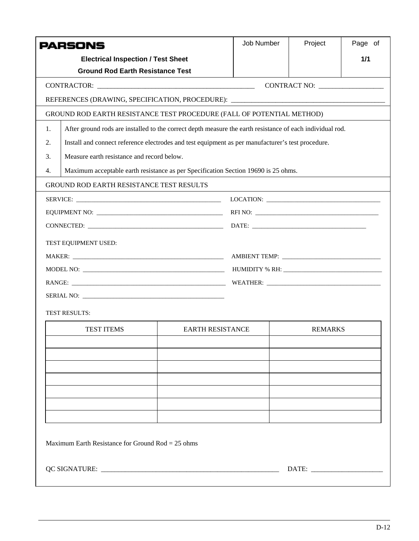|    | PARSONS                                                                                                   |                         | Job Number | Project        | Page of |  |  |  |
|----|-----------------------------------------------------------------------------------------------------------|-------------------------|------------|----------------|---------|--|--|--|
|    | <b>Electrical Inspection / Test Sheet</b>                                                                 |                         |            |                | 1/1     |  |  |  |
|    | <b>Ground Rod Earth Resistance Test</b>                                                                   |                         |            |                |         |  |  |  |
|    |                                                                                                           |                         |            | CONTRACT NO:   |         |  |  |  |
|    | REFERENCES (DRAWING, SPECIFICATION, PROCEDURE): ________________________________                          |                         |            |                |         |  |  |  |
|    | GROUND ROD EARTH RESISTANCE TEST PROCEDURE (FALL OF POTENTIAL METHOD)                                     |                         |            |                |         |  |  |  |
| 1. | After ground rods are installed to the correct depth measure the earth resistance of each individual rod. |                         |            |                |         |  |  |  |
| 2. | Install and connect reference electrodes and test equipment as per manufacturer's test procedure.         |                         |            |                |         |  |  |  |
| 3. | Measure earth resistance and record below.                                                                |                         |            |                |         |  |  |  |
| 4. | Maximum acceptable earth resistance as per Specification Section 19690 is 25 ohms.                        |                         |            |                |         |  |  |  |
|    | <b>GROUND ROD EARTH RESISTANCE TEST RESULTS</b>                                                           |                         |            |                |         |  |  |  |
|    |                                                                                                           |                         |            |                |         |  |  |  |
|    |                                                                                                           |                         |            |                |         |  |  |  |
|    |                                                                                                           |                         |            |                |         |  |  |  |
|    | TEST EQUIPMENT USED:                                                                                      |                         |            |                |         |  |  |  |
|    |                                                                                                           |                         |            |                |         |  |  |  |
|    |                                                                                                           |                         |            |                |         |  |  |  |
|    |                                                                                                           |                         |            |                |         |  |  |  |
|    |                                                                                                           |                         |            |                |         |  |  |  |
|    | <b>TEST RESULTS:</b>                                                                                      |                         |            |                |         |  |  |  |
|    | <b>TEST ITEMS</b>                                                                                         | <b>EARTH RESISTANCE</b> |            | <b>REMARKS</b> |         |  |  |  |
|    |                                                                                                           |                         |            |                |         |  |  |  |
|    |                                                                                                           |                         |            |                |         |  |  |  |
|    |                                                                                                           |                         |            |                |         |  |  |  |
|    |                                                                                                           |                         |            |                |         |  |  |  |
|    |                                                                                                           |                         |            |                |         |  |  |  |
|    |                                                                                                           |                         |            |                |         |  |  |  |
|    |                                                                                                           |                         |            |                |         |  |  |  |
|    | Maximum Earth Resistance for Ground Rod = $25$ ohms                                                       |                         |            |                |         |  |  |  |
|    |                                                                                                           |                         |            |                |         |  |  |  |
|    |                                                                                                           |                         |            |                |         |  |  |  |
|    |                                                                                                           |                         |            |                |         |  |  |  |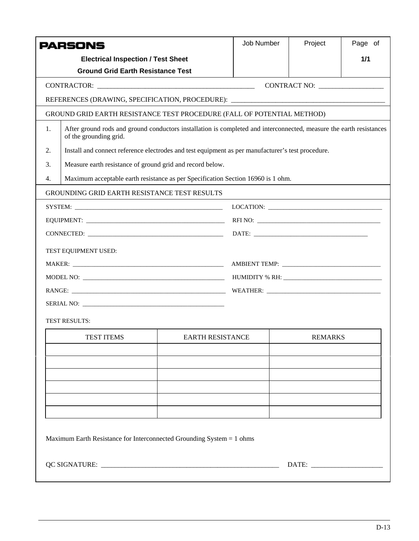|    | <b>PARSONS</b>                                                                                                                                |                         | Job Number                                                                                                                                                                                                                                                                                                                                                                                                                                                                                                                                                         | Project        | Page of |  |  |
|----|-----------------------------------------------------------------------------------------------------------------------------------------------|-------------------------|--------------------------------------------------------------------------------------------------------------------------------------------------------------------------------------------------------------------------------------------------------------------------------------------------------------------------------------------------------------------------------------------------------------------------------------------------------------------------------------------------------------------------------------------------------------------|----------------|---------|--|--|
|    | <b>Electrical Inspection / Test Sheet</b>                                                                                                     |                         |                                                                                                                                                                                                                                                                                                                                                                                                                                                                                                                                                                    |                | 1/1     |  |  |
|    | <b>Ground Grid Earth Resistance Test</b>                                                                                                      |                         |                                                                                                                                                                                                                                                                                                                                                                                                                                                                                                                                                                    |                |         |  |  |
|    |                                                                                                                                               |                         |                                                                                                                                                                                                                                                                                                                                                                                                                                                                                                                                                                    |                |         |  |  |
|    | REFERENCES (DRAWING, SPECIFICATION, PROCEDURE): ________________________________                                                              |                         |                                                                                                                                                                                                                                                                                                                                                                                                                                                                                                                                                                    |                |         |  |  |
|    | GROUND GRID EARTH RESISTANCE TEST PROCEDURE (FALL OF POTENTIAL METHOD)                                                                        |                         |                                                                                                                                                                                                                                                                                                                                                                                                                                                                                                                                                                    |                |         |  |  |
| 1. | After ground rods and ground conductors installation is completed and interconnected, measure the earth resistances<br>of the grounding grid. |                         |                                                                                                                                                                                                                                                                                                                                                                                                                                                                                                                                                                    |                |         |  |  |
| 2. | Install and connect reference electrodes and test equipment as per manufacturer's test procedure.                                             |                         |                                                                                                                                                                                                                                                                                                                                                                                                                                                                                                                                                                    |                |         |  |  |
| 3. | Measure earth resistance of ground grid and record below.                                                                                     |                         |                                                                                                                                                                                                                                                                                                                                                                                                                                                                                                                                                                    |                |         |  |  |
| 4. | Maximum acceptable earth resistance as per Specification Section 16960 is 1 ohm.                                                              |                         |                                                                                                                                                                                                                                                                                                                                                                                                                                                                                                                                                                    |                |         |  |  |
|    | <b>GROUNDING GRID EARTH RESISTANCE TEST RESULTS</b>                                                                                           |                         |                                                                                                                                                                                                                                                                                                                                                                                                                                                                                                                                                                    |                |         |  |  |
|    |                                                                                                                                               |                         | $\text{LOCATION:}\n \underline{\hspace{2cm}}\n \underline{\hspace{2cm}}\n \underline{\hspace{2cm}}\n \underline{\hspace{2cm}}\n \underline{\hspace{2cm}}\n \underline{\hspace{2cm}}\n \underline{\hspace{2cm}}\n \underline{\hspace{2cm}}\n \underline{\hspace{2cm}}\n \underline{\hspace{2cm}}\n \underline{\hspace{2cm}}\n \underline{\hspace{2cm}}\n \underline{\hspace{2cm}}\n \underline{\hspace{2cm}}\n \underline{\hspace{2cm}}\n \underline{\hspace{2cm}}\n \underline{\hspace{2cm}}\n \underline{\hspace{2cm}}\n \underline{\hspace{2cm}}\n \underline{\$ |                |         |  |  |
|    |                                                                                                                                               |                         |                                                                                                                                                                                                                                                                                                                                                                                                                                                                                                                                                                    |                |         |  |  |
|    |                                                                                                                                               |                         |                                                                                                                                                                                                                                                                                                                                                                                                                                                                                                                                                                    |                |         |  |  |
|    | TEST EQUIPMENT USED:                                                                                                                          |                         |                                                                                                                                                                                                                                                                                                                                                                                                                                                                                                                                                                    |                |         |  |  |
|    |                                                                                                                                               |                         |                                                                                                                                                                                                                                                                                                                                                                                                                                                                                                                                                                    |                |         |  |  |
|    |                                                                                                                                               |                         |                                                                                                                                                                                                                                                                                                                                                                                                                                                                                                                                                                    |                |         |  |  |
|    |                                                                                                                                               |                         |                                                                                                                                                                                                                                                                                                                                                                                                                                                                                                                                                                    |                |         |  |  |
|    |                                                                                                                                               |                         |                                                                                                                                                                                                                                                                                                                                                                                                                                                                                                                                                                    |                |         |  |  |
|    | <b>TEST RESULTS:</b>                                                                                                                          |                         |                                                                                                                                                                                                                                                                                                                                                                                                                                                                                                                                                                    |                |         |  |  |
|    |                                                                                                                                               | <b>EARTH RESISTANCE</b> |                                                                                                                                                                                                                                                                                                                                                                                                                                                                                                                                                                    | <b>REMARKS</b> |         |  |  |
|    | <b>TEST ITEMS</b>                                                                                                                             |                         |                                                                                                                                                                                                                                                                                                                                                                                                                                                                                                                                                                    |                |         |  |  |
|    |                                                                                                                                               |                         |                                                                                                                                                                                                                                                                                                                                                                                                                                                                                                                                                                    |                |         |  |  |
|    |                                                                                                                                               |                         |                                                                                                                                                                                                                                                                                                                                                                                                                                                                                                                                                                    |                |         |  |  |
|    |                                                                                                                                               |                         |                                                                                                                                                                                                                                                                                                                                                                                                                                                                                                                                                                    |                |         |  |  |
|    |                                                                                                                                               |                         |                                                                                                                                                                                                                                                                                                                                                                                                                                                                                                                                                                    |                |         |  |  |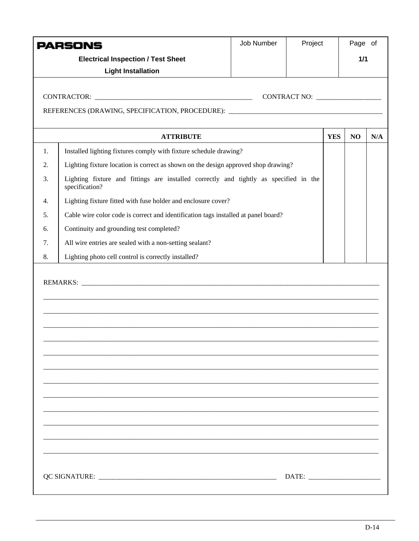|    | PARSONS                                                                                                 | Job Number | Project      |            | Page of |     |
|----|---------------------------------------------------------------------------------------------------------|------------|--------------|------------|---------|-----|
|    | <b>Electrical Inspection / Test Sheet</b>                                                               |            |              | 1/1        |         |     |
|    | <b>Light Installation</b>                                                                               |            |              |            |         |     |
|    |                                                                                                         |            |              |            |         |     |
|    |                                                                                                         |            | CONTRACT NO: |            |         |     |
|    | REFERENCES (DRAWING, SPECIFICATION, PROCEDURE): _________________________________                       |            |              |            |         |     |
|    | <b>ATTRIBUTE</b>                                                                                        |            |              | <b>YES</b> | NO      | N/A |
| 1. | Installed lighting fixtures comply with fixture schedule drawing?                                       |            |              |            |         |     |
| 2. | Lighting fixture location is correct as shown on the design approved shop drawing?                      |            |              |            |         |     |
| 3. | Lighting fixture and fittings are installed correctly and tightly as specified in the<br>specification? |            |              |            |         |     |
| 4. | Lighting fixture fitted with fuse holder and enclosure cover?                                           |            |              |            |         |     |
| 5. | Cable wire color code is correct and identification tags installed at panel board?                      |            |              |            |         |     |
| 6. | Continuity and grounding test completed?                                                                |            |              |            |         |     |
| 7. | All wire entries are sealed with a non-setting sealant?                                                 |            |              |            |         |     |
| 8. | Lighting photo cell control is correctly installed?                                                     |            |              |            |         |     |
|    |                                                                                                         |            |              |            |         |     |
|    |                                                                                                         |            |              |            |         |     |
|    |                                                                                                         |            |              |            |         |     |
|    |                                                                                                         |            |              |            |         |     |
|    |                                                                                                         |            |              |            |         |     |
|    |                                                                                                         |            |              |            |         |     |
|    |                                                                                                         |            |              |            |         |     |
|    |                                                                                                         |            |              |            |         |     |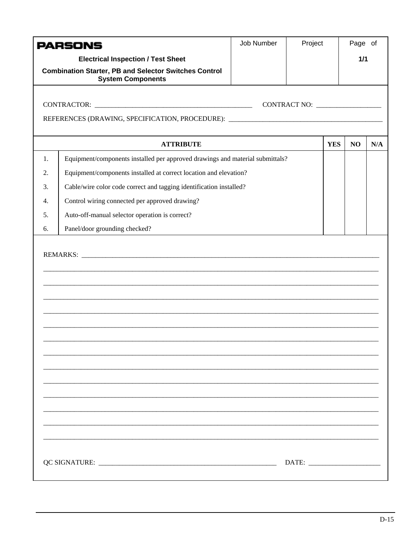|    | <b>PARSONS</b>                                                                           | Job Number | Project                            |            | Page of |     |
|----|------------------------------------------------------------------------------------------|------------|------------------------------------|------------|---------|-----|
|    | <b>Electrical Inspection / Test Sheet</b>                                                |            |                                    |            | 1/1     |     |
|    | <b>Combination Starter, PB and Selector Switches Control</b><br><b>System Components</b> |            |                                    |            |         |     |
|    |                                                                                          |            | CONTRACT NO: _____________________ |            |         |     |
|    | REFERENCES (DRAWING, SPECIFICATION, PROCEDURE): ________________________________         |            |                                    |            |         |     |
|    |                                                                                          |            |                                    |            |         |     |
|    | <b>ATTRIBUTE</b>                                                                         |            |                                    | <b>YES</b> | NO      | N/A |
| 1. | Equipment/components installed per approved drawings and material submittals?            |            |                                    |            |         |     |
| 2. | Equipment/components installed at correct location and elevation?                        |            |                                    |            |         |     |
| 3. | Cable/wire color code correct and tagging identification installed?                      |            |                                    |            |         |     |
| 4. | Control wiring connected per approved drawing?                                           |            |                                    |            |         |     |
| 5. | Auto-off-manual selector operation is correct?                                           |            |                                    |            |         |     |
| 6. | Panel/door grounding checked?                                                            |            |                                    |            |         |     |
|    |                                                                                          |            |                                    |            |         |     |
|    |                                                                                          |            |                                    |            |         |     |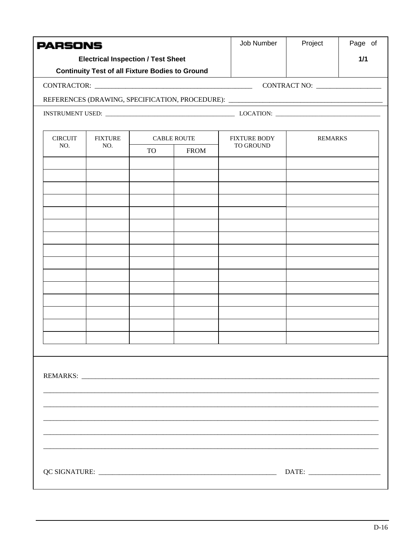| <b>PARSONS</b> |                                                        |                                                |  | Job Number                                                                       | Project        | Page of |
|----------------|--------------------------------------------------------|------------------------------------------------|--|----------------------------------------------------------------------------------|----------------|---------|
|                | <b>Electrical Inspection / Test Sheet</b>              |                                                |  |                                                                                  |                | 1/1     |
|                | <b>Continuity Test of all Fixture Bodies to Ground</b> |                                                |  |                                                                                  |                |         |
|                |                                                        |                                                |  |                                                                                  |                |         |
|                |                                                        |                                                |  | REFERENCES (DRAWING, SPECIFICATION, PROCEDURE): ________________________________ |                |         |
|                |                                                        |                                                |  |                                                                                  |                |         |
| <b>CIRCUIT</b> | <b>FIXTURE</b>                                         |                                                |  | <b>FIXTURE BODY</b>                                                              | <b>REMARKS</b> |         |
| NO.            | NO.                                                    | <b>CABLE ROUTE</b><br><b>FROM</b><br><b>TO</b> |  | TO GROUND                                                                        |                |         |
|                |                                                        |                                                |  |                                                                                  |                |         |
|                |                                                        |                                                |  |                                                                                  |                |         |
|                |                                                        |                                                |  |                                                                                  |                |         |
|                |                                                        |                                                |  |                                                                                  |                |         |
|                |                                                        |                                                |  |                                                                                  |                |         |
|                |                                                        |                                                |  |                                                                                  |                |         |
|                |                                                        |                                                |  |                                                                                  |                |         |
|                |                                                        |                                                |  |                                                                                  |                |         |
|                |                                                        |                                                |  |                                                                                  |                |         |
|                |                                                        |                                                |  |                                                                                  |                |         |
|                |                                                        |                                                |  |                                                                                  |                |         |
|                |                                                        |                                                |  |                                                                                  |                |         |
|                |                                                        |                                                |  |                                                                                  |                |         |
|                |                                                        |                                                |  |                                                                                  |                |         |
|                |                                                        |                                                |  |                                                                                  |                |         |
|                |                                                        |                                                |  |                                                                                  |                |         |
|                |                                                        |                                                |  |                                                                                  |                |         |
|                |                                                        |                                                |  |                                                                                  |                |         |
|                |                                                        |                                                |  |                                                                                  |                |         |
|                |                                                        |                                                |  |                                                                                  |                |         |
|                |                                                        |                                                |  |                                                                                  |                |         |
|                |                                                        |                                                |  |                                                                                  |                |         |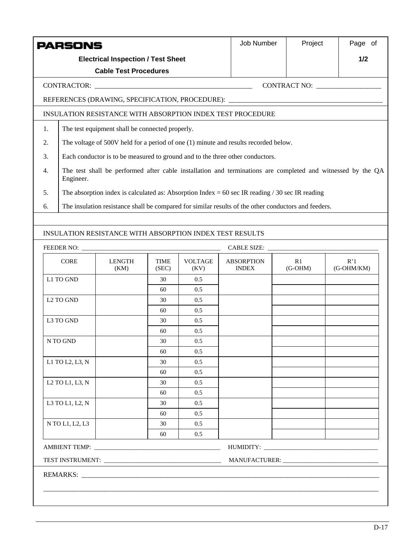|                                                                                                                                | <b>PARSONS</b>          |                                                            |                      |                        |                                                                                                   | Job Number                                                                                           | Project         | Page of           |  |
|--------------------------------------------------------------------------------------------------------------------------------|-------------------------|------------------------------------------------------------|----------------------|------------------------|---------------------------------------------------------------------------------------------------|------------------------------------------------------------------------------------------------------|-----------------|-------------------|--|
|                                                                                                                                |                         | <b>Electrical Inspection / Test Sheet</b>                  |                      |                        |                                                                                                   |                                                                                                      |                 | 1/2               |  |
|                                                                                                                                |                         | <b>Cable Test Procedures</b>                               |                      |                        |                                                                                                   |                                                                                                      |                 |                   |  |
|                                                                                                                                |                         |                                                            |                      |                        |                                                                                                   |                                                                                                      | CONTRACT NO:    |                   |  |
|                                                                                                                                |                         |                                                            |                      |                        |                                                                                                   | REFERENCES (DRAWING, SPECIFICATION, PROCEDURE): ________________________________                     |                 |                   |  |
|                                                                                                                                |                         | INSULATION RESISTANCE WITH ABSORPTION INDEX TEST PROCEDURE |                      |                        |                                                                                                   |                                                                                                      |                 |                   |  |
| 1.                                                                                                                             |                         | The test equipment shall be connected properly.            |                      |                        |                                                                                                   |                                                                                                      |                 |                   |  |
| 2.                                                                                                                             |                         |                                                            |                      |                        |                                                                                                   | The voltage of 500V held for a period of one (1) minute and results recorded below.                  |                 |                   |  |
| 3.                                                                                                                             |                         |                                                            |                      |                        | Each conductor is to be measured to ground and to the three other conductors.                     |                                                                                                      |                 |                   |  |
| The test shall be performed after cable installation and terminations are completed and witnessed by the QA<br>4.<br>Engineer. |                         |                                                            |                      |                        |                                                                                                   |                                                                                                      |                 |                   |  |
| 5.                                                                                                                             |                         |                                                            |                      |                        | The absorption index is calculated as: Absorption Index = 60 sec IR reading $/ 30$ sec IR reading |                                                                                                      |                 |                   |  |
| 6.                                                                                                                             |                         |                                                            |                      |                        |                                                                                                   | The insulation resistance shall be compared for similar results of the other conductors and feeders. |                 |                   |  |
|                                                                                                                                |                         |                                                            |                      |                        |                                                                                                   |                                                                                                      |                 |                   |  |
|                                                                                                                                |                         | INSULATION RESISTANCE WITH ABSORPTION INDEX TEST RESULTS   |                      |                        |                                                                                                   |                                                                                                      |                 |                   |  |
|                                                                                                                                |                         |                                                            |                      |                        |                                                                                                   |                                                                                                      |                 |                   |  |
|                                                                                                                                | <b>CORE</b>             | <b>LENGTH</b><br>(KM)                                      | <b>TIME</b><br>(SEC) | <b>VOLTAGE</b><br>(KV) |                                                                                                   | <b>ABSORPTION</b><br><b>INDEX</b>                                                                    | R1<br>$(G-OHM)$ | R'1<br>(G-OHM/KM) |  |
|                                                                                                                                | L1 TO GND               |                                                            | 30                   | 0.5                    |                                                                                                   |                                                                                                      |                 |                   |  |
|                                                                                                                                |                         |                                                            | 60                   | 0.5                    |                                                                                                   |                                                                                                      |                 |                   |  |
|                                                                                                                                | L <sub>2</sub> TO GND   |                                                            | 30<br>60             | 0.5<br>0.5             |                                                                                                   |                                                                                                      |                 |                   |  |
|                                                                                                                                | L3 TO GND               |                                                            | 30                   | 0.5                    |                                                                                                   |                                                                                                      |                 |                   |  |
|                                                                                                                                |                         |                                                            | 60                   | 0.5                    |                                                                                                   |                                                                                                      |                 |                   |  |
|                                                                                                                                | N TO GND                |                                                            | 30                   | 0.5                    |                                                                                                   |                                                                                                      |                 |                   |  |
|                                                                                                                                |                         |                                                            | 60                   | 0.5                    |                                                                                                   |                                                                                                      |                 |                   |  |
|                                                                                                                                | L1 TO L2, L3, N         |                                                            | 30                   | 0.5                    |                                                                                                   |                                                                                                      |                 |                   |  |
|                                                                                                                                |                         |                                                            | 60                   | 0.5                    |                                                                                                   |                                                                                                      |                 |                   |  |
|                                                                                                                                | $L2$ TO $L1$ , $L3$ , N |                                                            | 30                   | 0.5                    |                                                                                                   |                                                                                                      |                 |                   |  |
|                                                                                                                                | L3 TO L1, L2, N         |                                                            | 60<br>30             | 0.5<br>0.5             |                                                                                                   |                                                                                                      |                 |                   |  |
|                                                                                                                                |                         |                                                            | 60                   | 0.5                    |                                                                                                   |                                                                                                      |                 |                   |  |
|                                                                                                                                | N TO L1, L2, L3         |                                                            | 30                   | 0.5                    |                                                                                                   |                                                                                                      |                 |                   |  |
|                                                                                                                                |                         |                                                            | 60                   | 0.5                    |                                                                                                   |                                                                                                      |                 |                   |  |
|                                                                                                                                |                         |                                                            |                      |                        |                                                                                                   |                                                                                                      |                 |                   |  |
|                                                                                                                                |                         |                                                            |                      |                        |                                                                                                   |                                                                                                      |                 |                   |  |
|                                                                                                                                |                         |                                                            |                      |                        |                                                                                                   |                                                                                                      |                 |                   |  |
|                                                                                                                                |                         |                                                            |                      |                        |                                                                                                   |                                                                                                      |                 |                   |  |
|                                                                                                                                |                         |                                                            |                      |                        |                                                                                                   |                                                                                                      |                 |                   |  |
|                                                                                                                                |                         |                                                            |                      |                        |                                                                                                   |                                                                                                      |                 |                   |  |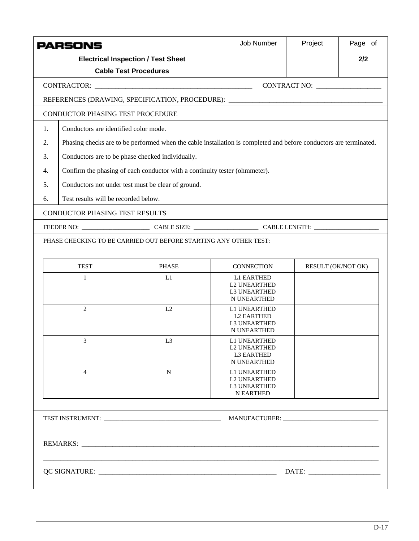|    | <b>PARSONS</b>                                   |                                                                                                                   | <b>Job Number</b>                                                       | Project                          | Page of |  |  |  |
|----|--------------------------------------------------|-------------------------------------------------------------------------------------------------------------------|-------------------------------------------------------------------------|----------------------------------|---------|--|--|--|
|    |                                                  | <b>Electrical Inspection / Test Sheet</b>                                                                         |                                                                         |                                  | 2/2     |  |  |  |
|    |                                                  | <b>Cable Test Procedures</b>                                                                                      |                                                                         |                                  |         |  |  |  |
|    |                                                  |                                                                                                                   |                                                                         | CONTRACT NO: ___________________ |         |  |  |  |
|    |                                                  | REFERENCES (DRAWING, SPECIFICATION, PROCEDURE): ________________________________                                  |                                                                         |                                  |         |  |  |  |
|    | CONDUCTOR PHASING TEST PROCEDURE                 |                                                                                                                   |                                                                         |                                  |         |  |  |  |
| 1. | Conductors are identified color mode.            |                                                                                                                   |                                                                         |                                  |         |  |  |  |
| 2. |                                                  | Phasing checks are to be performed when the cable installation is completed and before conductors are terminated. |                                                                         |                                  |         |  |  |  |
| 3. | Conductors are to be phase checked individually. |                                                                                                                   |                                                                         |                                  |         |  |  |  |
| 4. |                                                  | Confirm the phasing of each conductor with a continuity tester (ohmmeter).                                        |                                                                         |                                  |         |  |  |  |
| 5. |                                                  | Conductors not under test must be clear of ground.                                                                |                                                                         |                                  |         |  |  |  |
| 6. | Test results will be recorded below.             |                                                                                                                   |                                                                         |                                  |         |  |  |  |
|    | <b>CONDUCTOR PHASING TEST RESULTS</b>            |                                                                                                                   |                                                                         |                                  |         |  |  |  |
|    |                                                  | FEEDER NO: CABLE SIZE: CABLE SIZE: CABLE LENGTH:                                                                  |                                                                         |                                  |         |  |  |  |
|    |                                                  | PHASE CHECKING TO BE CARRIED OUT BEFORE STARTING ANY OTHER TEST:                                                  |                                                                         |                                  |         |  |  |  |
|    | <b>TEST</b>                                      | <b>PHASE</b>                                                                                                      | <b>CONNECTION</b>                                                       | RESULT (OK/NOT OK)               |         |  |  |  |
|    | $\mathbf{1}$                                     | L1                                                                                                                | <b>L1 EARTHED</b><br><b>L2 UNEARTHED</b><br>L3 UNEARTHED<br>N UNEARTHED |                                  |         |  |  |  |
|    | $\overline{2}$                                   | L2                                                                                                                | L1 UNEARTHED<br><b>L2 EARTHED</b><br><b>L3 UNEARTHED</b><br>N UNEARTHED |                                  |         |  |  |  |
|    | 3                                                | L <sub>3</sub>                                                                                                    | L1 UNEARTHED<br><b>L2 UNEARTHED</b><br><b>L3 EARTHED</b><br>N UNEARTHED |                                  |         |  |  |  |
|    | $\overline{4}$                                   | ${\bf N}$                                                                                                         | L1 UNEARTHED<br><b>L2 UNEARTHED</b><br>L3 UNEARTHED<br><b>N EARTHED</b> |                                  |         |  |  |  |
|    |                                                  |                                                                                                                   |                                                                         |                                  |         |  |  |  |
|    |                                                  |                                                                                                                   |                                                                         |                                  |         |  |  |  |
|    |                                                  |                                                                                                                   |                                                                         |                                  |         |  |  |  |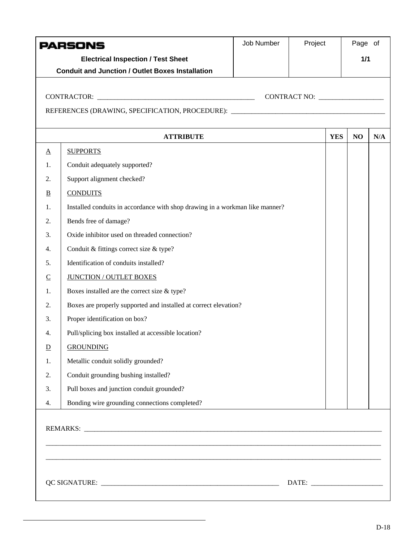|                 | <b>PARSONS</b>                                                                    | Job Number | Project |            | Page of |     |
|-----------------|-----------------------------------------------------------------------------------|------------|---------|------------|---------|-----|
|                 | <b>Electrical Inspection / Test Sheet</b>                                         |            |         |            | 1/1     |     |
|                 | <b>Conduit and Junction / Outlet Boxes Installation</b>                           |            |         |            |         |     |
|                 |                                                                                   |            |         |            |         |     |
|                 |                                                                                   |            |         |            |         |     |
|                 | REFERENCES (DRAWING, SPECIFICATION, PROCEDURE): _________________________________ |            |         |            |         |     |
|                 |                                                                                   |            |         |            |         |     |
|                 | <b>ATTRIBUTE</b>                                                                  |            |         | <b>YES</b> | NO      | N/A |
| $\underline{A}$ | <b>SUPPORTS</b>                                                                   |            |         |            |         |     |
| 1.              | Conduit adequately supported?                                                     |            |         |            |         |     |
| 2.              | Support alignment checked?                                                        |            |         |            |         |     |
| $\overline{B}$  | <b>CONDUITS</b>                                                                   |            |         |            |         |     |
| 1.              | Installed conduits in accordance with shop drawing in a workman like manner?      |            |         |            |         |     |
| 2.              | Bends free of damage?                                                             |            |         |            |         |     |
| 3.              | Oxide inhibitor used on threaded connection?                                      |            |         |            |         |     |
| 4.              | Conduit & fittings correct size & type?                                           |            |         |            |         |     |
| 5.              | Identification of conduits installed?                                             |            |         |            |         |     |
| $\subseteq$     | <b>JUNCTION / OUTLET BOXES</b>                                                    |            |         |            |         |     |
| 1.              | Boxes installed are the correct size & type?                                      |            |         |            |         |     |
| 2.              | Boxes are properly supported and installed at correct elevation?                  |            |         |            |         |     |
| 3.              | Proper identification on box?                                                     |            |         |            |         |     |
| 4.              | Pull/splicing box installed at accessible location?                               |            |         |            |         |     |
| $\overline{D}$  | <b>GROUNDING</b>                                                                  |            |         |            |         |     |
| 1.              | Metallic conduit solidly grounded?                                                |            |         |            |         |     |
| 2.              | Conduit grounding bushing installed?                                              |            |         |            |         |     |
| 3.              | Pull boxes and junction conduit grounded?                                         |            |         |            |         |     |
| 4.              | Bonding wire grounding connections completed?                                     |            |         |            |         |     |
|                 |                                                                                   |            |         |            |         |     |
|                 |                                                                                   |            |         |            |         |     |
|                 |                                                                                   |            |         |            |         |     |
|                 |                                                                                   |            |         |            |         |     |
|                 |                                                                                   |            |         |            |         |     |
|                 |                                                                                   |            |         |            |         |     |
|                 |                                                                                   |            |         |            |         |     |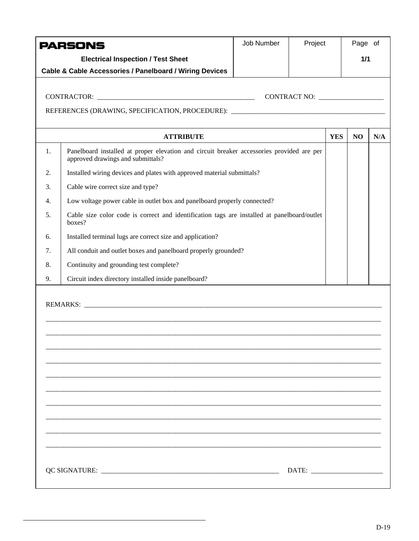|    | PARSONS                                                                                                                        | Job Number | Project      |            | Page of |     |
|----|--------------------------------------------------------------------------------------------------------------------------------|------------|--------------|------------|---------|-----|
|    | <b>Electrical Inspection / Test Sheet</b>                                                                                      |            |              |            | 1/1     |     |
|    | Cable & Cable Accessories / Panelboard / Wiring Devices                                                                        |            |              |            |         |     |
|    |                                                                                                                                |            |              |            |         |     |
|    |                                                                                                                                |            | CONTRACT NO: |            |         |     |
|    | REFERENCES (DRAWING, SPECIFICATION, PROCEDURE): _________________________________                                              |            |              |            |         |     |
|    | <b>ATTRIBUTE</b>                                                                                                               |            |              | <b>YES</b> | NO      | N/A |
| 1. | Panelboard installed at proper elevation and circuit breaker accessories provided are per<br>approved drawings and submittals? |            |              |            |         |     |
| 2. | Installed wiring devices and plates with approved material submittals?                                                         |            |              |            |         |     |
| 3. | Cable wire correct size and type?                                                                                              |            |              |            |         |     |
| 4. | Low voltage power cable in outlet box and panelboard properly connected?                                                       |            |              |            |         |     |
| 5. | Cable size color code is correct and identification tags are installed at panelboard/outlet<br>boxes?                          |            |              |            |         |     |
| 6. | Installed terminal lugs are correct size and application?                                                                      |            |              |            |         |     |
| 7. | All conduit and outlet boxes and panelboard properly grounded?                                                                 |            |              |            |         |     |
| 8. | Continuity and grounding test complete?                                                                                        |            |              |            |         |     |
| 9. | Circuit index directory installed inside panelboard?                                                                           |            |              |            |         |     |
|    |                                                                                                                                |            |              |            |         |     |
|    |                                                                                                                                |            |              |            |         |     |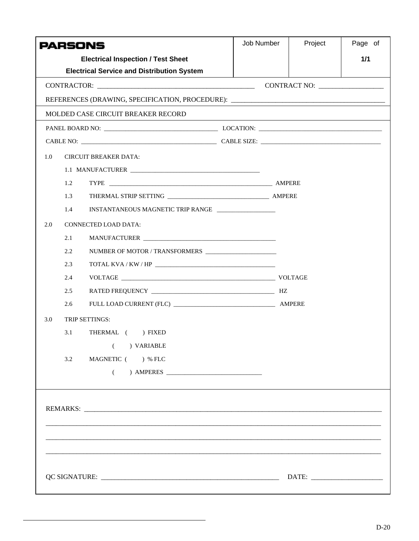|     |     | <b>PARSONS</b>                                                                                                                                                                             | Job Number | Project | Page of |
|-----|-----|--------------------------------------------------------------------------------------------------------------------------------------------------------------------------------------------|------------|---------|---------|
|     |     | <b>Electrical Inspection / Test Sheet</b>                                                                                                                                                  |            |         | 1/1     |
|     |     | <b>Electrical Service and Distribution System</b>                                                                                                                                          |            |         |         |
|     |     |                                                                                                                                                                                            |            |         |         |
|     |     | REFERENCES (DRAWING, SPECIFICATION, PROCEDURE): ________________________________                                                                                                           |            |         |         |
|     |     | MOLDED CASE CIRCUIT BREAKER RECORD                                                                                                                                                         |            |         |         |
|     |     |                                                                                                                                                                                            |            |         |         |
|     |     |                                                                                                                                                                                            |            |         |         |
| 1.0 |     | <b>CIRCUIT BREAKER DATA:</b>                                                                                                                                                               |            |         |         |
|     |     |                                                                                                                                                                                            |            |         |         |
|     | 1.2 |                                                                                                                                                                                            |            |         |         |
|     | 1.3 |                                                                                                                                                                                            |            |         |         |
|     | 1.4 | INSTANTANEOUS MAGNETIC TRIP RANGE                                                                                                                                                          |            |         |         |
| 2.0 |     | <b>CONNECTED LOAD DATA:</b>                                                                                                                                                                |            |         |         |
|     | 2.1 |                                                                                                                                                                                            |            |         |         |
|     | 2.2 |                                                                                                                                                                                            |            |         |         |
|     | 2.3 | $\begin{tabular}{c} \bf TOTAL\:KVA \textit{/} KW \textit{/} HP \end{tabular} \begin{tabular}{c} \textbf{\textcolor{blue}{\bf{---}}} & \textbf{\textcolor{blue}{\bf ---}} \\ \end{tabular}$ |            |         |         |
|     | 2.4 |                                                                                                                                                                                            |            |         |         |
|     | 2.5 |                                                                                                                                                                                            |            |         |         |
|     | 2.6 |                                                                                                                                                                                            |            |         |         |
| 3.0 |     | TRIP SETTINGS:                                                                                                                                                                             |            |         |         |
|     | 3.1 | THERMAL () FIXED                                                                                                                                                                           |            |         |         |
|     |     | ) VARIABLE<br>$\left($                                                                                                                                                                     |            |         |         |
|     | 3.2 | MAGNETIC () % FLC                                                                                                                                                                          |            |         |         |
|     |     | $\left($                                                                                                                                                                                   |            |         |         |
|     |     |                                                                                                                                                                                            |            |         |         |
|     |     |                                                                                                                                                                                            |            |         |         |
|     |     |                                                                                                                                                                                            |            |         |         |
|     |     |                                                                                                                                                                                            |            |         |         |
|     |     |                                                                                                                                                                                            |            |         |         |
|     |     |                                                                                                                                                                                            |            |         |         |
|     |     |                                                                                                                                                                                            |            |         |         |
|     |     |                                                                                                                                                                                            |            |         |         |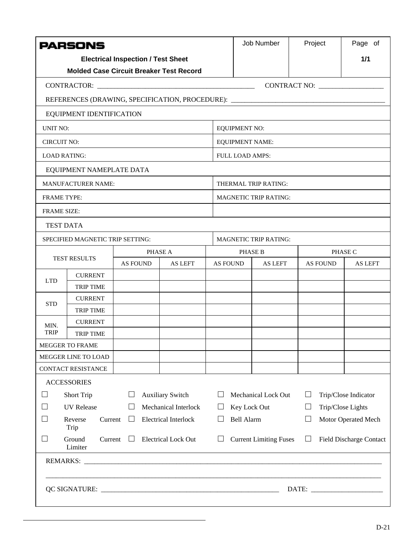|                                                                                                                                                              | <b>PARSONS</b>                                                                   |                 |         |                 | Job Number                                                         | Project           | Page of        |  |  |  |
|--------------------------------------------------------------------------------------------------------------------------------------------------------------|----------------------------------------------------------------------------------|-----------------|---------|-----------------|--------------------------------------------------------------------|-------------------|----------------|--|--|--|
| <b>Electrical Inspection / Test Sheet</b>                                                                                                                    |                                                                                  |                 |         |                 |                                                                    |                   | 1/1            |  |  |  |
|                                                                                                                                                              | <b>Molded Case Circuit Breaker Test Record</b>                                   |                 |         |                 |                                                                    |                   |                |  |  |  |
|                                                                                                                                                              |                                                                                  |                 |         |                 |                                                                    |                   |                |  |  |  |
|                                                                                                                                                              | REFERENCES (DRAWING, SPECIFICATION, PROCEDURE): ________________________________ |                 |         |                 |                                                                    |                   |                |  |  |  |
|                                                                                                                                                              | EQUIPMENT IDENTIFICATION                                                         |                 |         |                 |                                                                    |                   |                |  |  |  |
| <b>UNIT NO:</b>                                                                                                                                              |                                                                                  |                 |         |                 | <b>EQUIPMENT NO:</b>                                               |                   |                |  |  |  |
| <b>CIRCUIT NO:</b>                                                                                                                                           |                                                                                  |                 |         |                 | <b>EQUIPMENT NAME:</b>                                             |                   |                |  |  |  |
|                                                                                                                                                              | <b>LOAD RATING:</b>                                                              |                 |         |                 | <b>FULL LOAD AMPS:</b>                                             |                   |                |  |  |  |
|                                                                                                                                                              | EQUIPMENT NAMEPLATE DATA                                                         |                 |         |                 |                                                                    |                   |                |  |  |  |
|                                                                                                                                                              | <b>MANUFACTURER NAME:</b>                                                        |                 |         |                 | THERMAL TRIP RATING:                                               |                   |                |  |  |  |
| <b>FRAME TYPE:</b>                                                                                                                                           |                                                                                  |                 |         |                 | <b>MAGNETIC TRIP RATING:</b>                                       |                   |                |  |  |  |
| <b>FRAME SIZE:</b>                                                                                                                                           |                                                                                  |                 |         |                 |                                                                    |                   |                |  |  |  |
|                                                                                                                                                              | <b>TEST DATA</b>                                                                 |                 |         |                 |                                                                    |                   |                |  |  |  |
|                                                                                                                                                              | SPECIFIED MAGNETIC TRIP SETTING:                                                 |                 |         |                 | <b>MAGNETIC TRIP RATING:</b>                                       |                   |                |  |  |  |
|                                                                                                                                                              | <b>TEST RESULTS</b>                                                              |                 | PHASE A |                 | <b>PHASE B</b>                                                     |                   | PHASE C        |  |  |  |
|                                                                                                                                                              |                                                                                  | <b>AS FOUND</b> | AS LEFT | <b>AS FOUND</b> | AS LEFT                                                            | <b>AS FOUND</b>   | <b>AS LEFT</b> |  |  |  |
| <b>LTD</b>                                                                                                                                                   | <b>CURRENT</b>                                                                   |                 |         |                 |                                                                    |                   |                |  |  |  |
|                                                                                                                                                              | <b>TRIP TIME</b><br><b>CURRENT</b>                                               |                 |         |                 |                                                                    |                   |                |  |  |  |
| <b>STD</b>                                                                                                                                                   | <b>TRIP TIME</b>                                                                 |                 |         |                 |                                                                    |                   |                |  |  |  |
| MIN.                                                                                                                                                         | <b>CURRENT</b>                                                                   |                 |         |                 |                                                                    |                   |                |  |  |  |
| <b>TRIP</b>                                                                                                                                                  | <b>TRIP TIME</b>                                                                 |                 |         |                 |                                                                    |                   |                |  |  |  |
|                                                                                                                                                              | MEGGER TO FRAME                                                                  |                 |         |                 |                                                                    |                   |                |  |  |  |
|                                                                                                                                                              | MEGGER LINE TO LOAD                                                              |                 |         |                 |                                                                    |                   |                |  |  |  |
|                                                                                                                                                              | CONTACT RESISTANCE                                                               |                 |         |                 |                                                                    |                   |                |  |  |  |
|                                                                                                                                                              | <b>ACCESSORIES</b>                                                               |                 |         |                 |                                                                    |                   |                |  |  |  |
| $\vert \ \ \vert$                                                                                                                                            | <b>Short Trip</b><br><b>Auxiliary Switch</b><br>ப                                |                 |         |                 | <b>Mechanical Lock Out</b><br>Trip/Close Indicator<br>$\mathsf{L}$ |                   |                |  |  |  |
| <b>UV</b> Release<br>Mechanical Interlock<br>$\mathsf{L}$<br>$\Box$                                                                                          |                                                                                  |                 |         | Key Lock Out    | ப                                                                  | Trip/Close Lights |                |  |  |  |
| <b>Electrical Interlock</b><br><b>Bell Alarm</b><br>Motor Operated Mech<br>Reverse<br>Current<br>$\mathbb{R}^n$<br>$\Box$<br>$\mathsf{L}$<br>Trip            |                                                                                  |                 |         |                 |                                                                    |                   |                |  |  |  |
| Ground<br>Current<br>$\Box$<br><b>Electrical Lock Out</b><br><b>Current Limiting Fuses</b><br><b>Field Discharge Contact</b><br>$\mathsf{L}$<br>ப<br>Limiter |                                                                                  |                 |         |                 |                                                                    |                   |                |  |  |  |
|                                                                                                                                                              |                                                                                  |                 |         |                 |                                                                    |                   |                |  |  |  |
|                                                                                                                                                              |                                                                                  |                 |         |                 |                                                                    |                   |                |  |  |  |
|                                                                                                                                                              |                                                                                  |                 |         |                 |                                                                    |                   |                |  |  |  |
|                                                                                                                                                              |                                                                                  |                 |         |                 |                                                                    |                   |                |  |  |  |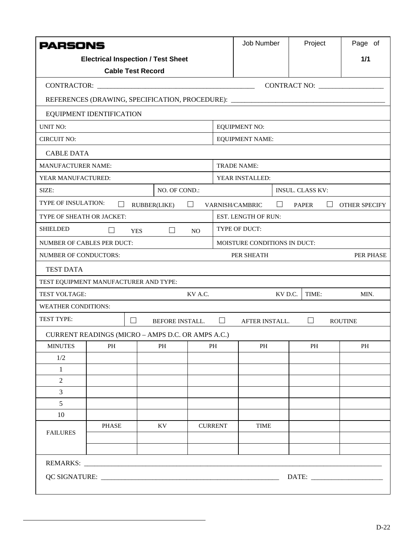| <b>PARSONS</b>                    |         |                                                                                  |                |                                                      | Job Number                   | Project                 | Page of       |  |  |  |
|-----------------------------------|---------|----------------------------------------------------------------------------------|----------------|------------------------------------------------------|------------------------------|-------------------------|---------------|--|--|--|
|                                   |         | <b>Electrical Inspection / Test Sheet</b>                                        |                |                                                      |                              |                         | 1/1           |  |  |  |
|                                   |         | <b>Cable Test Record</b>                                                         |                |                                                      |                              |                         |               |  |  |  |
|                                   |         |                                                                                  |                |                                                      |                              | CONTRACT NO:            |               |  |  |  |
|                                   |         | REFERENCES (DRAWING, SPECIFICATION, PROCEDURE): ________________________________ |                |                                                      |                              |                         |               |  |  |  |
| EQUIPMENT IDENTIFICATION          |         |                                                                                  |                |                                                      |                              |                         |               |  |  |  |
| <b>UNIT NO:</b>                   |         |                                                                                  |                | <b>EQUIPMENT NO:</b>                                 |                              |                         |               |  |  |  |
| CIRCUIT NO:                       |         |                                                                                  |                |                                                      | <b>EQUIPMENT NAME:</b>       |                         |               |  |  |  |
| <b>CABLE DATA</b>                 |         |                                                                                  |                |                                                      |                              |                         |               |  |  |  |
| <b>MANUFACTURER NAME:</b>         |         |                                                                                  |                |                                                      | TRADE NAME:                  |                         |               |  |  |  |
| YEAR MANUFACTURED:                |         |                                                                                  |                |                                                      | YEAR INSTALLED:              |                         |               |  |  |  |
| SIZE:                             |         | NO. OF COND.:                                                                    |                |                                                      |                              | <b>INSUL. CLASS KV:</b> |               |  |  |  |
| TYPE OF INSULATION:               | $\perp$ | RUBBER(LIKE)                                                                     | $\Box$         |                                                      | VARNISH/CAMBRIC<br>ப         | PAPER<br>$\perp$        | OTHER SPECIFY |  |  |  |
| TYPE OF SHEATH OR JACKET:         |         |                                                                                  |                |                                                      | EST. LENGTH OF RUN:          |                         |               |  |  |  |
| <b>SHIELDED</b>                   | $\perp$ | $\Box$<br><b>YES</b>                                                             | N <sub>O</sub> |                                                      | TYPE OF DUCT:                |                         |               |  |  |  |
| <b>NUMBER OF CABLES PER DUCT:</b> |         |                                                                                  |                |                                                      | MOISTURE CONDITIONS IN DUCT: |                         |               |  |  |  |
| <b>NUMBER OF CONDUCTORS:</b>      |         |                                                                                  |                |                                                      | PER SHEATH                   |                         | PER PHASE     |  |  |  |
| <b>TEST DATA</b>                  |         |                                                                                  |                |                                                      |                              |                         |               |  |  |  |
|                                   |         | TEST EQUIPMENT MANUFACTURER AND TYPE:                                            |                |                                                      |                              |                         |               |  |  |  |
| <b>TEST VOLTAGE:</b>              |         |                                                                                  | KV A.C.        |                                                      | KV D.C.                      | TIME:                   | MIN.          |  |  |  |
| <b>WEATHER CONDITIONS:</b>        |         |                                                                                  |                |                                                      |                              |                         |               |  |  |  |
| TEST TYPE:                        |         | $\Box$<br>BEFORE INSTALL.                                                        |                | $\Box$<br>$\Box$<br>AFTER INSTALL.<br><b>ROUTINE</b> |                              |                         |               |  |  |  |
|                                   |         | CURRENT READINGS (MICRO - AMPS D.C. OR AMPS A.C.)                                |                |                                                      |                              |                         |               |  |  |  |
| <b>MINUTES</b>                    | PH      | PH                                                                               |                | PH                                                   | PH                           | $\rm PH$                | PH            |  |  |  |
| 1/2                               |         |                                                                                  |                |                                                      |                              |                         |               |  |  |  |
| 1                                 |         |                                                                                  |                |                                                      |                              |                         |               |  |  |  |
| $\overline{2}$                    |         |                                                                                  |                |                                                      |                              |                         |               |  |  |  |
| 3                                 |         |                                                                                  |                |                                                      |                              |                         |               |  |  |  |
|                                   | 5       |                                                                                  |                |                                                      |                              |                         |               |  |  |  |
| 10                                |         |                                                                                  |                |                                                      |                              |                         |               |  |  |  |
| <b>FAILURES</b>                   | PHASE   | KV                                                                               |                | <b>CURRENT</b>                                       | <b>TIME</b>                  |                         |               |  |  |  |
|                                   |         |                                                                                  |                |                                                      |                              |                         |               |  |  |  |
|                                   |         |                                                                                  |                |                                                      |                              |                         |               |  |  |  |
| REMARKS:                          |         |                                                                                  |                |                                                      |                              |                         |               |  |  |  |
| DATE:                             |         |                                                                                  |                |                                                      |                              |                         |               |  |  |  |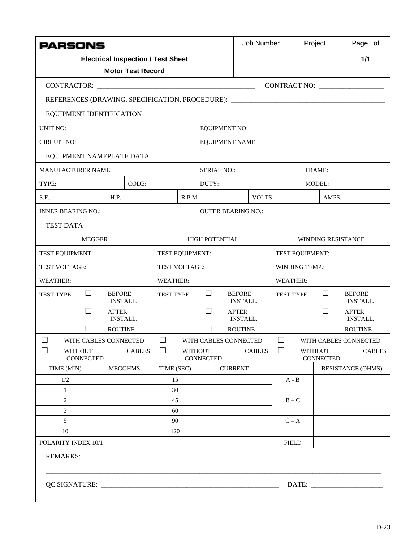| <b>PARSONS</b>                                                                                                                                                                                                                 |                                  |                                           |                 | Job Number |                             | Project                          |                 | Page of                     |                |                  |                                  |
|--------------------------------------------------------------------------------------------------------------------------------------------------------------------------------------------------------------------------------|----------------------------------|-------------------------------------------|-----------------|------------|-----------------------------|----------------------------------|-----------------|-----------------------------|----------------|------------------|----------------------------------|
|                                                                                                                                                                                                                                |                                  | <b>Electrical Inspection / Test Sheet</b> |                 |            |                             |                                  |                 |                             |                |                  | 1/1                              |
|                                                                                                                                                                                                                                |                                  | <b>Motor Test Record</b>                  |                 |            |                             |                                  |                 |                             |                |                  |                                  |
|                                                                                                                                                                                                                                |                                  |                                           |                 |            |                             |                                  |                 |                             |                |                  |                                  |
| REFERENCES (DRAWING, SPECIFICATION, PROCEDURE): ________________________________                                                                                                                                               |                                  |                                           |                 |            |                             |                                  |                 |                             |                |                  |                                  |
| EQUIPMENT IDENTIFICATION                                                                                                                                                                                                       |                                  |                                           |                 |            |                             |                                  |                 |                             |                |                  |                                  |
| <b>UNIT NO:</b>                                                                                                                                                                                                                | <b>EQUIPMENT NO:</b>             |                                           |                 |            |                             |                                  |                 |                             |                |                  |                                  |
| <b>CIRCUIT NO:</b>                                                                                                                                                                                                             |                                  |                                           |                 |            | <b>EQUIPMENT NAME:</b>      |                                  |                 |                             |                |                  |                                  |
| EQUIPMENT NAMEPLATE DATA                                                                                                                                                                                                       |                                  |                                           |                 |            |                             |                                  |                 |                             |                |                  |                                  |
| <b>MANUFACTURER NAME:</b>                                                                                                                                                                                                      |                                  |                                           |                 |            | <b>SERIAL NO.:</b>          |                                  |                 |                             | <b>FRAME:</b>  |                  |                                  |
| TYPE:                                                                                                                                                                                                                          |                                  | CODE:                                     |                 |            | DUTY:                       |                                  |                 |                             | MODEL:         |                  |                                  |
| $S.F.$ :                                                                                                                                                                                                                       | $H.P.$ :                         |                                           |                 | R.P.M.     |                             |                                  | VOLTS:          |                             |                | AMPS:            |                                  |
| <b>INNER BEARING NO.:</b>                                                                                                                                                                                                      |                                  |                                           |                 |            | <b>OUTER BEARING NO.:</b>   |                                  |                 |                             |                |                  |                                  |
| <b>TEST DATA</b>                                                                                                                                                                                                               |                                  |                                           |                 |            |                             |                                  |                 |                             |                |                  |                                  |
| <b>MEGGER</b>                                                                                                                                                                                                                  |                                  |                                           |                 |            | <b>HIGH POTENTIAL</b>       |                                  |                 | WINDING RESISTANCE          |                |                  |                                  |
| TEST EQUIPMENT:                                                                                                                                                                                                                |                                  |                                           | TEST EQUIPMENT: |            |                             | TEST EQUIPMENT:                  |                 |                             |                |                  |                                  |
| TEST VOLTAGE:                                                                                                                                                                                                                  |                                  |                                           | TEST VOLTAGE:   |            |                             |                                  | WINDING TEMP.:  |                             |                |                  |                                  |
| <b>WEATHER:</b>                                                                                                                                                                                                                |                                  |                                           | <b>WEATHER:</b> |            |                             |                                  | <b>WEATHER:</b> |                             |                |                  |                                  |
| $\Box$<br>TEST TYPE:                                                                                                                                                                                                           | <b>BEFORE</b><br><b>INSTALL.</b> |                                           | TEST TYPE:      |            | $\perp$                     | <b>BEFORE</b><br><b>INSTALL.</b> |                 | TEST TYPE:                  |                | $\Box$           | <b>BEFORE</b><br><b>INSTALL.</b> |
| $\mathbf{I}$                                                                                                                                                                                                                   | <b>AFTER</b><br><b>INSTALL.</b>  |                                           |                 |            |                             | <b>AFTER</b><br><b>INSTALL.</b>  |                 |                             |                |                  | <b>AFTER</b><br><b>INSTALL.</b>  |
|                                                                                                                                                                                                                                | <b>ROUTINE</b>                   |                                           |                 |            |                             | <b>ROUTINE</b>                   |                 |                             |                |                  | <b>ROUTINE</b>                   |
| WITH CABLES CONNECTED                                                                                                                                                                                                          |                                  |                                           | $\perp$         |            | WITH CABLES CONNECTED       |                                  |                 | $\Box$                      |                |                  | WITH CABLES CONNECTED            |
| $\mathbb{R}^n$<br><b>WITHOUT</b><br><b>CONNECTED</b>                                                                                                                                                                           |                                  | <b>CABLES</b>                             | $\sim$          |            | <b>WITHOUT</b><br>CONNECTED |                                  | <b>CABLES</b>   | $\mathcal{L}_{\mathcal{A}}$ | <b>WITHOUT</b> | <b>CONNECTED</b> | <b>CABLES</b>                    |
| TIME (MIN)                                                                                                                                                                                                                     | <b>MEGOHMS</b>                   |                                           | TIME (SEC)      |            |                             | <b>CURRENT</b>                   |                 |                             |                |                  | <b>RESISTANCE (OHMS)</b>         |
| 1/2<br>$\mathbf{1}$                                                                                                                                                                                                            |                                  |                                           | 15<br>30        |            |                             |                                  |                 | $A - B$                     |                |                  |                                  |
| 2                                                                                                                                                                                                                              |                                  |                                           | 45              |            |                             |                                  |                 | $B - C$                     |                |                  |                                  |
| 3                                                                                                                                                                                                                              |                                  |                                           | 60              |            |                             |                                  |                 |                             |                |                  |                                  |
| 5<br>90                                                                                                                                                                                                                        |                                  |                                           |                 |            |                             |                                  | $C - A$         |                             |                |                  |                                  |
| 10<br>120                                                                                                                                                                                                                      |                                  |                                           |                 |            |                             |                                  |                 |                             |                |                  |                                  |
| POLARITY INDEX 10/1                                                                                                                                                                                                            |                                  |                                           |                 |            |                             |                                  |                 | <b>FIELD</b>                |                |                  |                                  |
| REMARKS: University of the set of the set of the set of the set of the set of the set of the set of the set of the set of the set of the set of the set of the set of the set of the set of the set of the set of the set of t |                                  |                                           |                 |            |                             |                                  |                 |                             |                |                  |                                  |
|                                                                                                                                                                                                                                |                                  |                                           |                 |            |                             |                                  |                 |                             |                |                  |                                  |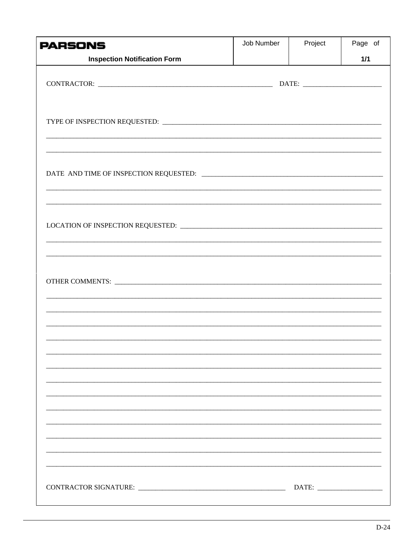| <b>PARSONS</b>                      | Job Number | Project | Page of |
|-------------------------------------|------------|---------|---------|
| <b>Inspection Notification Form</b> |            |         | $1/1$   |
|                                     |            |         |         |
|                                     |            |         |         |
|                                     |            |         |         |
|                                     |            |         |         |
|                                     |            |         |         |
|                                     |            |         |         |
|                                     |            |         |         |
|                                     |            |         |         |
|                                     |            |         |         |
|                                     |            |         |         |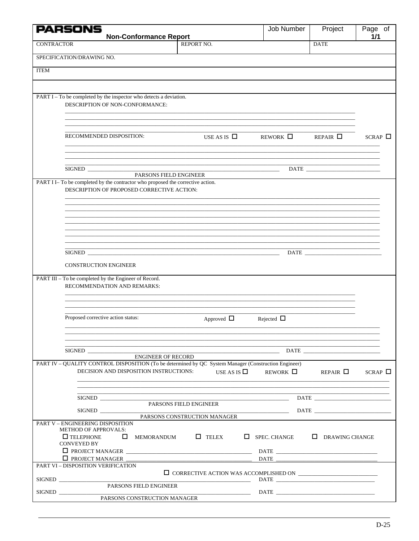|                   | <b>PARSONS</b>                                                                                                               |                                                                                                                             | Job Number                                                                                                                                                                                                                                                                                                                                                                                                                                         | Project            | Page of        |
|-------------------|------------------------------------------------------------------------------------------------------------------------------|-----------------------------------------------------------------------------------------------------------------------------|----------------------------------------------------------------------------------------------------------------------------------------------------------------------------------------------------------------------------------------------------------------------------------------------------------------------------------------------------------------------------------------------------------------------------------------------------|--------------------|----------------|
| <b>CONTRACTOR</b> |                                                                                                                              | <b>Non-Conformance Report</b><br>REPORT NO.                                                                                 |                                                                                                                                                                                                                                                                                                                                                                                                                                                    | <b>DATE</b>        | 1/1            |
|                   |                                                                                                                              |                                                                                                                             |                                                                                                                                                                                                                                                                                                                                                                                                                                                    |                    |                |
|                   | SPECIFICATION/DRAWING NO.                                                                                                    |                                                                                                                             |                                                                                                                                                                                                                                                                                                                                                                                                                                                    |                    |                |
| <b>ITEM</b>       |                                                                                                                              |                                                                                                                             |                                                                                                                                                                                                                                                                                                                                                                                                                                                    |                    |                |
|                   |                                                                                                                              |                                                                                                                             |                                                                                                                                                                                                                                                                                                                                                                                                                                                    |                    |                |
|                   | PART I - To be completed by the inspector who detects a deviation.<br>DESCRIPTION OF NON-CONFORMANCE:                        |                                                                                                                             |                                                                                                                                                                                                                                                                                                                                                                                                                                                    |                    |                |
|                   |                                                                                                                              |                                                                                                                             |                                                                                                                                                                                                                                                                                                                                                                                                                                                    |                    |                |
|                   | RECOMMENDED DISPOSITION:                                                                                                     | USE AS IS $\Box$                                                                                                            | REWORK $\Box$                                                                                                                                                                                                                                                                                                                                                                                                                                      | $REPAIR$ $\square$ | $SCRAP$ $\Box$ |
|                   | SIGNED                                                                                                                       |                                                                                                                             | <u> 1989 - Johann Harry Harry Harry Harry Harry Harry Harry Harry Harry Harry Harry Harry Harry Harry Harry Harry</u>                                                                                                                                                                                                                                                                                                                              |                    |                |
|                   | PART I I-To be completed by the contractor who proposed the corrective action.<br>DESCRIPTION OF PROPOSED CORRECTIVE ACTION: | PARSONS FIELD ENGINEER                                                                                                      |                                                                                                                                                                                                                                                                                                                                                                                                                                                    |                    |                |
|                   |                                                                                                                              |                                                                                                                             |                                                                                                                                                                                                                                                                                                                                                                                                                                                    |                    |                |
|                   |                                                                                                                              |                                                                                                                             |                                                                                                                                                                                                                                                                                                                                                                                                                                                    |                    |                |
|                   |                                                                                                                              |                                                                                                                             |                                                                                                                                                                                                                                                                                                                                                                                                                                                    |                    |                |
|                   |                                                                                                                              |                                                                                                                             |                                                                                                                                                                                                                                                                                                                                                                                                                                                    |                    |                |
|                   | <b>CONSTRUCTION ENGINEER</b>                                                                                                 |                                                                                                                             |                                                                                                                                                                                                                                                                                                                                                                                                                                                    |                    |                |
|                   | PART III - To be completed by the Engineer of Record.<br>RECOMMENDATION AND REMARKS:                                         |                                                                                                                             |                                                                                                                                                                                                                                                                                                                                                                                                                                                    |                    |                |
|                   |                                                                                                                              |                                                                                                                             |                                                                                                                                                                                                                                                                                                                                                                                                                                                    |                    |                |
|                   | Proposed corrective action status:                                                                                           | Approved $\Box$                                                                                                             | Rejected $\Box$                                                                                                                                                                                                                                                                                                                                                                                                                                    |                    |                |
|                   |                                                                                                                              | <u> 1989 - Johann Harry Harry Harry Harry Harry Harry Harry Harry Harry Harry Harry Harry Harry Harry Harry Harry</u>       |                                                                                                                                                                                                                                                                                                                                                                                                                                                    |                    |                |
|                   | SIGNED                                                                                                                       | <b>ENGINEER OF RECORD</b>                                                                                                   |                                                                                                                                                                                                                                                                                                                                                                                                                                                    |                    |                |
|                   | DECISION AND DISPOSITION INSTRUCTIONS:                                                                                       | PART IV - QUALITY CONTROL DISPOSITION (To be determined by QC System Manager (Construction Engineer)<br>USE AS IS $\square$ | REWORK $\Box$                                                                                                                                                                                                                                                                                                                                                                                                                                      | REPAIR $\Box$      | $SCRAP$ $\Box$ |
|                   |                                                                                                                              | <u> 1989 - Johann John Stoff, deutscher Stoffen und der Stoffen und der Stoffen und der Stoffen und der Stoffen u</u>       |                                                                                                                                                                                                                                                                                                                                                                                                                                                    |                    |                |
|                   | SIGNED                                                                                                                       | PARSONS FIELD ENGINEER<br>PARSONS CONSTRUCTION MANAGER                                                                      | $\begin{array}{c c} \text{DATE} & \text{DATE} \end{array}$                                                                                                                                                                                                                                                                                                                                                                                         |                    |                |
|                   | <b>PART V - ENGINEERING DISPOSITION</b><br><b>METHOD OF APPROVALS:</b>                                                       |                                                                                                                             |                                                                                                                                                                                                                                                                                                                                                                                                                                                    |                    |                |
|                   | $\Box$ TELEPHONE<br>$\Box$<br><b>CONVEYED BY</b>                                                                             | $\Box$ TELEX<br>MEMORANDUM                                                                                                  | $\Box$ SPEC. CHANGE $\Box$ DRAWING CHANGE                                                                                                                                                                                                                                                                                                                                                                                                          |                    |                |
|                   | $\Box$ PROJECT MANAGER $\Box$                                                                                                |                                                                                                                             |                                                                                                                                                                                                                                                                                                                                                                                                                                                    |                    |                |
|                   | PART VI - DISPOSITION VERIFICATION                                                                                           |                                                                                                                             |                                                                                                                                                                                                                                                                                                                                                                                                                                                    |                    |                |
|                   | PARSONS FIELD ENGINEER                                                                                                       |                                                                                                                             | $\begin{tabular}{c} DATE & \textcolor{red}{\textbf{0.125} \textbf{0.13}} \\ \textcolor{red}{\textbf{0.25} \textbf{0.13}} \\ \textcolor{red}{\textbf{0.35} \textbf{0.13}} \\ \textcolor{red}{\textbf{0.35} \textbf{0.13}} \\ \textcolor{red}{\textbf{0.35} \textbf{0.13}} \\ \textcolor{red}{\textbf{0.35} \textbf{0.13}} \\ \textcolor{red}{\textbf{0.35} \textbf{0.13}} \\ \textcolor{red}{\textbf{0.35} \textbf{0.13}} \\ \textcolor{red}{\text$ |                    |                |
|                   | SIGNED                                                                                                                       | PARSONS CONSTRUCTION MANAGER                                                                                                | $\begin{tabular}{c} \textbf{DATE} \end{tabular}$                                                                                                                                                                                                                                                                                                                                                                                                   |                    |                |
|                   |                                                                                                                              |                                                                                                                             |                                                                                                                                                                                                                                                                                                                                                                                                                                                    |                    |                |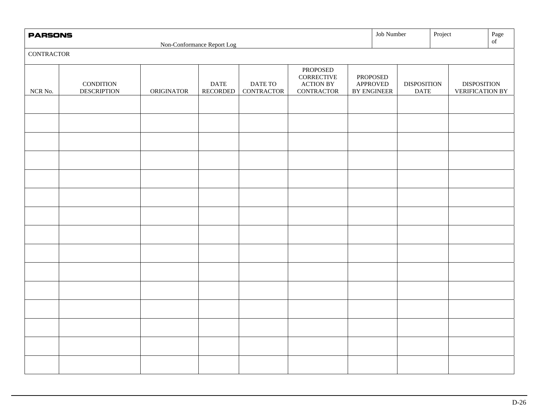| <b>PARSONS</b>    |                                        |            |                                      |                       |                                                                                  | Job Number                                 |                                   | Project |                                              | $_{\mathrm{o} \mathrm{f}}^{\mathrm{Page}}$ |
|-------------------|----------------------------------------|------------|--------------------------------------|-----------------------|----------------------------------------------------------------------------------|--------------------------------------------|-----------------------------------|---------|----------------------------------------------|--------------------------------------------|
| <b>CONTRACTOR</b> |                                        |            | Non-Conformance Report Log           |                       |                                                                                  |                                            |                                   |         |                                              |                                            |
| $NCR$ No. $\,$    | <b>CONDITION</b><br><b>DESCRIPTION</b> | ORIGINATOR | $\mathop{\mathrm{DATE}}$<br>RECORDED | DATE TO<br>CONTRACTOR | <b>PROPOSED</b><br>CORRECTIVE<br>$\operatorname{ACTION}$ BY<br><b>CONTRACTOR</b> | PROPOSED<br><b>APPROVED</b><br>BY ENGINEER | <b>DISPOSITION</b><br><b>DATE</b> |         | <b>DISPOSITION</b><br><b>VERIFICATION BY</b> |                                            |
|                   |                                        |            |                                      |                       |                                                                                  |                                            |                                   |         |                                              |                                            |
|                   |                                        |            |                                      |                       |                                                                                  |                                            |                                   |         |                                              |                                            |
|                   |                                        |            |                                      |                       |                                                                                  |                                            |                                   |         |                                              |                                            |
|                   |                                        |            |                                      |                       |                                                                                  |                                            |                                   |         |                                              |                                            |
|                   |                                        |            |                                      |                       |                                                                                  |                                            |                                   |         |                                              |                                            |
|                   |                                        |            |                                      |                       |                                                                                  |                                            |                                   |         |                                              |                                            |
|                   |                                        |            |                                      |                       |                                                                                  |                                            |                                   |         |                                              |                                            |
|                   |                                        |            |                                      |                       |                                                                                  |                                            |                                   |         |                                              |                                            |
|                   |                                        |            |                                      |                       |                                                                                  |                                            |                                   |         |                                              |                                            |
|                   |                                        |            |                                      |                       |                                                                                  |                                            |                                   |         |                                              |                                            |
|                   |                                        |            |                                      |                       |                                                                                  |                                            |                                   |         |                                              |                                            |
|                   |                                        |            |                                      |                       |                                                                                  |                                            |                                   |         |                                              |                                            |
|                   |                                        |            |                                      |                       |                                                                                  |                                            |                                   |         |                                              |                                            |
|                   |                                        |            |                                      |                       |                                                                                  |                                            |                                   |         |                                              |                                            |
|                   |                                        |            |                                      |                       |                                                                                  |                                            |                                   |         |                                              |                                            |